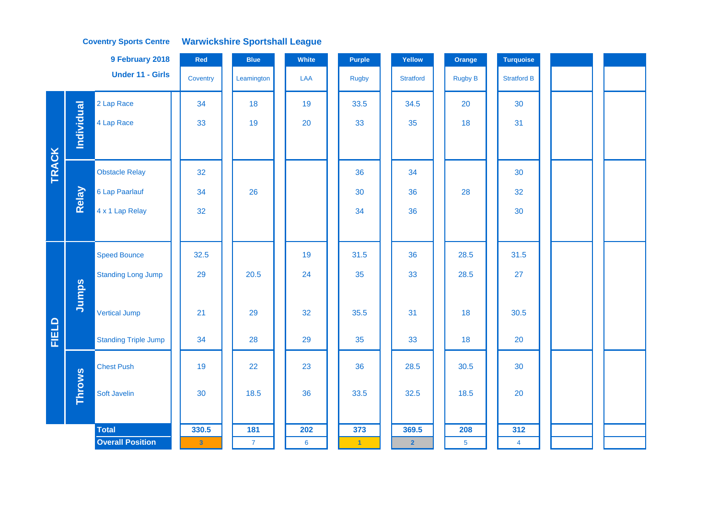|              |                   | 9 February 2018             | Red          | <b>Blue</b>  | White | Purple               | Yellow           | Orange         | <b>Turquoise</b>   |  |  |
|--------------|-------------------|-----------------------------|--------------|--------------|-------|----------------------|------------------|----------------|--------------------|--|--|
|              |                   | <b>Under 11 - Girls</b>     | Coventry     | Leamington   | LAA   | <b>Rugby</b>         | <b>Stratford</b> | <b>Rugby B</b> | <b>Stratford B</b> |  |  |
|              |                   | 2 Lap Race                  | 34           | 18           | 19    | 33.5                 | 34.5             | 20             | 30                 |  |  |
|              | <b>Individual</b> | 4 Lap Race                  | 33           | 19           | 20    | 33                   | 35               | 18             | 31                 |  |  |
|              |                   |                             |              |              |       |                      |                  |                |                    |  |  |
| <b>TRACK</b> |                   | <b>Obstacle Relay</b>       | 32           |              |       | 36                   | 34               |                | 30                 |  |  |
|              | Relay             | 6 Lap Paarlauf              | 34           | 26           |       | 30                   | 36               | 28             | 32                 |  |  |
|              |                   | 4 x 1 Lap Relay             | 32           |              |       | 34                   | 36               |                | 30                 |  |  |
|              |                   |                             |              |              |       |                      |                  |                |                    |  |  |
|              |                   | <b>Speed Bounce</b>         | 32.5         |              | 19    | 31.5                 | 36               | 28.5           | 31.5               |  |  |
|              |                   | <b>Standing Long Jump</b>   | 29           | 20.5         | 24    | 35                   | 33               | 28.5           | 27                 |  |  |
|              | Jumps             |                             |              |              |       |                      |                  |                |                    |  |  |
|              |                   | <b>Vertical Jump</b>        | 21           | 29           | 32    | 35.5                 | 31               | 18             | 30.5               |  |  |
| FIELD        |                   | <b>Standing Triple Jump</b> | 34           | 28           | 29    | 35                   | 33               | 18             | 20                 |  |  |
|              |                   | <b>Chest Push</b>           | 19           | 22           | 23    | 36                   | 28.5             | 30.5           | 30                 |  |  |
|              | <b>Throws</b>     | Soft Javelin                | 30           | 18.5         | 36    | 33.5                 | 32.5             | 18.5           | 20                 |  |  |
|              |                   |                             |              |              |       |                      |                  |                |                    |  |  |
|              |                   | <b>Total</b>                | 330.5        | 181          | 202   | 373                  | 369.5            | 208            | 312                |  |  |
|              |                   | <b>Overall Position</b>     | $\mathbf{3}$ | $\mathbf{7}$ | 6     | $\blacktriangleleft$ | $\overline{2}$   | 5 <sub>5</sub> | $\overline{4}$     |  |  |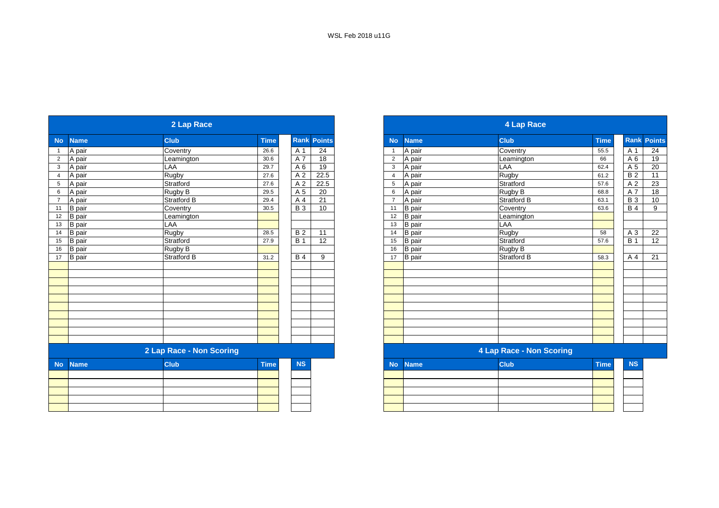|                |               | 2 Lap Race               |             |            |                    |                |               | <b>4 Lap Race</b>               |             |  |
|----------------|---------------|--------------------------|-------------|------------|--------------------|----------------|---------------|---------------------------------|-------------|--|
| <b>No</b>      | <b>Name</b>   | <b>Club</b>              | <b>Time</b> |            | <b>Rank Points</b> | <b>No</b>      | <b>Name</b>   | <b>Club</b>                     | <b>Time</b> |  |
| $\mathbf{1}$   | A pair        | Coventry                 | 26.6        | A 1        | 24                 | -1             | A pair        | Coventry                        | 55.5        |  |
| $\overline{2}$ | A pair        | Leamington               | 30.6        | A 7        | 18                 | $\overline{2}$ | A pair        | Leamington                      | 66          |  |
| $\mathbf{3}$   | A pair        | LAA                      | 29.7        | A 6        | 19                 | 3              | A pair        | LAA                             | 62.4        |  |
| $\overline{4}$ | A pair        | Rugby                    | 27.6        | A 2        | 22.5               | $\overline{4}$ | A pair        | <b>Rugby</b>                    | 61.2        |  |
| 5              | A pair        | Stratford                | 27.6        | A 2        | 22.5               | 5              | A pair        | Stratford                       | 57.6        |  |
| 6              | A pair        | Rugby B                  | 29.5        | A 5        | 20                 | 6              | A pair        | Rugby B                         | 68.8        |  |
| $7^{\circ}$    | A pair        | <b>Stratford B</b>       | 29.4        | A 4        | 21                 | $\overline{7}$ | A pair        | <b>Stratford B</b>              | 63.1        |  |
| 11             | <b>B</b> pair | Coventry                 | 30.5        | <b>B</b> 3 | 10                 | 11             | <b>B</b> pair | Coventry                        | 63.6        |  |
| 12             | <b>B</b> pair | Leamington               |             |            |                    | 12             | <b>B</b> pair | Leamington                      |             |  |
| 13             | <b>B</b> pair | LAA                      |             |            |                    | 13             | <b>B</b> pair | LAA                             |             |  |
| 14             | <b>B</b> pair | Rugby                    | 28.5        | <b>B2</b>  | 11                 | 14             | <b>B</b> pair | Rugby                           | 58          |  |
| 15             | <b>B</b> pair | Stratford                | 27.9        | <b>B</b> 1 | 12                 | 15             | <b>B</b> pair | Stratford                       | 57.6        |  |
| 16             | <b>B</b> pair | Rugby B                  |             |            |                    | 16             | <b>B</b> pair | Rugby B                         |             |  |
| 17             | <b>B</b> pair | <b>Stratford B</b>       | 31.2        | <b>B</b> 4 | 9                  | 17             | <b>B</b> pair | <b>Stratford B</b>              | 58.3        |  |
|                |               |                          |             |            |                    |                |               |                                 |             |  |
|                |               |                          |             |            |                    |                |               |                                 |             |  |
|                |               |                          |             |            |                    |                |               |                                 |             |  |
|                |               |                          |             |            |                    |                |               |                                 |             |  |
|                |               |                          |             |            |                    |                |               |                                 |             |  |
|                |               |                          |             |            |                    |                |               |                                 |             |  |
|                |               |                          |             |            |                    |                |               |                                 |             |  |
|                |               |                          |             |            |                    |                |               |                                 |             |  |
|                |               |                          |             |            |                    |                |               |                                 |             |  |
|                |               |                          |             |            |                    |                |               |                                 |             |  |
|                |               | 2 Lap Race - Non Scoring |             |            |                    |                |               | <b>4 Lap Race - Non Scoring</b> |             |  |
| <b>No</b>      | <b>Name</b>   | <b>Club</b>              | <b>Time</b> | <b>NS</b>  |                    | <b>No</b>      | <b>Name</b>   | <b>Club</b>                     | <b>Time</b> |  |
|                |               |                          |             |            |                    |                |               |                                 |             |  |
|                |               |                          |             |            |                    |                |               |                                 |             |  |
|                |               |                          |             |            |                    |                |               |                                 |             |  |
|                |               |                          |             |            |                    |                |               |                                 |             |  |
|                |               |                          |             |            |                    |                |               |                                 |             |  |
|                |               |                          |             |            |                    |                |               |                                 |             |  |

|                 |               | 2 Lap Race               |             |             |               |                                 |               | 4 Lap Race         |             |                  |               |
|-----------------|---------------|--------------------------|-------------|-------------|---------------|---------------------------------|---------------|--------------------|-------------|------------------|---------------|
| No              | <b>Name</b>   | <b>Club</b>              | <b>Time</b> | <b>Rank</b> | <b>Points</b> | <b>No</b>                       | <b>Name</b>   | <b>Club</b>        | <b>Time</b> | <b>Rank</b>      | <b>Points</b> |
|                 | A pair        | Coventry                 | 26.6        | A 1         | 24            |                                 | A pair        | Coventry           | 55.5        | A 1              | 24            |
| $\overline{2}$  | A pair        | Leamington               | 30.6        | A 7         | 18            | $\overline{2}$                  | A pair        | Leamington         | 66          | A 6              | 19            |
| $\mathbf{3}$    | A pair        | LAA                      | 29.7        | A 6         | 19            | 3                               | A pair        | LAA                | 62.4        | A 5              | 20            |
| $\overline{4}$  | A pair        | Rugby                    | 27.6        | A 2         | 22.5          |                                 | A pair        | Rugby              | 61.2        | <b>B2</b>        | 11            |
| $5\phantom{.0}$ | A pair        | Stratford                | 27.6        | A 2         | 22.5          | 5                               | A pair        | Stratford          | 57.6        | A 2              | 23            |
| $6\phantom{.}6$ | A pair        | Rugby B                  | 29.5        | A 5         | 20            | 6                               | A pair        | Rugby B            | 68.8        | A 7              | 18            |
| $\overline{7}$  | A pair        | Stratford B              | 29.4        | A 4         | 21            |                                 | A pair        | <b>Stratford B</b> | 63.1        | <b>B</b> 3       | 10            |
| 11              | <b>B</b> pair | Coventry                 | 30.5        | <b>B3</b>   | 10            | 11                              | <b>B</b> pair | Coventry           | 63.6        | <b>B4</b>        | 9             |
| 12              | <b>B</b> pair | Leamington               |             |             |               | 12                              | <b>B</b> pair | Leamington         |             |                  |               |
| 13              | B pair        | LAA                      |             |             |               | 13                              | <b>B</b> pair | LAA                |             |                  |               |
| 14              | <b>B</b> pair | Rugby                    | 28.5        | <b>B2</b>   | 11            | 14                              | <b>B</b> pair | Rugby              | 58          | A 3              | 22            |
| 15              | B pair        | Stratford                | 27.9        | <b>B</b> 1  | 12            | 15                              | <b>B</b> pair | Stratford          | 57.6        | $\overline{B}$ 1 | 12            |
| 16              | <b>B</b> pair | Rugby B                  |             |             |               | 16                              | <b>B</b> pair | Rugby B            |             |                  |               |
| 17              | <b>B</b> pair | Stratford B              | 31.2        | <b>B</b> 4  | 9             | 17                              | <b>B</b> pair | <b>Stratford B</b> | 58.3        | A 4              | 21            |
|                 |               |                          |             |             |               |                                 |               |                    |             |                  |               |
|                 |               |                          |             |             |               |                                 |               |                    |             |                  |               |
|                 |               |                          |             |             |               |                                 |               |                    |             |                  |               |
|                 |               |                          |             |             |               |                                 |               |                    |             |                  |               |
|                 |               |                          |             |             |               |                                 |               |                    |             |                  |               |
|                 |               |                          |             |             |               |                                 |               |                    |             |                  |               |
|                 |               |                          |             |             |               |                                 |               |                    |             |                  |               |
|                 |               |                          |             |             |               |                                 |               |                    |             |                  |               |
|                 |               |                          |             |             |               |                                 |               |                    |             |                  |               |
|                 |               |                          |             |             |               |                                 |               |                    |             |                  |               |
|                 |               | 2 Lap Race - Non Scoring |             |             |               | <b>4 Lap Race - Non Scoring</b> |               |                    |             |                  |               |
| No l            | <b>Name</b>   | <b>Club</b>              | <b>Time</b> | <b>NS</b>   |               | <b>No</b>                       | <b>Name</b>   | <b>Club</b>        | <b>Time</b> | <b>NS</b>        |               |

|  | $\sim$ | $\sim$ $\sim$ | . | . |
|--|--------|---------------|---|---|
|  |        |               |   |   |
|  |        |               |   |   |
|  |        |               |   |   |
|  |        |               |   |   |
|  |        |               |   |   |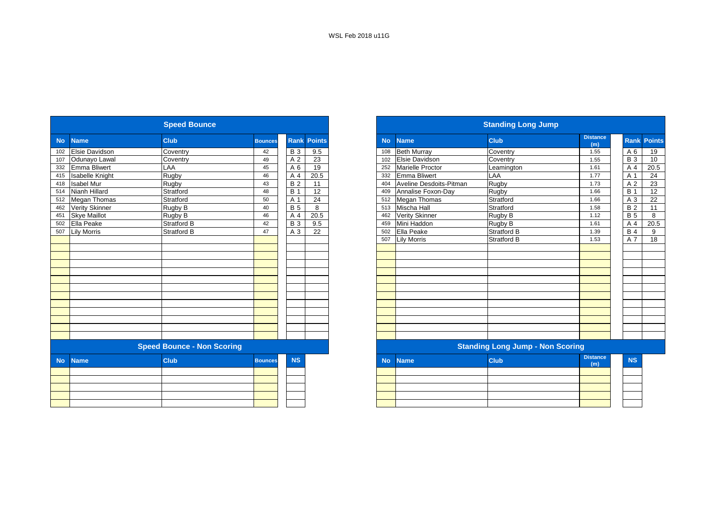|           |                        | <b>Speed Bounce</b>               |                |                |                    | <b>Standing Long Jump</b> |                         |                                         |                        |  |  |
|-----------|------------------------|-----------------------------------|----------------|----------------|--------------------|---------------------------|-------------------------|-----------------------------------------|------------------------|--|--|
| <b>No</b> | <b>Name</b>            | <b>Club</b>                       | <b>Bounces</b> |                | <b>Rank Points</b> | <b>No</b>                 | <b>Name</b>             | <b>Club</b>                             | <b>Distance</b><br>(m) |  |  |
| 102       | <b>Elsie Davidson</b>  | Coventry                          | 42             | <b>B</b> 3     | 9.5                | 108                       | <b>Beth Murray</b>      | Coventry                                | 1.55                   |  |  |
| 107       | Odunayo Lawal          | Coventry                          | 49             | A <sub>2</sub> | 23                 | 102                       | <b>Elsie Davidson</b>   | Coventry                                | 1.55                   |  |  |
| 332       | Emma Bliwert           | LAA                               | 45             | A 6            | 19                 | 252                       | <b>Marielle Proctor</b> | Leamington                              | 1.61                   |  |  |
| 415       | <b>Isabelle Knight</b> | Rugby                             | 46             | A 4            | 20.5               |                           | 332 Emma Bliwert        | LAA                                     | 1.77                   |  |  |
| 418       | <b>Isabel Mur</b>      | Rugby                             | 43             | <b>B2</b>      | 11                 | 404                       | Aveline Desdoits-Pitman | Rugby                                   | 1.73                   |  |  |
| 514       | Nianh Hillard          | Stratford                         | 48             | <b>B</b> 1     | $\overline{12}$    | 409                       | Annalise Foxon-Day      | Rugby                                   | 1.66                   |  |  |
| 512       | Megan Thomas           | Stratford                         | 50             | A 1            | 24                 |                           | 512 Megan Thomas        | Stratford                               | 1.66                   |  |  |
| 462       | <b>Verity Skinner</b>  | Rugby B                           | 40             | <b>B</b> 5     | 8                  | 513                       | Mischa Hall             | Stratford                               | 1.58                   |  |  |
| 451       | <b>Skye Maillot</b>    | Rugby B                           | 46             | A 4            | 20.5               | 462                       | <b>Verity Skinner</b>   | Rugby B                                 | 1.12                   |  |  |
| 502       | Ella Peake             | <b>Stratford B</b>                | 42             | <b>B</b> 3     | 9.5                | 459                       | Mini Haddon             | Rugby B                                 | 1.61                   |  |  |
| 507       | <b>Lily Morris</b>     | <b>Stratford B</b>                | 47             | A 3            | 22                 | 502                       | Ella Peake              | Stratford B                             | 1.39                   |  |  |
|           |                        |                                   |                |                |                    | 507                       | <b>Lily Morris</b>      | <b>Stratford B</b>                      | 1.53                   |  |  |
|           |                        |                                   |                |                |                    |                           |                         |                                         |                        |  |  |
|           |                        |                                   |                |                |                    |                           |                         |                                         |                        |  |  |
|           |                        |                                   |                |                |                    |                           |                         |                                         |                        |  |  |
|           |                        |                                   |                |                |                    |                           |                         |                                         |                        |  |  |
|           |                        |                                   |                |                |                    |                           |                         |                                         |                        |  |  |
|           |                        |                                   |                |                |                    |                           |                         |                                         |                        |  |  |
|           |                        |                                   |                |                |                    |                           |                         |                                         |                        |  |  |
|           |                        |                                   |                |                |                    |                           |                         |                                         |                        |  |  |
|           |                        |                                   |                |                |                    |                           |                         |                                         |                        |  |  |
|           |                        |                                   |                |                |                    |                           |                         |                                         |                        |  |  |
|           |                        |                                   |                |                |                    |                           |                         |                                         |                        |  |  |
|           |                        |                                   |                |                |                    |                           |                         |                                         |                        |  |  |
|           |                        | <b>Speed Bounce - Non Scoring</b> |                |                |                    |                           |                         | <b>Standing Long Jump - Non Scoring</b> |                        |  |  |
| <b>No</b> | <b>Name</b>            | <b>Club</b>                       | <b>Bounces</b> | <b>NS</b>      |                    | <b>No</b>                 | <b>Name</b>             | <b>Club</b>                             | <b>Distance</b><br>(m) |  |  |
|           |                        |                                   |                |                |                    |                           |                         |                                         |                        |  |  |
|           |                        |                                   |                |                |                    |                           |                         |                                         |                        |  |  |
|           |                        |                                   |                |                |                    |                           |                         |                                         |                        |  |  |
|           |                        |                                   |                |                |                    |                           |                         |                                         |                        |  |  |
|           |                        |                                   |                |                |                    |                           |                         |                                         |                        |  |  |

|                        | <b>Speed Bounce</b>               |                |            |                    |
|------------------------|-----------------------------------|----------------|------------|--------------------|
| <b>Name</b>            | <b>Club</b>                       | <b>Bounces</b> |            | <b>Rank Points</b> |
| <b>Elsie Davidson</b>  | Coventry                          | 42             | <b>B</b> 3 | 9.5                |
| Odunayo Lawal          | Coventry                          | 49             | A 2        | 23                 |
| <b>Emma Bliwert</b>    | LAA                               | 45             | A 6        | 19                 |
| <b>Isabelle Knight</b> | Rugby                             | 46             | A 4        | 20.5               |
| <b>Isabel Mur</b>      | Rugby                             | 43             | <b>B2</b>  | 11                 |
| Nianh Hillard          | Stratford                         | 48             | <b>B</b> 1 | 12                 |
| <b>Megan Thomas</b>    | Stratford                         | 50             | A 1        | 24                 |
| <b>Verity Skinner</b>  | Rugby B                           | 40             | <b>B</b> 5 | 8                  |
| <b>Skye Maillot</b>    | Rugby B                           | 46             | A 4        | 20.5               |
| Ella Peake             | Stratford B                       | 42             | <b>B</b> 3 | 9.5                |
| <b>Lily Morris</b>     | <b>Stratford B</b>                | 47             | A 3        | $\overline{22}$    |
|                        |                                   |                |            |                    |
|                        |                                   |                |            |                    |
|                        |                                   |                |            |                    |
|                        |                                   |                |            |                    |
|                        |                                   |                |            |                    |
|                        |                                   |                |            |                    |
|                        |                                   |                |            |                    |
|                        |                                   |                |            |                    |
|                        |                                   |                |            |                    |
|                        |                                   |                |            |                    |
|                        |                                   |                |            |                    |
|                        |                                   |                |            |                    |
|                        |                                   |                |            |                    |
|                        | <b>Speed Bounce - Non Scoring</b> |                |            |                    |
| <b>Name</b>            | <b>Club</b>                       | <b>Bounces</b> | <b>NS</b>  |                    |
|                        |                                   |                |            |                    |
|                        |                                   |                |            |                    |
|                        |                                   |                |            |                    |
|                        |                                   |                |            |                    |
|                        |                                   |                |            |                    |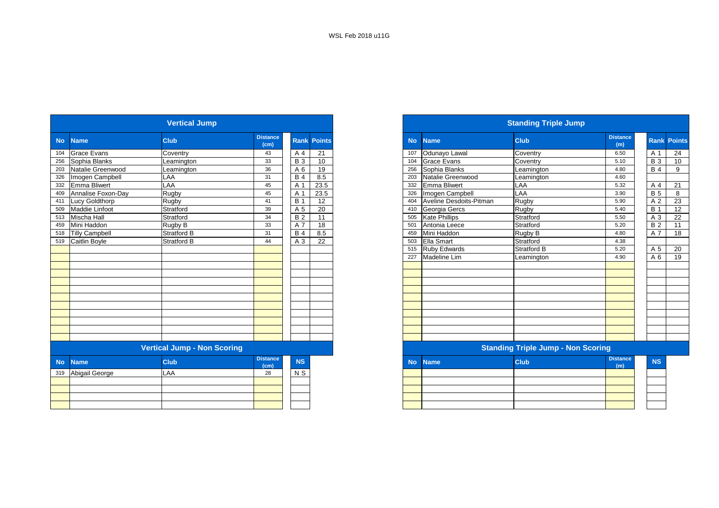|           |                       | <b>Vertical Jump</b>               |                         |            |                    |
|-----------|-----------------------|------------------------------------|-------------------------|------------|--------------------|
| <b>No</b> | <b>Name</b>           | <b>Club</b>                        | <b>Distance</b><br>(cm) |            | <b>Rank Points</b> |
| 104       | <b>Grace Evans</b>    | Coventry                           | 43                      | A 4        | 21                 |
| 256       | Sophia Blanks         | Leamington                         | 33                      | <b>B</b> 3 | 10                 |
| 203       | Natalie Greenwood     | Leamington                         | 36                      | A 6        | 19                 |
| 326       | Imogen Campbell       | LAA                                | 31                      | <b>B4</b>  | 8.5                |
| 332       | <b>Emma Bliwert</b>   | LAA                                | 45                      | A 1        | 23.5               |
| 409       | Annalise Foxon-Day    | Rugby                              | 45                      | A 1        | 23.5               |
| 411       | Lucy Goldthorp        | Rugby                              | 41                      | <b>B</b> 1 | 12                 |
| 509       | Maddie Linfoot        | Stratford                          | 39                      | A 5        | 20                 |
| 513       | Mischa Hall           | Stratford                          | 34                      | <b>B2</b>  | 11                 |
| 459       | Mini Haddon           | Rugby B                            | 33                      | A 7        | 18                 |
| 518       | <b>Tilly Campbell</b> | <b>Stratford B</b>                 | 31                      | <b>B4</b>  | 8.5                |
| 519       | Caitlin Boyle         | Stratford B                        | 44                      | A 3        | 22                 |
|           |                       |                                    |                         |            |                    |
|           |                       |                                    |                         |            |                    |
|           |                       |                                    |                         |            |                    |
|           |                       |                                    |                         |            |                    |
|           |                       |                                    |                         |            |                    |
|           |                       |                                    |                         |            |                    |
|           |                       |                                    |                         |            |                    |
|           |                       |                                    |                         |            |                    |
|           |                       |                                    |                         |            |                    |
|           |                       |                                    |                         |            |                    |
|           |                       |                                    |                         |            |                    |
|           |                       |                                    |                         |            |                    |
|           |                       | <b>Vertical Jump - Non Scoring</b> |                         |            |                    |
| <b>No</b> | <b>Name</b>           | <b>Club</b>                        | <b>Distance</b><br>(cm) | <b>NS</b>  |                    |
| 319       | Abigail George        | <b>LAA</b>                         | 28                      | N S        |                    |
|           |                       |                                    |                         |            |                    |
|           |                       |                                    |                         |            |                    |
|           |                       |                                    |                         |            |                    |
|           |                       |                                    |                         |            |                    |

|           |                       | <b>Vertical Jump</b>               |                         |                |                    |
|-----------|-----------------------|------------------------------------|-------------------------|----------------|--------------------|
|           | <b>Name</b>           | <b>Club</b>                        | <b>Distance</b><br>(cm) |                | <b>Rank Points</b> |
|           | <b>Grace Evans</b>    | Coventry                           | 43                      | A 4            | 21                 |
|           | Sophia Blanks         | Leamington                         | 33                      | <b>B</b> 3     | 10                 |
|           | Natalie Greenwood     | Leamington                         | 36                      | A 6            | 19                 |
|           | 326 Imogen Campbell   | LAA                                | 31                      | <b>B</b> 4     | 8.5                |
|           | 332 Emma Bliwert      | LAA                                | 45                      | A 1            | 23.5               |
| 409       | Annalise Foxon-Dav    | Rugby                              | 45                      | A 1            | 23.5               |
|           | <b>Lucy Goldthorp</b> | Rugby                              | 41                      | <b>B</b> 1     | 12                 |
|           | Maddie Linfoot        | Stratford                          | 39                      | A 5            | 20                 |
| 513       | Mischa Hall           | Stratford                          | 34                      | <b>B2</b>      | 11                 |
| 459       | Mini Haddon           | Rugby B                            | 33                      | A 7            | 18                 |
|           | 518 Tilly Campbell    | <b>Stratford B</b>                 | 31                      | <b>B</b> 4     | 8.5                |
|           | 519 Caitlin Boyle     | <b>Stratford B</b>                 | 44                      | A 3            | $\overline{22}$    |
|           |                       |                                    |                         |                |                    |
|           |                       |                                    |                         |                |                    |
|           |                       |                                    |                         |                |                    |
|           |                       |                                    |                         |                |                    |
|           |                       |                                    |                         |                |                    |
|           |                       |                                    |                         |                |                    |
|           |                       |                                    |                         |                |                    |
|           |                       |                                    |                         |                |                    |
|           |                       |                                    |                         |                |                    |
|           |                       |                                    |                         |                |                    |
|           |                       |                                    |                         |                |                    |
|           |                       |                                    |                         |                |                    |
|           |                       | <b>Vertical Jump - Non Scoring</b> |                         |                |                    |
| <b>No</b> | <b>Name</b>           | <b>Club</b>                        | <b>Distance</b><br>(cm) | <b>NS</b>      |                    |
|           | 319 Abigail George    | LAA                                | 28                      | N <sub>S</sub> |                    |
|           |                       |                                    |                         |                |                    |
|           |                       |                                    |                         |                |                    |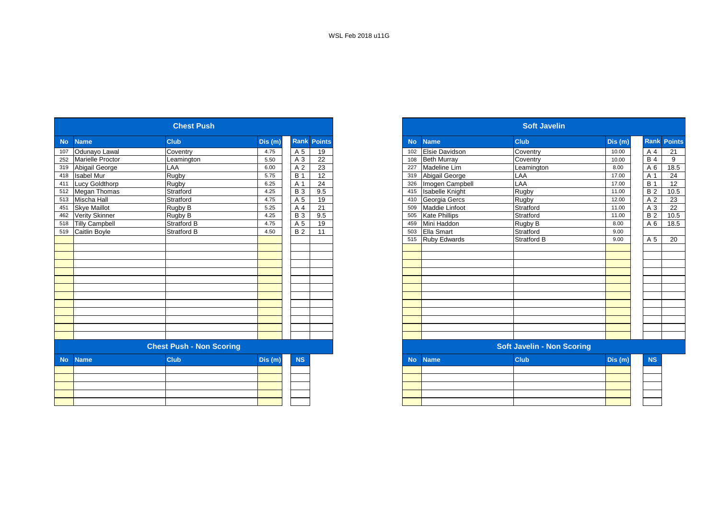|           |                         | <b>Chest Push</b>               |         |            |                    |  |  |  |  |  |
|-----------|-------------------------|---------------------------------|---------|------------|--------------------|--|--|--|--|--|
| <b>No</b> | <b>Name</b>             | <b>Club</b>                     | Dis (m) |            | <b>Rank Points</b> |  |  |  |  |  |
| 107       | Odunayo Lawal           | Coventry                        | 4.75    | A 5        | 19                 |  |  |  |  |  |
| 252       | <b>Marielle Proctor</b> | Leamington                      | 5.50    | A 3        | 22                 |  |  |  |  |  |
| 319       | Abigail George          | LAA                             | 6.00    | A 2        | 23                 |  |  |  |  |  |
| 418       | <b>Isabel Mur</b>       | Rugby                           | 5.75    | <b>B</b> 1 | 12                 |  |  |  |  |  |
| 411       | Lucy Goldthorp          | Rugby                           | 6.25    | A 1        | $\overline{24}$    |  |  |  |  |  |
|           | 512 Megan Thomas        | Stratford                       | 4.25    | <b>B3</b>  | 9.5                |  |  |  |  |  |
|           | 513 Mischa Hall         | Stratford                       | 4.75    | A 5        | 19                 |  |  |  |  |  |
| 451       | <b>Skye Maillot</b>     | Rugby B                         | 5.25    | A 4        | 21                 |  |  |  |  |  |
| 462       | <b>Verity Skinner</b>   | Rugby B                         | 4.25    | <b>B3</b>  | 9.5                |  |  |  |  |  |
| 518       | <b>Tilly Campbell</b>   | Stratford B                     | 4.75    | A 5        | 19                 |  |  |  |  |  |
| 519       | Caitlin Boyle           | <b>Stratford B</b>              | 4.50    | <b>B</b> 2 | 11                 |  |  |  |  |  |
|           |                         |                                 |         |            |                    |  |  |  |  |  |
|           |                         |                                 |         |            |                    |  |  |  |  |  |
|           |                         |                                 |         |            |                    |  |  |  |  |  |
|           |                         |                                 |         |            |                    |  |  |  |  |  |
|           |                         |                                 |         |            |                    |  |  |  |  |  |
|           |                         |                                 |         |            |                    |  |  |  |  |  |
|           |                         |                                 |         |            |                    |  |  |  |  |  |
|           |                         |                                 |         |            |                    |  |  |  |  |  |
|           |                         |                                 |         |            |                    |  |  |  |  |  |
|           |                         |                                 |         |            |                    |  |  |  |  |  |
|           |                         |                                 |         |            |                    |  |  |  |  |  |
|           |                         |                                 |         |            |                    |  |  |  |  |  |
|           |                         |                                 |         |            |                    |  |  |  |  |  |
|           |                         | <b>Chest Push - Non Scoring</b> |         |            |                    |  |  |  |  |  |
| <b>No</b> | <b>Name</b>             | <b>Club</b>                     | Dis (m) | <b>NS</b>  |                    |  |  |  |  |  |
|           |                         |                                 |         |            |                    |  |  |  |  |  |
|           |                         |                                 |         |            |                    |  |  |  |  |  |
|           |                         |                                 |         |            |                    |  |  |  |  |  |
|           |                         |                                 |         |            |                    |  |  |  |  |  |
|           |                         |                                 |         |            |                    |  |  |  |  |  |
|           |                         |                                 |         |            |                    |  |  |  |  |  |

| <b>Chest Push</b> |                         |                                 |        |                |                    |
|-------------------|-------------------------|---------------------------------|--------|----------------|--------------------|
|                   | <b>Name</b>             | <b>Club</b>                     | Dis(m) |                | <b>Rank Points</b> |
|                   | Odunayo Lawal           | Coventry                        | 4.75   | A 5            | 19                 |
|                   | <b>Marielle Proctor</b> | Leamington                      | 5.50   | A 3            | 22                 |
|                   | Abigail George          | LAA                             | 6.00   | A <sub>2</sub> | 23                 |
|                   | <b>Isabel Mur</b>       | Rugby                           | 5.75   | <b>B</b> 1     | 12                 |
|                   | <b>Lucy Goldthorp</b>   | Rugby                           | 6.25   | A 1            | $\overline{24}$    |
|                   | 512 Megan Thomas        | Stratford                       | 4.25   | <b>B</b> 3     | 9.5                |
|                   | Mischa Hall             | Stratford                       | 4.75   | A 5            | 19                 |
|                   | <b>Skye Maillot</b>     | Rugby B                         | 5.25   | A 4            | 21                 |
|                   | Verity Skinner          | Rugby B                         | 4.25   | <b>B</b> 3     | 9.5                |
|                   | <b>Tilly Campbell</b>   | Stratford B                     | 4.75   | A 5            | 19                 |
|                   | Caitlin Boyle           | Stratford B                     | 4.50   | <b>B2</b>      | 11                 |
|                   |                         |                                 |        |                |                    |
|                   |                         |                                 |        |                |                    |
|                   |                         |                                 |        |                |                    |
|                   |                         |                                 |        |                |                    |
|                   |                         |                                 |        |                |                    |
|                   |                         |                                 |        |                |                    |
|                   |                         |                                 |        |                |                    |
|                   |                         |                                 |        |                |                    |
|                   |                         |                                 |        |                |                    |
|                   |                         |                                 |        |                |                    |
|                   |                         |                                 |        |                |                    |
|                   |                         |                                 |        |                |                    |
|                   |                         |                                 |        |                |                    |
|                   |                         | <b>Chest Push - Non Scoring</b> |        |                |                    |
|                   | <b>Name</b>             | <b>Club</b>                     | Dis(m) | <b>NS</b>      |                    |
|                   |                         |                                 |        |                |                    |
|                   |                         |                                 |        |                |                    |
|                   |                         |                                 |        |                |                    |
|                   |                         |                                 |        |                |                    |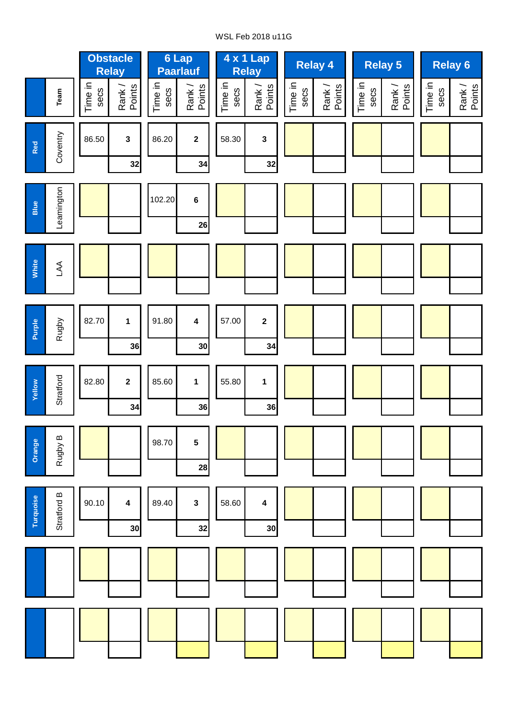# WSL Feb 2018 u11G

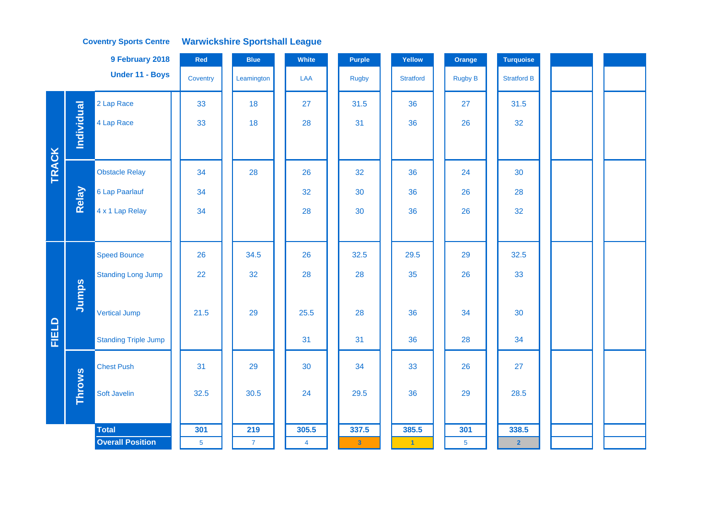|              |                   | 9 February 2018             | Red            | <b>Blue</b>    | White          | <b>Purple</b> | Yellow           | Orange         | <b>Turquoise</b>   |  |  |
|--------------|-------------------|-----------------------------|----------------|----------------|----------------|---------------|------------------|----------------|--------------------|--|--|
|              |                   | Under 11 - Boys             | Coventry       | Leamington     | LAA            | <b>Rugby</b>  | <b>Stratford</b> | <b>Rugby B</b> | <b>Stratford B</b> |  |  |
|              |                   | 2 Lap Race                  | 33             | 18             | 27             | 31.5          | 36               | 27             | 31.5               |  |  |
|              | <b>Individual</b> | 4 Lap Race                  | 33             | 18             | 28             | 31            | 36               | 26             | 32                 |  |  |
|              |                   |                             |                |                |                |               |                  |                |                    |  |  |
| <b>TRACK</b> |                   | <b>Obstacle Relay</b>       | 34             | 28             | 26             | 32            | 36               | 24             | 30                 |  |  |
|              | Relay             | 6 Lap Paarlauf              | 34             |                | 32             | 30            | 36               | 26             | 28                 |  |  |
|              |                   | 4 x 1 Lap Relay             | 34             |                | 28             | 30            | 36               | 26             | 32                 |  |  |
|              |                   |                             |                |                |                |               |                  |                |                    |  |  |
|              |                   | <b>Speed Bounce</b>         | 26             | 34.5           | 26             | 32.5          | 29.5             | 29             | 32.5               |  |  |
|              |                   | <b>Standing Long Jump</b>   | 22             | 32             | 28             | 28            | 35               | 26             | 33                 |  |  |
|              | Jumps             |                             |                |                |                |               |                  |                |                    |  |  |
|              |                   | <b>Vertical Jump</b>        | 21.5           | 29             | 25.5           | 28            | 36               | 34             | 30                 |  |  |
| FIELD        |                   | <b>Standing Triple Jump</b> |                |                | 31             | 31            | 36               | 28             | 34                 |  |  |
|              |                   | <b>Chest Push</b>           | 31             | 29             | 30             | 34            | 33               | 26             | 27                 |  |  |
|              | <b>Throws</b>     | Soft Javelin                | 32.5           | 30.5           | 24             | 29.5          | 36               | 29             | 28.5               |  |  |
|              |                   |                             |                |                |                |               |                  |                |                    |  |  |
|              |                   | <b>Total</b>                | 301            | 219            | 305.5          | 337.5         | 385.5            | 301            | 338.5              |  |  |
|              |                   | <b>Overall Position</b>     | $\overline{5}$ | $\overline{7}$ | $\overline{4}$ | $\mathbf{3}$  | $\vert$ 1        | 5 <sub>5</sub> | $\overline{2}$     |  |  |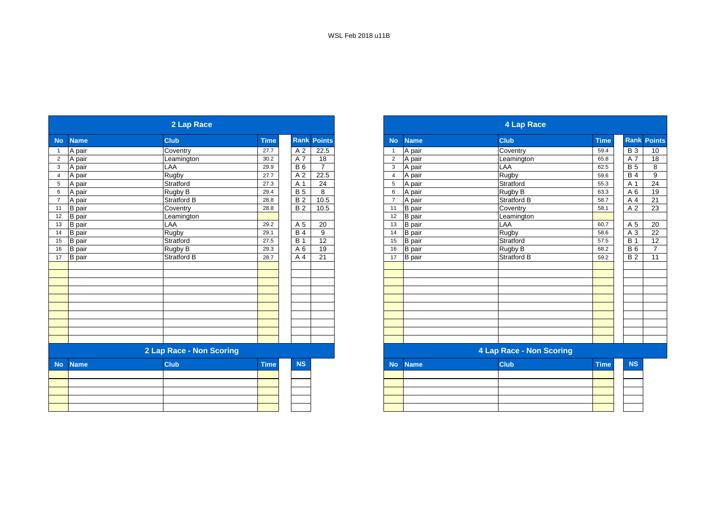|                |               | 2 Lap Race               |             |            |                    |                |               | <b>4 Lap Race</b>               |             |  |
|----------------|---------------|--------------------------|-------------|------------|--------------------|----------------|---------------|---------------------------------|-------------|--|
| <b>No</b>      | <b>Name</b>   | <b>Club</b>              | <b>Time</b> |            | <b>Rank Points</b> | <b>No</b>      | <b>Name</b>   | <b>Club</b>                     | <b>Time</b> |  |
| $\mathbf{1}$   | A pair        | Coventry                 | 27.7        | A 2        | 22.5               | -1             | A pair        | Coventry                        | 59.4        |  |
| $\overline{2}$ | A pair        | Leamington               | 30.2        | A7         | 18                 | $\overline{2}$ | A pair        | Leamington                      | 65.8        |  |
| $\mathbf{3}$   | A pair        | LAA                      | 29.9        | <b>B6</b>  | $\overline{7}$     | 3              | A pair        | LAA                             | 62.5        |  |
| $\overline{4}$ | A pair        | Rugby                    | 27.7        | A 2        | 22.5               | $\overline{4}$ | A pair        | Rugby                           | 59.6        |  |
| 5 <sup>5</sup> | A pair        | Stratford                | 27.3        | A 1        | $\overline{24}$    | 5              | A pair        | Stratford                       | 55.3        |  |
| 6              | A pair        | Rugby B                  | 29.4        | <b>B</b> 5 | 8                  | 6              | A pair        | Rugby B                         | 63.3        |  |
| $\overline{7}$ | A pair        | <b>Stratford B</b>       | 28.8        | <b>B2</b>  | 10.5               | $\overline{7}$ | A pair        | <b>Stratford B</b>              | 58.7        |  |
| 11             | <b>B</b> pair | Coventry                 | 28.8        | <b>B2</b>  | 10.5               | 11             | <b>B</b> pair | Coventry                        | 58.1        |  |
| 12             | <b>B</b> pair | Leamington               |             |            |                    | 12             | <b>B</b> pair | Leamington                      |             |  |
| 13             | <b>B</b> pair | LAA                      | 29.2        | A 5        | 20                 | 13             | <b>B</b> pair | LAA                             | 60.7        |  |
| 14             | <b>B</b> pair | Rugby                    | 29.1        | <b>B4</b>  | 9                  | 14             | <b>B</b> pair | Rugby                           | 58.6        |  |
| 15             | <b>B</b> pair | Stratford                | 27.5        | <b>B</b> 1 | $\overline{12}$    | 15             | <b>B</b> pair | Stratford                       | 57.5        |  |
| 16             | <b>B</b> pair | Rugby B                  | 29.3        | A 6        | 19                 | 16             | <b>B</b> pair | Rugby B                         | 68.2        |  |
| 17             | <b>B</b> pair | <b>Stratford B</b>       | 28.7        | A 4        | 21                 | 17             | <b>B</b> pair | <b>Stratford B</b>              | 59.2        |  |
|                |               |                          |             |            |                    |                |               |                                 |             |  |
|                |               |                          |             |            |                    |                |               |                                 |             |  |
|                |               |                          |             |            |                    |                |               |                                 |             |  |
|                |               |                          |             |            |                    |                |               |                                 |             |  |
|                |               |                          |             |            |                    |                |               |                                 |             |  |
|                |               |                          |             |            |                    |                |               |                                 |             |  |
|                |               |                          |             |            |                    |                |               |                                 |             |  |
|                |               |                          |             |            |                    |                |               |                                 |             |  |
|                |               |                          |             |            |                    |                |               |                                 |             |  |
|                |               |                          |             |            |                    |                |               |                                 |             |  |
|                |               | 2 Lap Race - Non Scoring |             |            |                    |                |               | <b>4 Lap Race - Non Scoring</b> |             |  |
| <b>No</b>      | <b>Name</b>   | <b>Club</b>              | <b>Time</b> | <b>NS</b>  |                    | <b>No</b>      | <b>Name</b>   | <b>Club</b>                     | <b>Time</b> |  |
|                |               |                          |             |            |                    |                |               |                                 |             |  |
|                |               |                          |             |            |                    |                |               |                                 |             |  |
|                |               |                          |             |            |                    |                |               |                                 |             |  |
|                |               |                          |             |            |                    |                |               |                                 |             |  |
|                |               |                          |             |            |                    |                |               |                                 |             |  |
|                |               |                          |             |            |                    |                |               |                                 |             |  |

|                     | 2 Lap Race               |             |                    |                 |
|---------------------|--------------------------|-------------|--------------------|-----------------|
| <b>Name</b>         | <b>Club</b>              | <b>Time</b> | <b>Rank Points</b> |                 |
| A pair              | Coventry                 | 27.7        | A 2                | 22.5            |
| A pair              | Leamington               | 30.2        | A 7                | 18              |
| A pair              | LAA                      | 29.9        | <b>B</b> 6         | $\overline{7}$  |
| A pair              | Rugby                    | 27.7        | A 2                | 22.5            |
| A pair              | Stratford                | 27.3        | A 1                | 24              |
| A pair              | Rugby B                  | 29.4        | <b>B</b> 5         | 8               |
| A pair              | <b>Stratford B</b>       | 28.8        | <b>B2</b>          | 10.5            |
| B pair              | Coventry                 | 28.8        | <b>B2</b>          | 10.5            |
| 12<br>B pair        | Leamington               |             |                    |                 |
| 13<br><b>B</b> pair | LAA                      | 29.2        | A 5                | 20              |
| 14<br><b>B</b> pair | Rugby                    | 29.1        | <b>B4</b>          | 9               |
| <b>B</b> pair       | Stratford                | 27.5        | <b>B</b> 1         | 12              |
| <b>B</b> pair       | Rugby B                  | 29.3        | A 6                | 19              |
| 17<br>B pair        | Stratford B              | 28.7        | A 4                | $\overline{21}$ |
|                     |                          |             |                    |                 |
|                     |                          |             |                    |                 |
|                     |                          |             |                    |                 |
|                     |                          |             |                    |                 |
|                     |                          |             |                    |                 |
|                     |                          |             |                    |                 |
|                     |                          |             |                    |                 |
|                     |                          |             |                    |                 |
|                     |                          |             |                    |                 |
|                     |                          |             |                    |                 |
|                     | 2 Lap Race - Non Scoring |             |                    |                 |
| No l<br><b>Name</b> | <b>Club</b>              | <b>Time</b> | <b>NS</b>          |                 |

|  | <b>NO Natile</b> | <b>LOUD</b> | -пше | <b>IVO</b> |
|--|------------------|-------------|------|------------|
|  |                  |             |      |            |
|  |                  |             |      |            |
|  |                  |             |      |            |
|  |                  |             |      |            |
|  |                  |             |      |            |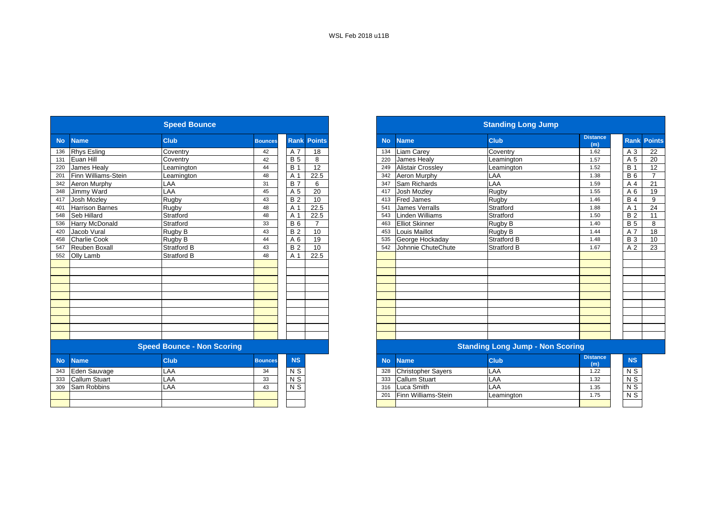|           |                        | <b>Speed Bounce</b>               |                |                 |                    |           |                           | <b>Standing Long Jump</b>               |                        |
|-----------|------------------------|-----------------------------------|----------------|-----------------|--------------------|-----------|---------------------------|-----------------------------------------|------------------------|
| <b>No</b> | <b>Name</b>            | <b>Club</b>                       | <b>Bounces</b> |                 | <b>Rank Points</b> | <b>No</b> | <b>Name</b>               | <b>Club</b>                             | <b>Distance</b><br>(m) |
| 136       | <b>Rhys Esling</b>     | Coventry                          | 42             | A 7             | 18                 | 134       | Liam Carey                | Coventry                                | 1.62                   |
| 131       | Euan Hill              | Coventry                          | 42             | <b>B</b> 5      | 8                  | 220       | James Healy               | Leamington                              | 1.57                   |
| 220       | James Healv            | Leamington                        | 44             | <b>B</b> 1      | 12                 | 249       | Alistair Crossley         | Leamington                              | 1.52                   |
| 201       | Finn Williams-Stein    | Leamington                        | 48             | A 1             | 22.5               | 342       | Aeron Murphy              | LAA                                     | 1.38                   |
| 342       | Aeron Murphy           | LAA                               | 31             | <b>B</b> 7      | 6                  | 347       | Sam Richards              | LAA                                     | 1.59                   |
| 348       | Jimmy Ward             | LAA                               | 45             | A 5             | 20                 | 417       | Josh Mozley               | Rugby                                   | 1.55                   |
| 417       | Josh Mozley            | Rugby                             | 43             | <b>B2</b>       | $\overline{10}$    | 413       | <b>Fred James</b>         | Rugby                                   | 1.46                   |
| 401       | <b>Harrison Barnes</b> | <b>Rugby</b>                      | 48             | A 1             | 22.5               | 541       | <b>James Verralls</b>     | Stratford                               | 1.88                   |
| 548       | Seb Hillard            | Stratford                         | 48             | A 1             | 22.5               | 543       | Linden Williams           | Stratford                               | 1.50                   |
| 536       | Harry McDonald         | Stratford                         | 33             | <b>B6</b>       | $\overline{7}$     | 463       | <b>Elliot Skinner</b>     | Rugby B                                 | 1.40                   |
| 420       | Jacob Vural            | Rugby B                           | 43             | <b>B2</b>       | 10                 | 453       | <b>Louis Maillot</b>      | Rugby B                                 | 1.44                   |
| 458       | <b>Charlie Cook</b>    | Rugby B                           | 44             | A 6             | 19                 | 535       | George Hockaday           | <b>Stratford B</b>                      | 1.48                   |
| 547       | Reuben Boxall          | <b>Stratford B</b>                | 43             | <b>B2</b>       | 10                 | 542       | Johnnie ChuteChute        | Stratford B                             | 1.67                   |
| 552       | Olly Lamb              | <b>Stratford B</b>                | 48             | A 1             | 22.5               |           |                           |                                         |                        |
|           |                        |                                   |                |                 |                    |           |                           |                                         |                        |
|           |                        |                                   |                |                 |                    |           |                           |                                         |                        |
|           |                        |                                   |                |                 |                    |           |                           |                                         |                        |
|           |                        |                                   |                |                 |                    |           |                           |                                         |                        |
|           |                        |                                   |                |                 |                    |           |                           |                                         |                        |
|           |                        |                                   |                |                 |                    |           |                           |                                         |                        |
|           |                        |                                   |                |                 |                    |           |                           |                                         |                        |
|           |                        |                                   |                |                 |                    |           |                           |                                         |                        |
|           |                        |                                   |                |                 |                    |           |                           |                                         |                        |
|           |                        |                                   |                |                 |                    |           |                           |                                         |                        |
|           |                        | <b>Speed Bounce - Non Scoring</b> |                |                 |                    |           |                           | <b>Standing Long Jump - Non Scoring</b> |                        |
| <b>No</b> | <b>Name</b>            | <b>Club</b>                       | <b>Bounces</b> | <b>NS</b>       |                    | <b>No</b> | <b>Name</b>               | <b>Club</b>                             | <b>Distance</b><br>(m) |
| 343       | Eden Sauvage           | LAA                               | 34             | N <sub>S</sub>  |                    | 328       | <b>Christopher Sayers</b> | LAA                                     | 1.22                   |
| 333       | <b>Callum Stuart</b>   | LAA                               | 33             | $\overline{NS}$ |                    | 333       | <b>Callum Stuart</b>      | LAA                                     | 1.32                   |
| 309       | Sam Robbins            | LAA                               | 43             | $\overline{NS}$ |                    | 316       | Luca Smith                | LAA                                     | 1.35                   |
|           |                        |                                   |                |                 |                    | 201       | Finn Williams-Stein       | Leamington                              | 1.75                   |
|           |                        |                                   |                |                 |                    |           |                           |                                         |                        |

|                        | <b>Speed Bounce</b>               |                |                |                    |
|------------------------|-----------------------------------|----------------|----------------|--------------------|
| <b>Name</b>            | <b>Club</b>                       | <b>Bounces</b> |                | <b>Rank Points</b> |
| <b>Rhys Esling</b>     | Coventry                          | 42             | A 7            | 18                 |
| Euan Hill              | Coventry                          | 42             | <b>B</b> 5     | 8                  |
| <b>James Healy</b>     | Leamington                        | 44             | <b>B</b> 1     | 12                 |
| Finn Williams-Stein    | Leamington                        | 48             | A 1            | 22.5               |
| Aeron Murphy           | LAA                               | 31             | <b>B</b> 7     | 6                  |
| Jimmy Ward             | LAA                               | 45             | A 5            | 20                 |
| Josh Mozley            | <b>Rugby</b>                      | 43             | <b>B2</b>      | 10                 |
| <b>Harrison Barnes</b> | Rugby                             | 48             | A 1            | 22.5               |
| <b>Seb Hillard</b>     | Stratford                         | 48             | A 1            | 22.5               |
| Harry McDonald         | Stratford                         | 33             | <b>B6</b>      | $\overline{7}$     |
| Jacob Vural            | Rugby B                           | 43             | <b>B2</b>      | 10                 |
| <b>Charlie Cook</b>    | Rugby B                           | 44             | A 6            | 19                 |
| Reuben Boxall          | Stratford B                       | 43             | <b>B2</b>      | 10                 |
| Olly Lamb              | <b>Stratford B</b>                | 48             | A 1            | 22.5               |
|                        |                                   |                |                |                    |
|                        |                                   |                |                |                    |
|                        |                                   |                |                |                    |
|                        |                                   |                |                |                    |
|                        |                                   |                |                |                    |
|                        |                                   |                |                |                    |
|                        |                                   |                |                |                    |
|                        |                                   |                |                |                    |
|                        |                                   |                |                |                    |
|                        |                                   |                |                |                    |
|                        | <b>Speed Bounce - Non Scoring</b> |                |                |                    |
| <b>Name</b>            | <b>Club</b>                       | <b>Bounces</b> | <b>NS</b>      |                    |
| 343<br>Eden Sauvage    | LAA                               | 34             | N S            |                    |
| Callum Stuart          | LAA                               | 33             | N <sub>S</sub> |                    |
| Sam Robbins            | LAA                               | 43             | N <sub>S</sub> |                    |
|                        |                                   |                |                |                    |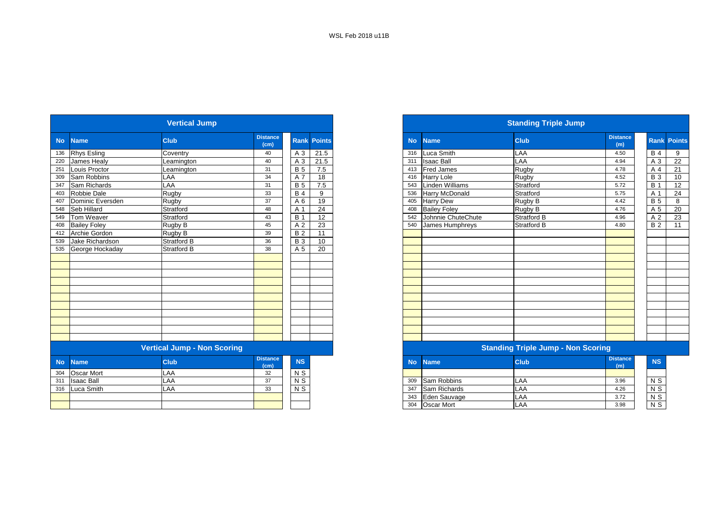|           |                     | <b>Vertical Jump</b>               |                         |                    |      |           |                        | <b>Standing Triple Jump</b>               |                        |                  |  |
|-----------|---------------------|------------------------------------|-------------------------|--------------------|------|-----------|------------------------|-------------------------------------------|------------------------|------------------|--|
| <b>No</b> | <b>Name</b>         | <b>Club</b>                        | <b>Distance</b><br>(cm) | <b>Rank Points</b> |      | <b>No</b> | <b>Name</b>            | <b>Club</b>                               | <b>Distance</b><br>(m) | <b>Rank</b> Po   |  |
| 136       | <b>Rhys Esling</b>  | Coventry                           | 40                      | A 3                | 21.5 | 316       | Luca Smith             | LAA                                       | 4.50                   | B <sub>4</sub>   |  |
| 220       | James Healy         | eamington                          | 40                      | A 3                | 21.5 | 311       | <b>Isaac Ball</b>      | LAA                                       | 4.94                   | A 3              |  |
| 251       | Louis Proctor       | Leamington                         | 31                      | <b>B</b> 5         | 7.5  | 413       | <b>Fred James</b>      | Rugby                                     | 4.78                   | A 4              |  |
| 309       | Sam Robbins         | LAA                                | 34                      | A 7                | 18   | 416       | Harry Lole             | Rugby                                     | 4.52                   | $\overline{B}3$  |  |
| 347       | Sam Richards        | LAA                                | 31                      | <b>B</b> 5         | 7.5  | 543       | <b>Linden Williams</b> | Stratford                                 | 5.72                   | $\overline{B}$ 1 |  |
| 403       | Robbie Dale         | Rugby                              | 33                      | $\overline{B}$ 4   | 9    | 536       | Harry McDonald         | Stratford                                 | 5.75                   | A 1              |  |
| 407       | Dominic Eversden    | <b>Rugby</b>                       | 37                      | A 6                | 19   | 405       | <b>Harry Dew</b>       | Rugby B                                   | 4.42                   | B <sub>5</sub>   |  |
| 548       | Seb Hillard         | Stratford                          | 48                      | A 1                | 24   | 408       | <b>Bailey Foley</b>    | Rugby B                                   | 4.76                   | A 5              |  |
| 549       | Tom Weaver          | Stratford                          | 43                      | <b>B</b> 1         | 12   | 542       | Johnnie ChuteChute     | <b>Stratford B</b>                        | 4.96                   | A 2              |  |
| 408       | <b>Bailey Foley</b> | Rugby B                            | 45                      | A 2                | 23   | 540       | James Humphreys        | <b>Stratford B</b>                        | 4.80                   | <b>B2</b>        |  |
| 412       | Archie Gordon       | Rugby B                            | 39                      | <b>B2</b>          | 11   |           |                        |                                           |                        |                  |  |
| 539       | Jake Richardson     | <b>Stratford B</b>                 | 36                      | <b>B</b> 3         | 10   |           |                        |                                           |                        |                  |  |
| 535       | George Hockaday     | <b>Stratford B</b>                 | 38                      | A 5                | 20   |           |                        |                                           |                        |                  |  |
|           |                     |                                    |                         |                    |      |           |                        |                                           |                        |                  |  |
|           |                     |                                    |                         |                    |      |           |                        |                                           |                        |                  |  |
|           |                     |                                    |                         |                    |      |           |                        |                                           |                        |                  |  |
|           |                     |                                    |                         |                    |      |           |                        |                                           |                        |                  |  |
|           |                     |                                    |                         |                    |      |           |                        |                                           |                        |                  |  |
|           |                     |                                    |                         |                    |      |           |                        |                                           |                        |                  |  |
|           |                     |                                    |                         |                    |      |           |                        |                                           |                        |                  |  |
|           |                     |                                    |                         |                    |      |           |                        |                                           |                        |                  |  |
|           |                     |                                    |                         |                    |      |           |                        |                                           |                        |                  |  |
|           |                     |                                    |                         |                    |      |           |                        |                                           |                        |                  |  |
|           |                     |                                    |                         |                    |      |           |                        |                                           |                        |                  |  |
|           |                     | <b>Vertical Jump - Non Scoring</b> |                         |                    |      |           |                        | <b>Standing Triple Jump - Non Scoring</b> |                        |                  |  |
| <b>No</b> | <b>Name</b>         | <b>Club</b>                        | <b>Distance</b><br>(cm) | NS                 |      | <b>No</b> | <b>Name</b>            | <b>Club</b>                               | <b>Distance</b><br>(m) | <b>NS</b>        |  |
| 304       | <b>Oscar Mort</b>   | LAA                                | 32                      | $N$ S              |      |           |                        |                                           |                        |                  |  |
| 311       | <b>Isaac Ball</b>   | LAA                                | 37                      | N <sub>S</sub>     |      | 309       | Sam Robbins            | LAA                                       | 3.96                   | $N$ S            |  |
| 316       | Luca Smith          | LAA                                | 33                      | $N$ S              |      | 347       | Sam Richards           | LAA                                       | 4.26                   | $N$ S            |  |
|           |                     |                                    |                         |                    |      | 343       | Eden Sauvage           | LAA                                       | 3.72                   | $N$ S            |  |
|           |                     |                                    |                         |                    |      | 304       | <b>Oscar Mort</b>      | LAA                                       | 3.98                   | $N$ S            |  |

|     |                     | <b>Vertical Jump</b>        |                         |            |                    |           |                        | <b>Standing Triple Jump</b>        |                        |                    |    |
|-----|---------------------|-----------------------------|-------------------------|------------|--------------------|-----------|------------------------|------------------------------------|------------------------|--------------------|----|
|     | No Name             | <b>Club</b>                 | <b>Distance</b><br>(cm) |            | <b>Rank Points</b> | <b>No</b> | <b>Name</b>            | <b>Club</b>                        | <b>Distance</b><br>(m) | <b>Rank Points</b> |    |
|     | 136 Rhys Esling     | Coventry                    | 40                      | A 3        | 21.5               | 316       | Luca Smith             | LAA                                | 4.50                   | <b>B</b> 4         | 9  |
| 220 | James Healy         | Leamington                  | 40                      | A 3        | 21.5               | 311       | <b>Isaac Ball</b>      | LAA                                | 4.94                   | A 3                | 22 |
| 251 | Louis Proctor       | Leamington                  | 31                      | <b>B</b> 5 | 7.5                | 413       | <b>Fred James</b>      | Rugby                              | 4.78                   | A 4                | 21 |
| 309 | Sam Robbins         | LAA                         | 34                      | A 7        | 18                 | 416       | Harry Lole             | Rugby                              | 4.52                   | <b>B</b> 3         | 10 |
| 347 | Sam Richards        | LAA                         | 31                      | <b>B</b> 5 | 7.5                | 543       | <b>Linden Williams</b> | Stratford                          | 5.72                   | <b>B</b> 1         | 12 |
|     | 403 Robbie Dale     | Rugby                       | 33                      | <b>B</b> 4 | 9                  | 536       | Harry McDonald         | Stratford                          | 5.75                   | A 1                | 24 |
| 407 | Dominic Eversden    | Rugby                       | 37                      | A 6        | 19                 | 405       | <b>Harry Dew</b>       | Rugby B                            | 4.42                   | <b>B</b> 5         | 8  |
|     | 548 Seb Hillard     | Stratford                   | 48                      | A 1        | 24                 | 408       | <b>Bailey Foley</b>    | Rugby B                            | 4.76                   | A 5                | 20 |
|     | 549 Tom Weaver      | Stratford                   | 43                      | <b>B</b> 1 | 12                 | 542       | Johnnie ChuteChute     | <b>Stratford B</b>                 | 4.96                   | A 2                | 23 |
|     | 408 Bailey Foley    | Rugby B                     | 45                      | A 2        | 23                 |           | 540 James Humphreys    | <b>Stratford B</b>                 | 4.80                   | <b>B2</b>          | 11 |
|     | 412 Archie Gordon   | Rugby B                     | 39                      | <b>B2</b>  | 11                 |           |                        |                                    |                        |                    |    |
| 539 | Jake Richardson     | <b>Stratford B</b>          | 36                      | <b>B</b> 3 | 10                 |           |                        |                                    |                        |                    |    |
|     | 535 George Hockaday | <b>Stratford B</b>          | 38                      | A 5        | 20                 |           |                        |                                    |                        |                    |    |
|     |                     |                             |                         |            |                    |           |                        |                                    |                        |                    |    |
|     |                     |                             |                         |            |                    |           |                        |                                    |                        |                    |    |
|     |                     |                             |                         |            |                    |           |                        |                                    |                        |                    |    |
|     |                     |                             |                         |            |                    |           |                        |                                    |                        |                    |    |
|     |                     |                             |                         |            |                    |           |                        |                                    |                        |                    |    |
|     |                     |                             |                         |            |                    |           |                        |                                    |                        |                    |    |
|     |                     |                             |                         |            |                    |           |                        |                                    |                        |                    |    |
|     |                     |                             |                         |            |                    |           |                        |                                    |                        |                    |    |
|     |                     |                             |                         |            |                    |           |                        |                                    |                        |                    |    |
|     |                     |                             |                         |            |                    |           |                        |                                    |                        |                    |    |
|     |                     |                             |                         |            |                    |           |                        |                                    |                        |                    |    |
|     |                     | Vantinal Luman, Nan Cannina |                         |            |                    |           |                        | Clauding Teinla, Jump, Nan Capelna |                        |                    |    |

#### **Vertical Jump - Non Scoring Standing Triple Jump - Non Scoring**

| <b>stance</b><br>(cm) | <b>NS</b> | No  | Name <sup>1</sup> | <b>Club</b> | <b>Distance</b><br>(m) |  |
|-----------------------|-----------|-----|-------------------|-------------|------------------------|--|
| 32                    | N S       |     |                   |             |                        |  |
| 37                    | N S       | 309 | Sam Robbins       | LAA         | 3.96                   |  |
| 33                    | N S       | 347 | Sam Richards      | LAA         | 4.26                   |  |
|                       |           | 343 | Eden Sauvage      | LAA         | 3.72                   |  |
|                       |           | 304 | Oscar Mort        | LAA         | 3.98                   |  |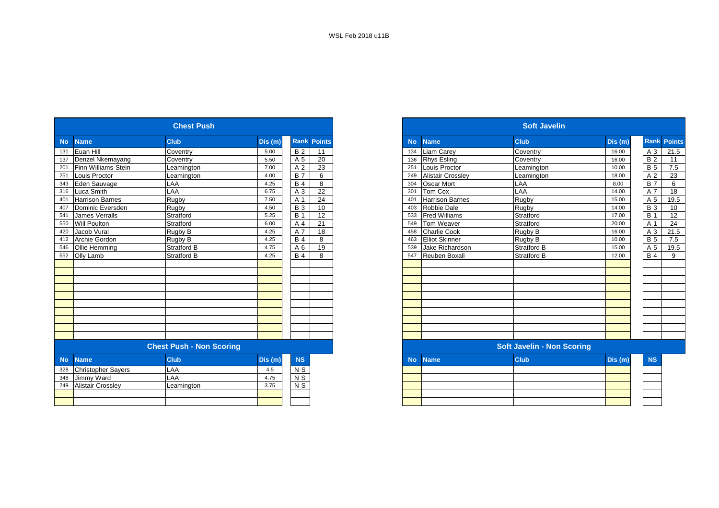|           |                           | <b>Chest Push</b>               |         |                  |                    |
|-----------|---------------------------|---------------------------------|---------|------------------|--------------------|
| <b>No</b> | <b>Name</b>               | <b>Club</b>                     | Dis (m) |                  | <b>Rank Points</b> |
| 131       | Euan Hill                 | Coventry                        | 5.00    | <b>B2</b>        | 11                 |
| 137       | Denzel Nkemayang          | Coventry                        | 5.50    | A 5              | 20                 |
| 201       | Finn Williams-Stein       | Leamington                      | 7.00    | A 2              | 23                 |
| 251       | Louis Proctor             | Leamington                      | 4.00    | $\overline{B}$ 7 | 6                  |
| 343       | Eden Sauvage              | LAA                             | 4.25    | <b>B</b> 4       | 8                  |
| 316       | Luca Smith                | LAA                             | 6.75    | A 3              | 22                 |
| 401       | <b>Harrison Barnes</b>    | Rugby                           | 7.50    | A 1              | 24                 |
| 407       | Dominic Eversden          | Rugby                           | 4.50    | <b>B</b> 3       | 10                 |
| 541       | James Verralls            | Stratford                       | 5.25    | <b>B</b> 1       | 12                 |
| 550       | Will Poulton              | Stratford                       | 6.00    | A 4              | 21                 |
| 420       | Jacob Vural               | Rugby B                         | 4.25    | A 7              | 18                 |
| 412       | Archie Gordon             | Rugby B                         | 4.25    | <b>B</b> 4       | 8                  |
| 546       | Ollie Hemming             | Stratford B                     | 4.75    | A 6              | 19                 |
| 552       | Olly Lamb                 | <b>Stratford B</b>              | 4.25    | <b>B</b> 4       | 8                  |
|           |                           |                                 |         |                  |                    |
|           |                           |                                 |         |                  |                    |
|           |                           |                                 |         |                  |                    |
|           |                           |                                 |         |                  |                    |
|           |                           |                                 |         |                  |                    |
|           |                           |                                 |         |                  |                    |
|           |                           |                                 |         |                  |                    |
|           |                           |                                 |         |                  |                    |
|           |                           |                                 |         |                  |                    |
|           |                           |                                 |         |                  |                    |
|           |                           | <b>Chest Push - Non Scoring</b> |         |                  |                    |
| <b>No</b> | <b>Name</b>               | <b>Club</b>                     | Dis (m) | <b>NS</b>        |                    |
| 328       | <b>Christopher Sayers</b> | LAA                             | 4.5     | N <sub>S</sub>   |                    |
| 348       | Jimmy Ward                | AA                              | 4.75    | $N$ S            |                    |
| 249       | <b>Alistair Crossley</b>  | Leamington                      | 3.75    | $N$ S            |                    |
|           |                           |                                 |         |                  |                    |
|           |                           |                                 |         |                  |                    |

|                                  | <b>Chest Push</b>               |         |                    |
|----------------------------------|---------------------------------|---------|--------------------|
| <b>Name</b>                      | <b>Club</b>                     | Dis (m) | <b>Rank Points</b> |
| Euan Hill                        | Coventry                        | 5.00    | <b>B2</b><br>11    |
| Denzel Nkemayang                 | Coventry                        | 5.50    | 20<br>A 5          |
| Finn Williams-Stein              | Leamington                      | 7.00    | 23<br>A 2          |
| Louis Proctor                    | Leamington                      | 4.00    | <b>B</b> 7<br>6    |
| Eden Sauvage                     | LAA                             | 4.25    | <b>B4</b><br>8     |
| Luca Smith                       | LAA                             | 6.75    | 22<br>A 3          |
| <b>Harrison Barnes</b>           | Rugby                           | 7.50    | 24<br>A 1          |
| Dominic Eversden                 | Rugby                           | 4.50    | <b>B</b> 3<br>10   |
| <b>James Verralls</b>            | Stratford                       | 5.25    | 12<br><b>B</b> 1   |
| <b>Will Poulton</b>              | Stratford                       | 6.00    | 21<br>A 4          |
| Jacob Vural                      | Rugby B                         | 4.25    | A 7<br>18          |
| Archie Gordon                    | Rugby B                         | 4.25    | <b>B</b> 4<br>8    |
| Ollie Hemming                    | <b>Stratford B</b>              | 4.75    | 19<br>A 6          |
| 552 Olly Lamb                    | <b>Stratford B</b>              | 4.25    | <b>B4</b><br>8     |
|                                  |                                 |         |                    |
|                                  |                                 |         |                    |
|                                  |                                 |         |                    |
|                                  |                                 |         |                    |
|                                  |                                 |         |                    |
|                                  |                                 |         |                    |
|                                  |                                 |         |                    |
|                                  |                                 |         |                    |
|                                  |                                 |         |                    |
|                                  |                                 |         |                    |
|                                  | <b>Chest Push - Non Scoring</b> |         |                    |
| <b>No</b><br><b>Name</b>         | <b>Club</b>                     | Dis (m) | <b>NS</b>          |
| 328<br><b>Christopher Sayers</b> | LAA                             | 4.5     | N S                |
| $\overline{348}$<br>Jimmy Ward   | LAA                             | 4.75    | $N$ S              |
| 249<br><b>Alistair Crossley</b>  | Leamington                      | 3.75    | $N$ S              |
|                                  |                                 |         |                    |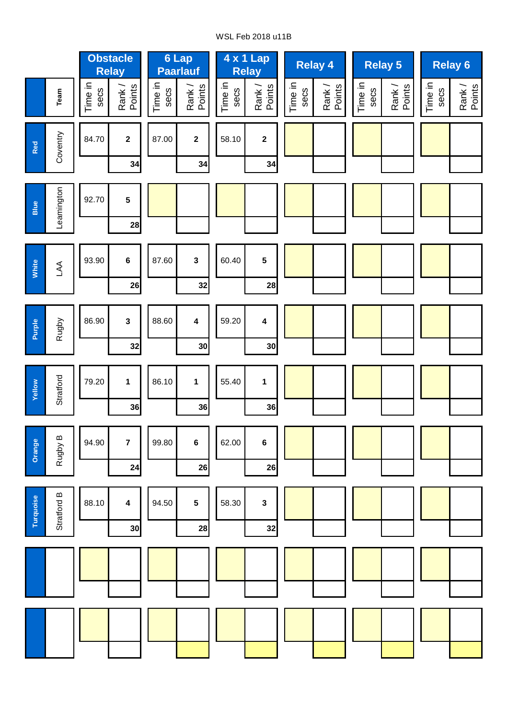## WSL Feb 2018 u11B

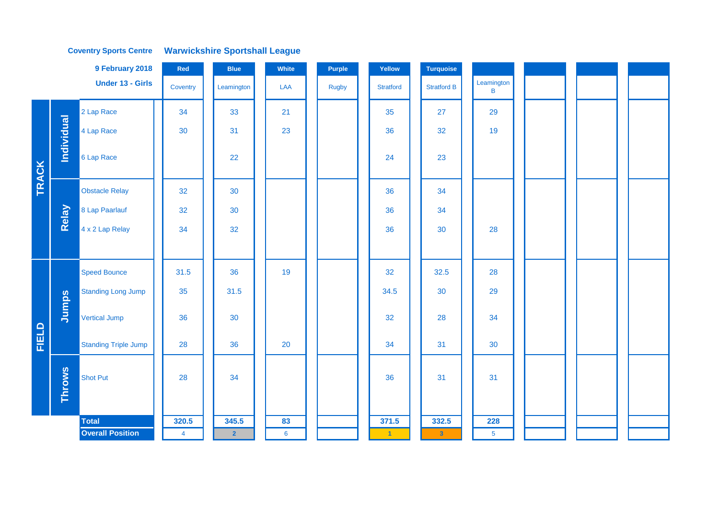|              |                   | 9 February 2018             | Red            | <b>Blue</b>    | White           | <b>Purple</b> | Yellow           | <b>Turquoise</b>   |                 |  |  |
|--------------|-------------------|-----------------------------|----------------|----------------|-----------------|---------------|------------------|--------------------|-----------------|--|--|
|              |                   | <b>Under 13 - Girls</b>     | Coventry       | Leamington     | LAA             | Rugby         | <b>Stratford</b> | <b>Stratford B</b> | Leamington<br>B |  |  |
|              |                   | 2 Lap Race                  | 34             | 33             | 21              |               | 35               | 27                 | 29              |  |  |
|              |                   | 4 Lap Race                  | 30             | 31             | 23              |               | 36               | 32                 | 19              |  |  |
| TRACK        | <b>Individual</b> | 6 Lap Race                  |                | 22             |                 |               | 24               | 23                 |                 |  |  |
|              |                   | <b>Obstacle Relay</b>       | 32             | 30             |                 |               | 36               | 34                 |                 |  |  |
|              | Relay             | 8 Lap Paarlauf              | 32             | 30             |                 |               | 36               | 34                 |                 |  |  |
|              |                   | 4 x 2 Lap Relay             | 34             | 32             |                 |               | 36               | 30                 | 28              |  |  |
|              |                   |                             |                |                |                 |               |                  |                    |                 |  |  |
|              |                   | <b>Speed Bounce</b>         | 31.5           | 36             | 19              |               | 32               | 32.5               | 28              |  |  |
|              |                   | <b>Standing Long Jump</b>   | 35             | 31.5           |                 |               | 34.5             | 30                 | 29              |  |  |
|              | Jumps             | <b>Vertical Jump</b>        | 36             | 30             |                 |               | 32               | 28                 | 34              |  |  |
| <b>FIELD</b> |                   | <b>Standing Triple Jump</b> | 28             | 36             | 20              |               | 34               | 31                 | 30              |  |  |
|              | <b>Throws</b>     | <b>Shot Put</b>             | 28             | 34             |                 |               | 36               | 31                 | 31              |  |  |
|              |                   | <b>Total</b>                | 320.5          | 345.5          | 83              |               | 371.5            | 332.5              | 228             |  |  |
|              |                   | <b>Overall Position</b>     | $\overline{4}$ | $\overline{2}$ | $6\phantom{1}6$ |               | $\blacksquare$   | $\mathbf{3}$       | 5 <sub>5</sub>  |  |  |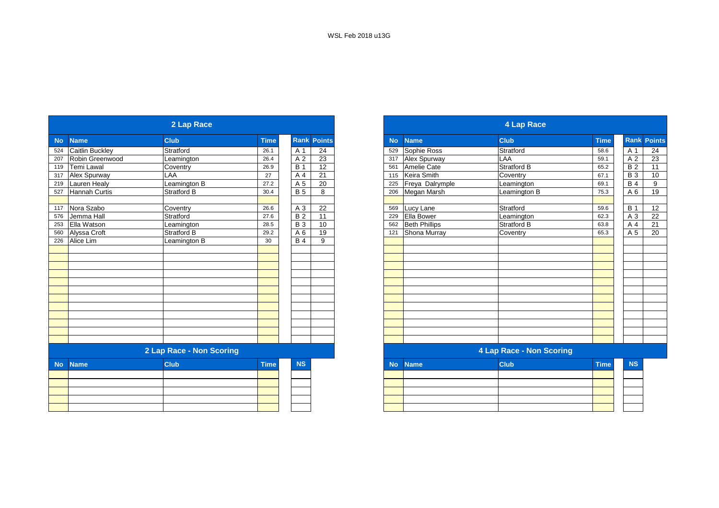| <b>Rank Points</b><br><b>Club</b><br><b>Time</b><br><b>Club</b><br><b>No</b><br><b>Name</b><br><b>Name</b><br><b>No</b><br>Stratford<br><b>Caitlin Buckley</b><br>Stratford<br>24<br>Sophie Ross<br>26.1<br>A 1<br>529<br>23<br>Robin Greenwood<br>A 2<br>Alex Spurway<br>LAA<br>26.4<br>Leamington<br>317<br><b>B</b> 1<br>12<br><b>Stratford B</b><br>26.9<br>Amelie Cate<br><b>Temi Lawal</b><br>Coventry<br>561<br>$\overline{21}$<br>Keira Smith<br>Coventry<br>LAA<br>A 4<br>27<br>115<br>Leamington B<br><b>Lauren Healy</b><br>A 5<br>20<br>Freya Dalrymple<br>27.2<br>Leamington<br>225<br><b>Hannah Curtis</b><br>30.4<br><b>B</b> 5<br>Megan Marsh<br><b>Stratford B</b><br>8<br>206<br>Leamington B<br>Stratford<br>A 3<br>26.6<br>22<br>Lucy Lane<br>Coventry<br>569<br>Jemma Hall<br>B <sub>2</sub><br>$\overline{11}$<br>Ella Bower<br>Stratford<br>27.6<br>229<br>Leamington<br><b>B3</b><br>Ella Watson<br>10<br><b>Beth Phillips</b><br>28.5<br><b>Stratford B</b><br>562<br>Leamington<br>Alyssa Croft<br>A 6<br>19<br>Shona Murray<br>Stratford B<br>29.2<br>121<br>Coventry<br>Alice Lim<br>Leamington B<br><b>B</b> 4<br>9<br>30 <sup>°</sup><br>2 Lap Race - Non Scoring<br><b>4 Lap Race - Non Scoring</b><br><b>Club</b><br><b>Time</b><br><b>NS</b><br><b>Club</b><br><b>Name</b><br><b>Name</b><br><b>No</b> | 4 Lap Race |                                 |
|-----------------------------------------------------------------------------------------------------------------------------------------------------------------------------------------------------------------------------------------------------------------------------------------------------------------------------------------------------------------------------------------------------------------------------------------------------------------------------------------------------------------------------------------------------------------------------------------------------------------------------------------------------------------------------------------------------------------------------------------------------------------------------------------------------------------------------------------------------------------------------------------------------------------------------------------------------------------------------------------------------------------------------------------------------------------------------------------------------------------------------------------------------------------------------------------------------------------------------------------------------------------------------------------------------------------------------------------|------------|---------------------------------|
| 524<br>207<br>119<br>317 Alex Spurway<br>219<br>527<br>117 Nora Szabo<br>576<br>253<br>560<br>226<br><b>No</b>                                                                                                                                                                                                                                                                                                                                                                                                                                                                                                                                                                                                                                                                                                                                                                                                                                                                                                                                                                                                                                                                                                                                                                                                                          |            | <b>Rank Poin</b><br><b>Time</b> |
|                                                                                                                                                                                                                                                                                                                                                                                                                                                                                                                                                                                                                                                                                                                                                                                                                                                                                                                                                                                                                                                                                                                                                                                                                                                                                                                                         |            | 58.6                            |
|                                                                                                                                                                                                                                                                                                                                                                                                                                                                                                                                                                                                                                                                                                                                                                                                                                                                                                                                                                                                                                                                                                                                                                                                                                                                                                                                         |            | 59.1                            |
|                                                                                                                                                                                                                                                                                                                                                                                                                                                                                                                                                                                                                                                                                                                                                                                                                                                                                                                                                                                                                                                                                                                                                                                                                                                                                                                                         |            | 65.2                            |
|                                                                                                                                                                                                                                                                                                                                                                                                                                                                                                                                                                                                                                                                                                                                                                                                                                                                                                                                                                                                                                                                                                                                                                                                                                                                                                                                         |            | 67.1                            |
|                                                                                                                                                                                                                                                                                                                                                                                                                                                                                                                                                                                                                                                                                                                                                                                                                                                                                                                                                                                                                                                                                                                                                                                                                                                                                                                                         |            | 69.1                            |
|                                                                                                                                                                                                                                                                                                                                                                                                                                                                                                                                                                                                                                                                                                                                                                                                                                                                                                                                                                                                                                                                                                                                                                                                                                                                                                                                         |            | 75.3                            |
|                                                                                                                                                                                                                                                                                                                                                                                                                                                                                                                                                                                                                                                                                                                                                                                                                                                                                                                                                                                                                                                                                                                                                                                                                                                                                                                                         |            | 59.6                            |
|                                                                                                                                                                                                                                                                                                                                                                                                                                                                                                                                                                                                                                                                                                                                                                                                                                                                                                                                                                                                                                                                                                                                                                                                                                                                                                                                         |            | 62.3                            |
|                                                                                                                                                                                                                                                                                                                                                                                                                                                                                                                                                                                                                                                                                                                                                                                                                                                                                                                                                                                                                                                                                                                                                                                                                                                                                                                                         |            | 63.8                            |
|                                                                                                                                                                                                                                                                                                                                                                                                                                                                                                                                                                                                                                                                                                                                                                                                                                                                                                                                                                                                                                                                                                                                                                                                                                                                                                                                         |            | 65.3                            |
|                                                                                                                                                                                                                                                                                                                                                                                                                                                                                                                                                                                                                                                                                                                                                                                                                                                                                                                                                                                                                                                                                                                                                                                                                                                                                                                                         |            |                                 |
|                                                                                                                                                                                                                                                                                                                                                                                                                                                                                                                                                                                                                                                                                                                                                                                                                                                                                                                                                                                                                                                                                                                                                                                                                                                                                                                                         |            |                                 |
|                                                                                                                                                                                                                                                                                                                                                                                                                                                                                                                                                                                                                                                                                                                                                                                                                                                                                                                                                                                                                                                                                                                                                                                                                                                                                                                                         |            |                                 |
|                                                                                                                                                                                                                                                                                                                                                                                                                                                                                                                                                                                                                                                                                                                                                                                                                                                                                                                                                                                                                                                                                                                                                                                                                                                                                                                                         |            |                                 |
|                                                                                                                                                                                                                                                                                                                                                                                                                                                                                                                                                                                                                                                                                                                                                                                                                                                                                                                                                                                                                                                                                                                                                                                                                                                                                                                                         |            |                                 |
|                                                                                                                                                                                                                                                                                                                                                                                                                                                                                                                                                                                                                                                                                                                                                                                                                                                                                                                                                                                                                                                                                                                                                                                                                                                                                                                                         |            |                                 |
|                                                                                                                                                                                                                                                                                                                                                                                                                                                                                                                                                                                                                                                                                                                                                                                                                                                                                                                                                                                                                                                                                                                                                                                                                                                                                                                                         |            | <b>Time</b>                     |
|                                                                                                                                                                                                                                                                                                                                                                                                                                                                                                                                                                                                                                                                                                                                                                                                                                                                                                                                                                                                                                                                                                                                                                                                                                                                                                                                         |            |                                 |
|                                                                                                                                                                                                                                                                                                                                                                                                                                                                                                                                                                                                                                                                                                                                                                                                                                                                                                                                                                                                                                                                                                                                                                                                                                                                                                                                         |            |                                 |
|                                                                                                                                                                                                                                                                                                                                                                                                                                                                                                                                                                                                                                                                                                                                                                                                                                                                                                                                                                                                                                                                                                                                                                                                                                                                                                                                         |            |                                 |
|                                                                                                                                                                                                                                                                                                                                                                                                                                                                                                                                                                                                                                                                                                                                                                                                                                                                                                                                                                                                                                                                                                                                                                                                                                                                                                                                         |            |                                 |

|                  |                        | 2 Lap Race               |             |                        |               |           |                      | <b>4 Lap Race</b>        |             |             |                 |
|------------------|------------------------|--------------------------|-------------|------------------------|---------------|-----------|----------------------|--------------------------|-------------|-------------|-----------------|
| No               | <b>Name</b>            | <b>Club</b>              | <b>Time</b> | <b>Rank</b>            | <b>Points</b> | <b>No</b> | <b>Name</b>          | <b>Club</b>              | <b>Time</b> | <b>Rank</b> | <b>Points</b>   |
| $\overline{524}$ | <b>Caitlin Buckley</b> | Stratford                | 26.1        | A 1                    | 24            | 529       | Sophie Ross          | Stratford                | 58.6        | A 1         | 24              |
| 207              | Robin Greenwood        | Leamington               | 26.4        | A 2                    | 23            | 317       | Alex Spurway         | LAA                      | 59.1        | A 2         | $\overline{23}$ |
| 119              | <b>Temi Lawal</b>      | Coventry                 | 26.9        | <b>B</b> 1             | 12            | 561       | Amelie Cate          | <b>Stratford B</b>       | 65.2        | <b>B2</b>   | 11              |
| 317              | Alex Spurway           | LAA                      | 27          | A 4                    | 21            | 115       | Keira Smith          | Coventry                 | 67.1        | <b>B</b> 3  | 10              |
| 219              | <b>Lauren Healy</b>    | Leamington B             | 27.2        | A 5                    | 20            | 225       | Freya Dalrymple      | Leamington               | 69.1        | <b>B4</b>   | 9               |
| 527              | Hannah Curtis          | Stratford B              | 30.4        | <b>B</b> 5             | 8             | 206       | Megan Marsh          | Leamington B             | 75.3        | A 6         | 19              |
|                  |                        |                          |             |                        |               |           |                      |                          |             |             |                 |
| 117              | Nora Szabo             | Coventry                 | 26.6        | A 3<br>$\overline{B2}$ | 22            | 569       | Lucy Lane            | <b>Stratford</b>         | 59.6        | <b>B</b> 1  | 12              |
| 576              | Jemma Hall             | Stratford                | 27.6        |                        | 11            | 229       | Ella Bower           | Leamington               | 62.3        | A 3         | 22              |
| 253              | <b>Ella Watson</b>     | Leamington               | 28.5        | <b>B</b> 3             | 10            | 562       | <b>Beth Phillips</b> | <b>Stratford B</b>       | 63.8        | A 4         | $\overline{21}$ |
| 560              | Alyssa Croft           | <b>Stratford B</b>       | 29.2        | A 6                    | 19            | 121       | Shona Murray         | Coventry                 | 65.3        | A 5         | 20              |
| 226              | Alice Lim              | Leamington B             | 30          | <b>B</b> 4             | 9             |           |                      |                          |             |             |                 |
|                  |                        |                          |             |                        |               |           |                      |                          |             |             |                 |
|                  |                        |                          |             |                        |               |           |                      |                          |             |             |                 |
|                  |                        |                          |             |                        |               |           |                      |                          |             |             |                 |
|                  |                        |                          |             |                        |               |           |                      |                          |             |             |                 |
|                  |                        |                          |             |                        |               |           |                      |                          |             |             |                 |
|                  |                        |                          |             |                        |               |           |                      |                          |             |             |                 |
|                  |                        |                          |             |                        |               |           |                      |                          |             |             |                 |
|                  |                        |                          |             |                        |               |           |                      |                          |             |             |                 |
|                  |                        |                          |             |                        |               |           |                      |                          |             |             |                 |
|                  |                        |                          |             |                        |               |           |                      |                          |             |             |                 |
|                  |                        |                          |             |                        |               |           |                      |                          |             |             |                 |
|                  |                        | 2 Lap Race - Non Scoring |             |                        |               |           |                      | 4 Lap Race - Non Scoring |             |             |                 |
| <b>No</b>        | <b>Name</b>            | <b>Club</b>              | <b>Time</b> | <b>NS</b>              |               | <b>No</b> | <b>Name</b>          | <b>Club</b>              | <b>Time</b> | <b>NS</b>   |                 |
|                  |                        |                          |             |                        |               |           |                      |                          |             |             |                 |

| the contract of the contract of the contract of the contract of the contract of the contract of |  |  |
|-------------------------------------------------------------------------------------------------|--|--|
|                                                                                                 |  |  |
|                                                                                                 |  |  |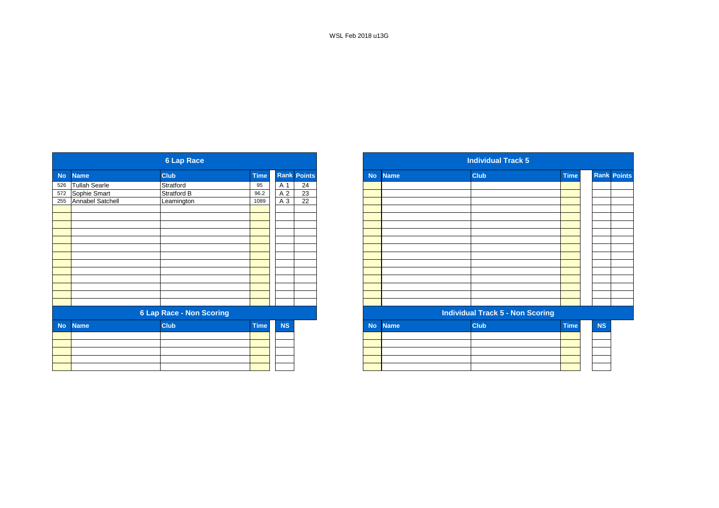|           |                      | <b>6 Lap Race</b>               |             |           |                    |
|-----------|----------------------|---------------------------------|-------------|-----------|--------------------|
| <b>No</b> | <b>Name</b>          | <b>Club</b>                     | <b>Time</b> |           | <b>Rank Points</b> |
| 526       | <b>Tullah Searle</b> | Stratford                       | 95          | A 1       | 24                 |
| 572       | Sophie Smart         | Stratford B                     | 96.2        | A 2       | 23                 |
| 255       | Annabel Satchell     | Leamington                      | 1089        | A 3       | $\overline{22}$    |
|           |                      |                                 |             |           |                    |
|           |                      |                                 |             |           |                    |
|           |                      |                                 |             |           |                    |
|           |                      |                                 |             |           |                    |
|           |                      |                                 |             |           |                    |
|           |                      |                                 |             |           |                    |
|           |                      |                                 |             |           |                    |
|           |                      |                                 |             |           |                    |
|           |                      |                                 |             |           |                    |
|           |                      |                                 |             |           |                    |
|           |                      |                                 |             |           |                    |
|           |                      |                                 |             |           |                    |
|           |                      |                                 |             |           |                    |
|           |                      | <b>6 Lap Race - Non Scoring</b> |             |           |                    |
| <b>No</b> | <b>Name</b>          | <b>Club</b>                     | <b>Time</b> | <b>NS</b> |                    |
|           |                      |                                 |             |           |                    |
|           |                      |                                 |             |           |                    |
|           |                      |                                 |             |           |                    |
|           |                      |                                 |             |           |                    |
|           |                      |                                 |             |           |                    |
|           |                      |                                 |             |           |                    |

|           |                                                           | <b>6 Lap Race</b>               |             |           |                    |
|-----------|-----------------------------------------------------------|---------------------------------|-------------|-----------|--------------------|
|           | <b>Name</b>                                               | <b>Club</b>                     | <b>Time</b> |           | <b>Rank Points</b> |
|           | Tullah Searle                                             | Stratford                       | 95          | A 1       | 24                 |
|           |                                                           | Stratford B                     | 96.2        | A 2       | 23                 |
|           | 572 Sophie Smart<br>255 Annabel Satch<br>Annabel Satchell | Leamington                      | 1089        | $A_3$     | 22                 |
|           |                                                           |                                 |             |           |                    |
|           |                                                           |                                 |             |           |                    |
|           |                                                           |                                 |             |           |                    |
|           |                                                           |                                 |             |           |                    |
|           |                                                           |                                 |             |           |                    |
|           |                                                           |                                 |             |           |                    |
|           |                                                           |                                 |             |           |                    |
|           |                                                           |                                 |             |           |                    |
|           |                                                           |                                 |             |           |                    |
|           |                                                           |                                 |             |           |                    |
|           |                                                           |                                 |             |           |                    |
|           |                                                           |                                 |             |           |                    |
|           |                                                           | <b>6 Lap Race - Non Scoring</b> |             |           |                    |
| <b>No</b> | <b>Name</b>                                               | <b>Club</b>                     | <b>Time</b> | <b>NS</b> |                    |
|           |                                                           |                                 |             |           |                    |
|           |                                                           |                                 |             |           |                    |
|           |                                                           |                                 |             |           |                    |
|           |                                                           |                                 |             |           |                    |
|           |                                                           |                                 |             |           |                    |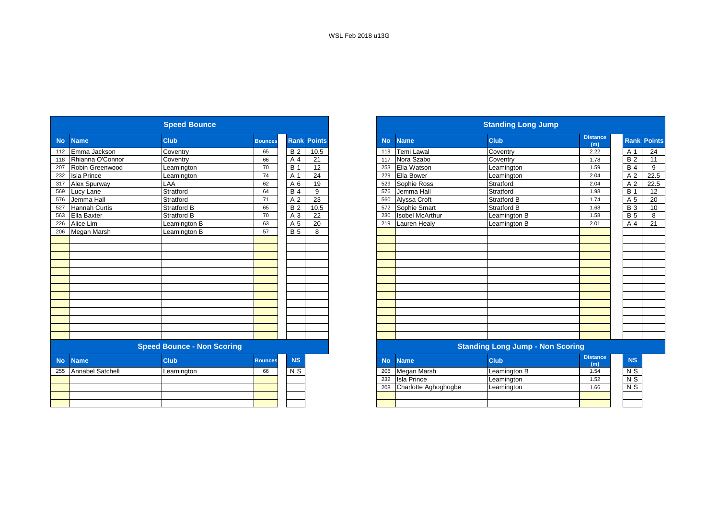|           |                      | <b>Speed Bounce</b>               |                |                |                    |           |                        | <b>Standing Long Jump</b>               |                        |
|-----------|----------------------|-----------------------------------|----------------|----------------|--------------------|-----------|------------------------|-----------------------------------------|------------------------|
| <b>No</b> | <b>Name</b>          | <b>Club</b>                       | <b>Bounces</b> |                | <b>Rank Points</b> | <b>No</b> | <b>Name</b>            | <b>Club</b>                             | <b>Distance</b><br>(m) |
| 112       | Emma Jackson         | Coventry                          | 65             | <b>B2</b>      | 10.5               | 119       | <b>Temi Lawal</b>      | Coventry                                | 2.22                   |
| 118       | Rhianna O'Connor     | Coventry                          | 66             | A 4            | 21                 | 117       | Nora Szabo             | Coventry                                | 1.78                   |
| 207       | Robin Greenwood      | Leamington                        | 70             | <b>B</b> 1     | $\overline{12}$    | 253       | Ella Watson            | Leamington                              | 1.59                   |
| 232       | <b>Isla Prince</b>   | Leamington                        | 74             | A 1            | 24                 | 229       | Ella Bower             | Leamington                              | 2.04                   |
| 317       | Alex Spurway         | LAA                               | 62             | A 6            | 19                 | 529       | Sophie Ross            | Stratford                               | 2.04                   |
| 569       | Lucy Lane            | Stratford                         | 64             | <b>B4</b>      | 9                  | 576       | Jemma Hall             | Stratford                               | 1.98                   |
| 576       | Jemma Hall           | Stratford                         | 71             | A <sub>2</sub> | 23                 | 560       | Alyssa Croft           | <b>Stratford B</b>                      | 1.74                   |
| 527       | <b>Hannah Curtis</b> | <b>Stratford B</b>                | 65             | <b>B2</b>      | 10.5               | 572       | Sophie Smart           | <b>Stratford B</b>                      | 1.68                   |
| 563       | <b>Ella Baxter</b>   | Stratford B                       | 70             | A 3            | 22                 | 230       | <b>Isobel McArthur</b> | Leamington B                            | 1.58                   |
| 226       | Alice Lim            | Leamington B                      | 63             | A 5            | 20                 | 219       | Lauren Healy           | Leamington B                            | 2.01                   |
| 206       | Megan Marsh          | Leamington B                      | 57             | <b>B</b> 5     | 8                  |           |                        |                                         |                        |
|           |                      |                                   |                |                |                    |           |                        |                                         |                        |
|           |                      |                                   |                |                |                    |           |                        |                                         |                        |
|           |                      |                                   |                |                |                    |           |                        |                                         |                        |
|           |                      |                                   |                |                |                    |           |                        |                                         |                        |
|           |                      |                                   |                |                |                    |           |                        |                                         |                        |
|           |                      |                                   |                |                |                    |           |                        |                                         |                        |
|           |                      |                                   |                |                |                    |           |                        |                                         |                        |
|           |                      |                                   |                |                |                    |           |                        |                                         |                        |
|           |                      |                                   |                |                |                    |           |                        |                                         |                        |
|           |                      |                                   |                |                |                    |           |                        |                                         |                        |
|           |                      |                                   |                |                |                    |           |                        |                                         |                        |
|           |                      |                                   |                |                |                    |           |                        |                                         |                        |
|           |                      |                                   |                |                |                    |           |                        |                                         |                        |
|           |                      | <b>Speed Bounce - Non Scoring</b> |                |                |                    |           |                        | <b>Standing Long Jump - Non Scoring</b> |                        |
| <b>No</b> | <b>Name</b>          | <b>Club</b>                       | <b>Bounces</b> | <b>NS</b>      |                    | <b>No</b> | <b>Name</b>            | <b>Club</b>                             | <b>Distance</b><br>(m) |
| 255       | Annabel Satchell     | Leamington                        | 66             | N <sub>S</sub> |                    | 206       | Megan Marsh            | Leamington B                            | 1.54                   |
|           |                      |                                   |                |                |                    | 232       | <b>Isla Prince</b>     | Leamington                              | 1.52                   |
|           |                      |                                   |                |                |                    | 208       | Charlotte Aghoghogbe   | Leamington                              | 1.66                   |
|           |                      |                                   |                |                |                    |           |                        |                                         |                        |
|           |                      |                                   |                |                |                    |           |                        |                                         |                        |

|            |                      | <b>Speed Bounce</b>               |                |                |               |           |                        | <b>Standing Long Jump</b>               |                        |                    |  |
|------------|----------------------|-----------------------------------|----------------|----------------|---------------|-----------|------------------------|-----------------------------------------|------------------------|--------------------|--|
| <b>No</b>  | <b>Name</b>          | <b>Club</b>                       | <b>Bounces</b> | <b>Rank</b>    | <b>Points</b> | <b>No</b> | <b>Name</b>            | <b>Club</b>                             | <b>Distance</b><br>(m) | <b>Rank Points</b> |  |
| 112        | Emma Jackson         | Coventry                          | 65             | <b>B2</b>      | 10.5          | 119       | <b>Temi Lawal</b>      | Coventry                                | 2.22                   | A 1                |  |
| 118        | Rhianna O'Connor     | Coventry                          | 66             | A 4            | 21            | 117       | Nora Szabo             | Coventry                                | 1.78                   | <b>B2</b>          |  |
| 207        | Robin Greenwood      | _eamington                        | 70             | <b>B</b> 1     | 12            | 253       | Ella Watson            | Leamington                              | 1.59                   | <b>B</b> 4         |  |
| 232        | <b>Isla Prince</b>   | Leamington                        | 74             | A 1            | 24            | 229       | Ella Bower             | Leamington                              | 2.04                   | A 2                |  |
| 317        | Alex Spurway         | LAA                               | 62             | A 6            | 19            | 529       | Sophie Ross            | Stratford                               | 2.04                   | A 2                |  |
| 569<br>576 | Lucy Lane            | Stratford                         | 64             | <b>B4</b>      | 9             | 576       | Jemma Hall             | Stratford                               | 1.98                   | <b>B</b> 1         |  |
|            | Jemma Hall           | Stratford                         | 71             | A <sub>2</sub> | 23            | 560       | Alyssa Croft           | <b>Stratford B</b>                      | 1.74                   | A 5                |  |
|            | <b>Hannah Curtis</b> | <b>Stratford B</b>                | 65             | <b>B2</b>      | 10.5          | 572       | Sophie Smart           | <b>Stratford B</b>                      | 1.68                   | <b>B</b> 3         |  |
| 563        | Ella Baxter          | Stratford B                       | 70             | A 3            | 22            | 230       | <b>Isobel McArthur</b> | Leamington B                            | 1.58                   | <b>B</b> 5         |  |
| 226        | Alice Lim            | Leamington B                      | 63             | A 5            | 20            | 219       | <b>Lauren Healy</b>    | Leamington B                            | 2.01                   | A 4                |  |
| 206        | Megan Marsh          | Leamington B                      | 57             | <b>B</b> 5     | 8             |           |                        |                                         |                        |                    |  |
|            |                      |                                   |                |                |               |           |                        |                                         |                        |                    |  |
|            |                      |                                   |                |                |               |           |                        |                                         |                        |                    |  |
|            |                      |                                   |                |                |               |           |                        |                                         |                        |                    |  |
|            |                      |                                   |                |                |               |           |                        |                                         |                        |                    |  |
|            |                      |                                   |                |                |               |           |                        |                                         |                        |                    |  |
|            |                      |                                   |                |                |               |           |                        |                                         |                        |                    |  |
|            |                      |                                   |                |                |               |           |                        |                                         |                        |                    |  |
|            |                      |                                   |                |                |               |           |                        |                                         |                        |                    |  |
|            |                      |                                   |                |                |               |           |                        |                                         |                        |                    |  |
|            |                      |                                   |                |                |               |           |                        |                                         |                        |                    |  |
|            |                      |                                   |                |                |               |           |                        |                                         |                        |                    |  |
|            |                      |                                   |                |                |               |           |                        |                                         |                        |                    |  |
|            |                      |                                   |                |                |               |           |                        |                                         |                        |                    |  |
|            |                      | <b>Speed Bounce - Non Scoring</b> |                |                |               |           |                        | <b>Standing Long Jump - Non Scoring</b> |                        |                    |  |
| <b>No</b>  | <b>Name</b>          | <b>Club</b>                       | <b>Bounces</b> | <b>NS</b>      |               | <b>No</b> | <b>Name</b>            | <b>Club</b>                             | <b>Distance</b><br>(m) | <b>NS</b>          |  |
| 255        | Annabel Satchell     | Leamington                        | 66             | N <sub>S</sub> |               | 206       | Megan Marsh            | Leamington B                            | 1.54                   | N S                |  |
|            |                      |                                   |                |                |               | 232       | <b>Isla Prince</b>     | Leamington                              | 1.52                   | $\overline{N}$     |  |
|            |                      |                                   |                |                |               | 208       | Charlotte Aghoghogbe   | Leamington                              | 1.66                   | $N$ S              |  |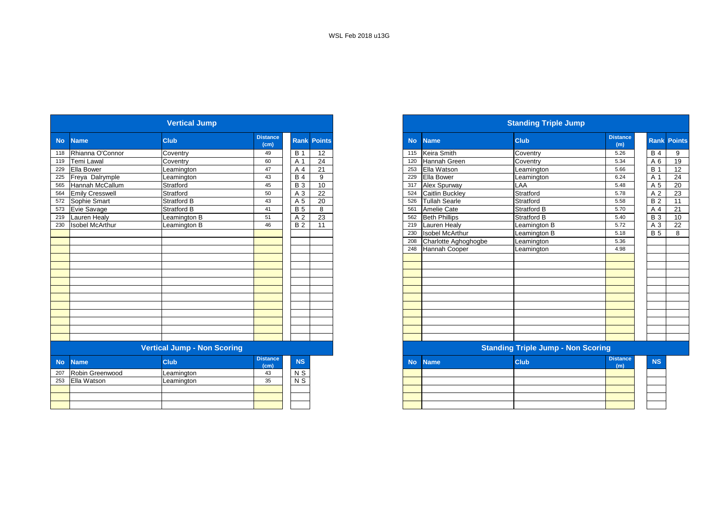|           |                        | <b>Vertical Jump</b>               |                         |                           |                    |
|-----------|------------------------|------------------------------------|-------------------------|---------------------------|--------------------|
| <b>No</b> | <b>Name</b>            | <b>Club</b>                        | <b>Distance</b><br>(cm) |                           | <b>Rank Points</b> |
| 118       | Rhianna O'Connor       | Coventry                           | 49                      | <b>B</b> 1                | 12                 |
| 119       | <b>Temi Lawal</b>      | Coventry                           | 60                      | A 1                       | 24                 |
| 229       | Ella Bower             | Leamington                         | 47                      | A 4                       | 21                 |
| 225       | Freya Dalrymple        | Leamington                         | 43                      | <b>B</b> 4                | 9                  |
| 565       | Hannah McCallum        | Stratford                          | 45                      | <b>B</b> 3                | 10                 |
| 564       | <b>Emily Cresswell</b> | Stratford                          | 50                      | A 3                       | 22                 |
| 572       | Sophie Smart           | Stratford B                        | 43                      | A 5                       | 20                 |
| 573       | Evie Savage            | Stratford B                        | 41                      | <b>B</b> 5                | 8                  |
| 219       | Lauren Healy           | Leamington B                       | 51                      | A <sub>2</sub>            | 23                 |
| 230       | <b>Isobel McArthur</b> | Leamington B                       | 46                      | B <sub>2</sub>            | 11                 |
|           |                        |                                    |                         |                           |                    |
|           |                        |                                    |                         |                           |                    |
|           |                        |                                    |                         |                           |                    |
|           |                        |                                    |                         |                           |                    |
|           |                        |                                    |                         |                           |                    |
|           |                        |                                    |                         |                           |                    |
|           |                        |                                    |                         |                           |                    |
|           |                        |                                    |                         |                           |                    |
|           |                        |                                    |                         |                           |                    |
|           |                        |                                    |                         |                           |                    |
|           |                        |                                    |                         |                           |                    |
|           |                        |                                    |                         |                           |                    |
|           |                        |                                    |                         |                           |                    |
|           |                        |                                    |                         |                           |                    |
|           |                        | <b>Vertical Jump - Non Scoring</b> |                         |                           |                    |
| <b>No</b> | <b>Name</b>            | Club                               | <b>Distance</b><br>(cm) | <b>NS</b>                 |                    |
| 207       | Robin Greenwood        | Leamington                         | 43                      | N <sub>S</sub>            |                    |
| 253       | Ella Watson            | Leamington                         | 35                      | $\overline{\mathsf{N}}$ S |                    |
|           |                        |                                    |                         |                           |                    |
|           |                        |                                    |                         |                           |                    |
|           |                        |                                    |                         |                           |                    |

|                  |                        | <b>Vertical Jump</b>               |                         |                 |                    |
|------------------|------------------------|------------------------------------|-------------------------|-----------------|--------------------|
| <b>No</b>        | <b>Name</b>            | <b>Club</b>                        | <b>Distance</b><br>(cm) |                 | <b>Rank Points</b> |
|                  | Rhianna O'Connor       | Coventry                           | 49                      | <b>B</b> 1      | 12                 |
|                  | Temi Lawal             | Coventry                           | 60                      | $A^{\prime}$    | 24                 |
|                  | <b>Ella Bower</b>      | Leamington                         | 47                      | A 4             | 21                 |
|                  | Freya Dalrymple        | Leamington                         | 43                      | <b>B</b> 4      | 9                  |
|                  | Hannah McCallum        | Stratford                          | 45                      | $\overline{B}3$ | 10                 |
|                  | <b>Emily Cresswell</b> | Stratford                          | 50                      | A 3             | 22                 |
|                  | 572 Sophie Smart       | <b>Stratford B</b>                 | 43                      | A 5             | 20                 |
|                  | 573 Evie Savage        | <b>Stratford B</b>                 | 41                      | <b>B</b> 5      | 8                  |
|                  | 219 Lauren Healy       | Leamington B                       | 51                      | A 2             | $\overline{23}$    |
|                  | <b>Isobel McArthur</b> | eamington B                        | 46                      | <b>B2</b>       | 11                 |
|                  |                        |                                    |                         |                 |                    |
|                  |                        |                                    |                         |                 |                    |
|                  |                        |                                    |                         |                 |                    |
|                  |                        |                                    |                         |                 |                    |
|                  |                        |                                    |                         |                 |                    |
|                  |                        |                                    |                         |                 |                    |
|                  |                        |                                    |                         |                 |                    |
|                  |                        |                                    |                         |                 |                    |
|                  |                        |                                    |                         |                 |                    |
|                  |                        |                                    |                         |                 |                    |
|                  |                        |                                    |                         |                 |                    |
|                  |                        |                                    |                         |                 |                    |
|                  |                        |                                    |                         |                 |                    |
|                  |                        |                                    |                         |                 |                    |
|                  |                        | <b>Vertical Jump - Non Scoring</b> |                         |                 |                    |
|                  | <b>Name</b>            | <b>Club</b>                        | <b>Distance</b><br>(cm) | <b>NS</b>       |                    |
| $\overline{207}$ | Robin Greenwood        | Leamington                         | 43                      | N S             |                    |
|                  | 253 Ella Watson        | Leamington                         | 35                      | $N$ S           |                    |
|                  |                        |                                    |                         |                 |                    |
|                  |                        |                                    |                         |                 |                    |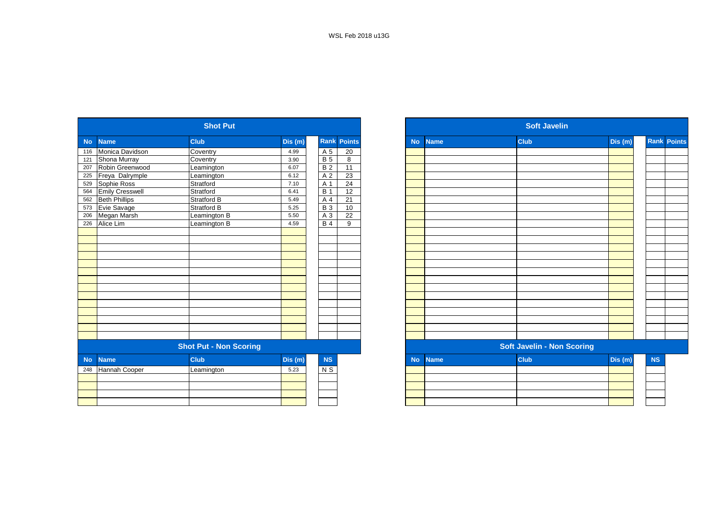|           |                        | <b>Shot Put</b>               |         |                |                         |           |             | <b>Soft Javelin</b>               |         |
|-----------|------------------------|-------------------------------|---------|----------------|-------------------------|-----------|-------------|-----------------------------------|---------|
| <b>No</b> | <b>Name</b>            | <b>Club</b>                   | Dis(m)  |                | <b>Rank Points</b>      | <b>No</b> | <b>Name</b> | <b>Club</b>                       | Dis (m) |
| 116       | Monica Davidson        | Coventry                      | 4.99    | A 5            | 20                      |           |             |                                   |         |
| 121       | Shona Murray           | Coventry                      | 3.90    | $\overline{B}$ | $\overline{\mathbf{8}}$ |           |             |                                   |         |
| 207       | Robin Greenwood        | Leamington                    | 6.07    | <b>B2</b>      | 11                      |           |             |                                   |         |
| 225       | Freya Dalrymple        | Leamington                    | 6.12    | A 2            | 23                      |           |             |                                   |         |
| 529       | Sophie Ross            | Stratford                     | 7.10    | A 1            | $\overline{24}$         |           |             |                                   |         |
| 564       | <b>Emily Cresswell</b> | Stratford                     | 6.41    | <b>B</b> 1     | $\overline{12}$         |           |             |                                   |         |
| 562       | <b>Beth Phillips</b>   | Stratford B                   | 5.49    | A 4            | 21                      |           |             |                                   |         |
| 573       | Evie Savage            | Stratford B                   | 5.25    | <b>B3</b>      | 10                      |           |             |                                   |         |
| 206       | Megan Marsh            | Leamington B                  | 5.50    | $A_3$          | 22                      |           |             |                                   |         |
| 226       | Alice Lim              | Leamington B                  | 4.59    | <b>B4</b>      | $\overline{9}$          |           |             |                                   |         |
|           |                        |                               |         |                |                         |           |             |                                   |         |
|           |                        |                               |         |                |                         |           |             |                                   |         |
|           |                        |                               |         |                |                         |           |             |                                   |         |
|           |                        |                               |         |                |                         |           |             |                                   |         |
|           |                        |                               |         |                |                         |           |             |                                   |         |
|           |                        |                               |         |                |                         |           |             |                                   |         |
|           |                        |                               |         |                |                         |           |             |                                   |         |
|           |                        |                               |         |                |                         |           |             |                                   |         |
|           |                        |                               |         |                |                         |           |             |                                   |         |
|           |                        |                               |         |                |                         |           |             |                                   |         |
|           |                        |                               |         |                |                         |           |             |                                   |         |
|           |                        |                               |         |                |                         |           |             |                                   |         |
|           |                        |                               |         |                |                         |           |             |                                   |         |
|           |                        |                               |         |                |                         |           |             |                                   |         |
|           |                        | <b>Shot Put - Non Scoring</b> |         |                |                         |           |             | <b>Soft Javelin - Non Scoring</b> |         |
| <b>No</b> | <b>Name</b>            | Club                          | Dis (m) | NS             |                         | <b>No</b> | <b>Name</b> | <b>Club</b>                       | Dis (m) |
| 248       | Hannah Cooper          | Leamington                    | 5.23    | $N$ S          |                         |           |             |                                   |         |
|           |                        |                               |         |                |                         |           |             |                                   |         |
|           |                        |                               |         |                |                         |           |             |                                   |         |
|           |                        |                               |         |                |                         |           |             |                                   |         |
|           |                        |                               |         |                |                         |           |             |                                   |         |

|            |                        | <b>Shot Put</b>               |        |                 |                    |
|------------|------------------------|-------------------------------|--------|-----------------|--------------------|
| <b>No</b>  | <b>Name</b>            | <b>Club</b>                   | Dis(m) |                 | <b>Rank Points</b> |
| 116        | Monica Davidson        | Coventry                      | 4.99   | A 5             | 20                 |
| 121        | Shona Murray           | Coventry                      | 3.90   | $\overline{B}$  | 8                  |
| 207        | Robin Greenwood        | Leamington                    | 6.07   | B <sub>2</sub>  | 11                 |
| 225        | Freya Dalrymple        | Leamington                    | 6.12   | A 2             | 23                 |
| 529        | Sophie Ross            | Stratford                     | 7.10   | A 1             | 24                 |
| 564        | <b>Emily Cresswell</b> | Stratford                     | 6.41   | <b>B</b> 1      | 12                 |
|            | <b>Beth Phillips</b>   | <b>Stratford B</b>            | 5.49   | A 4             | 21                 |
| 562<br>573 | Evie Savage            | <b>Stratford B</b>            | 5.25   | $\overline{B}3$ | 10                 |
| 206<br>226 | Megan Marsh            | Leamington B                  | 5.50   | A 3             | 22                 |
|            | Alice Lim              | Leamington B                  | 4.59   | <b>B4</b>       | 9                  |
|            |                        |                               |        |                 |                    |
|            |                        |                               |        |                 |                    |
|            |                        |                               |        |                 |                    |
|            |                        |                               |        |                 |                    |
|            |                        |                               |        |                 |                    |
|            |                        |                               |        |                 |                    |
|            |                        |                               |        |                 |                    |
|            |                        |                               |        |                 |                    |
|            |                        |                               |        |                 |                    |
|            |                        |                               |        |                 |                    |
|            |                        |                               |        |                 |                    |
|            |                        |                               |        |                 |                    |
|            |                        |                               |        |                 |                    |
|            |                        |                               |        |                 |                    |
|            |                        | <b>Shot Put - Non Scoring</b> |        |                 |                    |
| <b>No</b>  | <b>Name</b>            | <b>Club</b>                   | Dis(m) | NS              |                    |
| 248        | Hannah Cooper          | Leamington                    | 5.23   | $N$ S           |                    |
|            |                        |                               |        |                 |                    |
|            |                        |                               |        |                 |                    |
|            |                        |                               |        |                 |                    |
|            |                        |                               |        |                 |                    |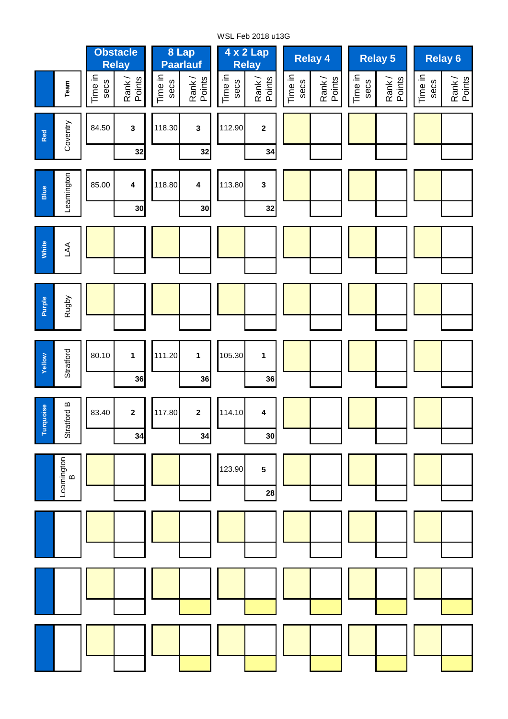**Team** Tim e in secsœς ank / Points Tim e in secsœ ank / Points Tim e in secsœς ank / Points Tim e in secsœς ank / Points Tim e in secsœς ank / Points Tim e in secsœς ank / Points **32 32 34 30 30 32 36 36 36 34 34 30 28 1 1** 105.30 **2 4 5** 111.20 114.10 123.90 117.80 Leamington മ **Yellow Stratford Turquoise** Stratford B **2** 80.10 **Purple** Rugby 83.40 **1** Leamington 85.00 **Blue White** LA A118.80 **3 2 4 4** 113.80 **Relay 5 4 x 2 Lap Relay 4 Relay 6 Relay A A t t A t** 118.30 **3** 112.90 **A t 8 Lap Paarlauf Red Coventry** 84.50 **3 Obstacle Relay A t**

WSL Feb 2018 u13G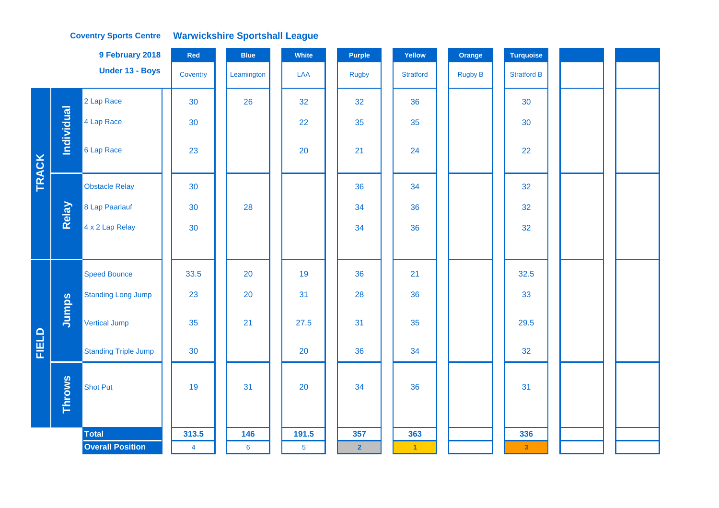|              |               | 9 February 2018             | Red            | <b>Blue</b>    | White          | <b>Purple</b>  | Yellow           | Orange         | <b>Turquoise</b>        |  |
|--------------|---------------|-----------------------------|----------------|----------------|----------------|----------------|------------------|----------------|-------------------------|--|
|              |               | Under 13 - Boys             | Coventry       | Leamington     | LAA            | <b>Rugby</b>   | <b>Stratford</b> | <b>Rugby B</b> | <b>Stratford B</b>      |  |
|              |               | 2 Lap Race                  | 30             | 26             | 32             | 32             | 36               |                | 30                      |  |
|              | Individual    | 4 Lap Race                  | 30             |                | 22             | 35             | 35               |                | 30                      |  |
| <b>TRACK</b> |               | 6 Lap Race                  | 23             |                | 20             | 21             | 24               |                | 22                      |  |
|              |               | <b>Obstacle Relay</b>       | 30             |                |                | 36             | 34               |                | 32                      |  |
|              | Relay         | 8 Lap Paarlauf              | 30             | 28             |                | 34             | 36               |                | 32                      |  |
|              |               | 4 x 2 Lap Relay             | 30             |                |                | 34             | 36               |                | 32                      |  |
|              |               |                             |                |                |                |                |                  |                |                         |  |
|              |               | <b>Speed Bounce</b>         | 33.5           | 20             | 19             | 36             | 21               |                | 32.5                    |  |
|              |               | <b>Standing Long Jump</b>   | 23             | 20             | 31             | 28             | 36               |                | 33                      |  |
|              | Jumps         | <b>Vertical Jump</b>        | 35             | 21             | 27.5           | 31             | 35               |                | 29.5                    |  |
| FIELD        |               | <b>Standing Triple Jump</b> | 30             |                | 20             | 36             | 34               |                | 32                      |  |
|              | <b>Throws</b> | <b>Shot Put</b>             | 19             | 31             | 20             | 34             | 36               |                | 31                      |  |
|              |               | <b>Total</b>                | 313.5          | 146            | 191.5          | 357            | 363              |                | 336                     |  |
|              |               | <b>Overall Position</b>     | $\overline{4}$ | $6\phantom{a}$ | $\overline{5}$ | $\overline{2}$ | $-1$             |                | $\overline{\mathbf{3}}$ |  |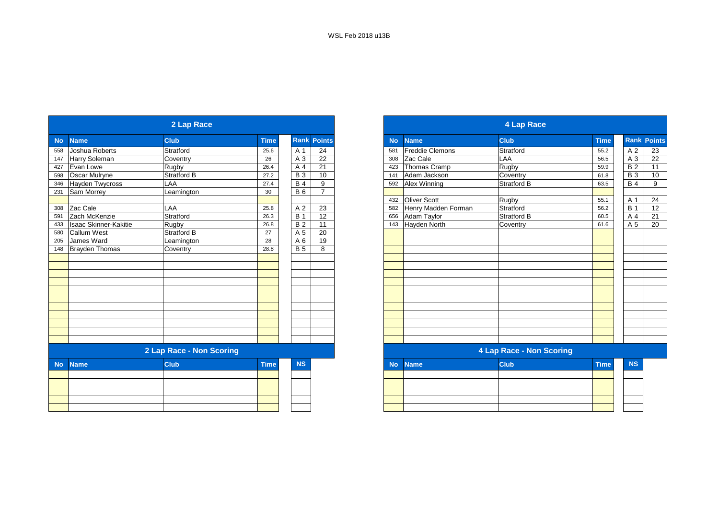|           |                              | 2 Lap Race               |                 |                 |                    |           |                        | 4 Lap Race                      |             |
|-----------|------------------------------|--------------------------|-----------------|-----------------|--------------------|-----------|------------------------|---------------------------------|-------------|
| <b>No</b> | <b>Name</b>                  | <b>Club</b>              | <b>Time</b>     |                 | <b>Rank Points</b> | <b>No</b> | <b>Name</b>            | <b>Club</b>                     | <b>Time</b> |
| 558       | Joshua Roberts               | Stratford                | 25.6            | A 1             | 24                 | 581       | <b>Freddie Clemons</b> | Stratford                       | 55.2        |
| 147       | Harry Soleman                | Coventry                 | 26              | A 3             | 22                 | 308       | Zac Cale               | LAA                             | 56.5        |
| 427       | Evan Lowe                    | Rugby                    | 26.4            | A 4             | 21                 | 423       | Thomas Cramp           | Rugby                           | 59.9        |
| 598       | Oscar Mulryne                | <b>Stratford B</b>       | 27.2            | $\overline{B}3$ | 10                 | 141       | Adam Jackson           | Coventry                        | 61.8        |
| 346       | <b>Hayden Twycross</b>       | LAA                      | 27.4            | <b>B4</b>       | 9                  | 592       | <b>Alex Winning</b>    | <b>Stratford B</b>              | 63.5        |
| 231       | Sam Morrey                   | Leamington               | 30 <sup>°</sup> | <b>B</b> 6      | $\overline{7}$     |           |                        |                                 |             |
|           |                              |                          |                 |                 |                    | 432       | <b>Oliver Scott</b>    | Rugby                           | 55.1        |
| 308       | Zac Cale                     | LAA                      | 25.8            | A 2             | $\overline{23}$    | 582       | Henry Madden Forman    | Stratford                       | 56.2        |
| 591       | Zach McKenzie                | Stratford                | 26.3            | <b>B</b> 1      | $\overline{12}$    | 656       | Adam Taylor            | <b>Stratford B</b>              | 60.5        |
| 433       | <b>Isaac Skinner-Kakitie</b> | Rugby                    | 26.8            | $\overline{B}$  | $\overline{11}$    | 143       | Hayden North           | Coventry                        | 61.6        |
| 580       | <b>Callum West</b>           | Stratford B              | 27              | A 5             | 20                 |           |                        |                                 |             |
| 205       | James Ward                   | Leamington               | 28              | A 6             | 19                 |           |                        |                                 |             |
| 148       | <b>Brayden Thomas</b>        | Coventry                 | 28.8            | <b>B</b> 5      | 8                  |           |                        |                                 |             |
|           |                              |                          |                 |                 |                    |           |                        |                                 |             |
|           |                              |                          |                 |                 |                    |           |                        |                                 |             |
|           |                              |                          |                 |                 |                    |           |                        |                                 |             |
|           |                              |                          |                 |                 |                    |           |                        |                                 |             |
|           |                              |                          |                 |                 |                    |           |                        |                                 |             |
|           |                              |                          |                 |                 |                    |           |                        |                                 |             |
|           |                              |                          |                 |                 |                    |           |                        |                                 |             |
|           |                              |                          |                 |                 |                    |           |                        |                                 |             |
|           |                              |                          |                 |                 |                    |           |                        |                                 |             |
|           |                              |                          |                 |                 |                    |           |                        |                                 |             |
|           |                              |                          |                 |                 |                    |           |                        |                                 |             |
|           |                              | 2 Lap Race - Non Scoring |                 |                 |                    |           |                        | <b>4 Lap Race - Non Scoring</b> |             |
| <b>No</b> | <b>Name</b>                  | <b>Club</b>              | <b>Time</b>     | <b>NS</b>       |                    | <b>No</b> | <b>Name</b>            | <b>Club</b>                     | <b>Time</b> |
|           |                              |                          |                 |                 |                    |           |                        |                                 |             |
|           |                              |                          |                 |                 |                    |           |                        |                                 |             |
|           |                              |                          |                 |                 |                    |           |                        |                                 |             |
|           |                              |                          |                 |                 |                    |           |                        |                                 |             |
|           |                              |                          |                 |                 |                    |           |                        |                                 |             |

|           |                              | 2 Lap Race               |             |            |                    |
|-----------|------------------------------|--------------------------|-------------|------------|--------------------|
| <b>No</b> | <b>Name</b>                  | <b>Club</b>              | <b>Time</b> |            | <b>Rank Points</b> |
| 558       | Joshua Roberts               | Stratford                | 25.6        | A 1        | 24                 |
| 147       | Harry Soleman                | Coventry                 | 26          | A 3        | 22                 |
| 427       | Evan Lowe                    | <b>Rugby</b>             | 26.4        | A 4        | 21                 |
| 598       | <b>Oscar Mulryne</b>         | Stratford B              | 27.2        | <b>B</b> 3 | 10                 |
| 346       | <b>Hayden Twycross</b>       | LAA                      | 27.4        | <b>B</b> 4 | 9                  |
| 231       | Sam Morrey                   | Leamington               | 30          | <b>B6</b>  | $\overline{7}$     |
|           |                              |                          |             |            |                    |
|           | $\overline{308}$ Zac Cale    | LAA                      | 25.8        | A 2        | 23                 |
| 591       | Zach McKenzie                | Stratford                | 26.3        | <b>B</b> 1 | 12                 |
| 433       | <b>Isaac Skinner-Kakitie</b> | Rugby                    | 26.8        | <b>B2</b>  | 11                 |
| 580       | <b>Callum West</b>           | <b>Stratford B</b>       | 27          | A 5        | 20                 |
| 205       | <b>James Ward</b>            | Leamington               | 28          | A 6        | 19                 |
| 148       | Brayden Thomas               | Coventry                 | 28.8        | <b>B</b> 5 | 8                  |
|           |                              |                          |             |            |                    |
|           |                              |                          |             |            |                    |
|           |                              |                          |             |            |                    |
|           |                              |                          |             |            |                    |
|           |                              |                          |             |            |                    |
|           |                              |                          |             |            |                    |
|           |                              |                          |             |            |                    |
|           |                              |                          |             |            |                    |
|           |                              |                          |             |            |                    |
|           |                              |                          |             |            |                    |
|           |                              |                          |             |            |                    |
|           |                              | 2 Lap Race - Non Scoring |             |            |                    |
| <b>No</b> | <b>Name</b>                  | <b>Club</b>              | <b>Time</b> | <b>NS</b>  |                    |
|           |                              |                          |             |            |                    |

| the control of the control of the control of the control of the control of the control of the control of the control of the control of the control of the control of the control of the control of the control of the control |  |  |
|-------------------------------------------------------------------------------------------------------------------------------------------------------------------------------------------------------------------------------|--|--|
|                                                                                                                                                                                                                               |  |  |
|                                                                                                                                                                                                                               |  |  |
|                                                                                                                                                                                                                               |  |  |
|                                                                                                                                                                                                                               |  |  |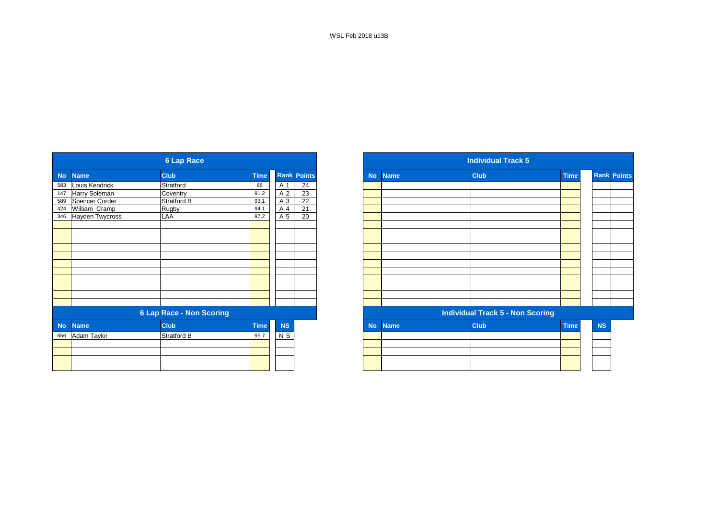WSL Feb 2018 u13B

|           |                        | <b>6 Lap Race</b>               |             |           |                    |
|-----------|------------------------|---------------------------------|-------------|-----------|--------------------|
| <b>No</b> | <b>Name</b>            | <b>Club</b>                     | <b>Time</b> |           | <b>Rank Points</b> |
| 583       | Louis Kendrick         | Stratford                       | 86          | A 1       | 24                 |
| 147       | Harry Soleman          | Coventry                        | 91.2        | A 2       | 23                 |
| 589       | Spencer Corder         | Stratford B                     | 93.1        | A 3       | 22                 |
| 424       | William Cramp          | Rugby                           | 94.1        | A 4       | 21                 |
| 346       | <b>Hayden Twycross</b> | LAA                             | 97.2        | A 5       | $\overline{20}$    |
|           |                        |                                 |             |           |                    |
|           |                        |                                 |             |           |                    |
|           |                        |                                 |             |           |                    |
|           |                        |                                 |             |           |                    |
|           |                        |                                 |             |           |                    |
|           |                        |                                 |             |           |                    |
|           |                        |                                 |             |           |                    |
|           |                        |                                 |             |           |                    |
|           |                        |                                 |             |           |                    |
|           |                        |                                 |             |           |                    |
|           |                        | <b>6 Lap Race - Non Scoring</b> |             |           |                    |
| <b>No</b> | <b>Name</b>            | <b>Club</b>                     | <b>Time</b> | <b>NS</b> |                    |
|           | 656 Adam Taylor        | <b>Stratford B</b>              | 95.7        | $N$ S     |                    |
|           |                        |                                 |             |           |                    |
|           |                        |                                 |             |           |                    |
|           |                        |                                 |             |           |                    |
|           |                        |                                 |             |           |                    |

|             |                      | <b>6 Lap Race</b>               |             |           |                    |
|-------------|----------------------|---------------------------------|-------------|-----------|--------------------|
| <b>Name</b> |                      | <b>Club</b>                     | <b>Time</b> |           | <b>Rank Points</b> |
|             | Louis Kendrick       | Stratford                       | 86          | A 1       | 24                 |
|             | <b>Harry Soleman</b> | Coventry                        | 91.2        | A 2       | 23                 |
|             | Spencer Corder       | Stratford B                     | 93.1        | A 3       | $\overline{22}$    |
| 424         | William Cramp        | Rugby                           | 94.1        | A 4       | 21                 |
|             | 346 Hayden Twycross  | LAA                             | 97.2        | A 5       | 20                 |
|             |                      |                                 |             |           |                    |
|             |                      |                                 |             |           |                    |
|             |                      |                                 |             |           |                    |
|             |                      |                                 |             |           |                    |
|             |                      |                                 |             |           |                    |
|             |                      |                                 |             |           |                    |
|             |                      |                                 |             |           |                    |
|             |                      |                                 |             |           |                    |
|             |                      |                                 |             |           |                    |
|             |                      |                                 |             |           |                    |
|             |                      |                                 |             |           |                    |
|             |                      | <b>6 Lap Race - Non Scoring</b> |             |           |                    |
| <b>No</b>   | <b>Name</b>          | <b>Club</b>                     | <b>Time</b> | <b>NS</b> |                    |
|             | 656 Adam Taylor      | Stratford B                     | 95.7        | $N$ S     |                    |
|             |                      |                                 |             |           |                    |
|             |                      |                                 |             |           |                    |
|             |                      |                                 |             |           |                    |
|             |                      |                                 |             |           |                    |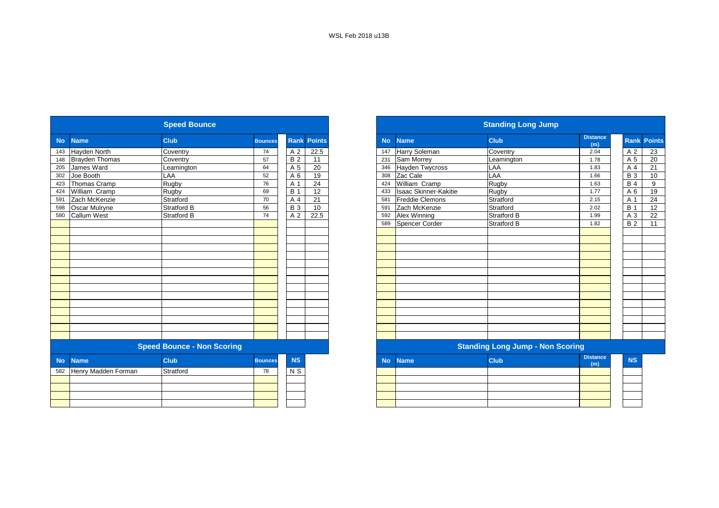|           |                       | <b>Speed Bounce</b>               |                |                 |                    |           |                        | <b>Standing Long Jump</b>               |                        |
|-----------|-----------------------|-----------------------------------|----------------|-----------------|--------------------|-----------|------------------------|-----------------------------------------|------------------------|
| <b>No</b> | <b>Name</b>           | Club                              | <b>Bounces</b> |                 | <b>Rank Points</b> | <b>No</b> | <b>Name</b>            | <b>Club</b>                             | <b>Distance</b><br>(m) |
| 143       | <b>Hayden North</b>   | Coventry                          | 74             | A 2             | 22.5               | 147       | Harry Soleman          | Coventry                                | 2.04                   |
| 148       | <b>Brayden Thomas</b> | Coventry                          | 57             | <b>B2</b>       | 11                 | 231       | Sam Morrey             | Leamington                              | 1.78                   |
| 205       | James Ward            | Leamington                        | 64             | A 5             | 20                 | 346       | <b>Hayden Twycross</b> | LAA                                     | 1.83                   |
| 302       | Joe Booth             | LAA                               | 52             | A 6             | 19                 | 308       | Zac Cale               | LAA                                     | 1.66                   |
| 423       | Thomas Cramp          | Rugby                             | 76             | A 1             | 24                 | 424       | William Cramp          | Rugby                                   | 1.63                   |
| 424       | William Cramp         | Rugby                             | 69             | <b>B</b> 1      | 12                 | 433       | Isaac Skinner-Kakitie  | Rugby                                   | 1.77                   |
| 591       | Zach McKenzie         | Stratford                         | 70             | A 4             | 21                 | 581       | <b>Freddie Clemons</b> | Stratford                               | 2.15                   |
| 598       | <b>Oscar Mulryne</b>  | Stratford B                       | 56             | $\overline{B}3$ | 10                 | 591       | Zach McKenzie          | Stratford                               | 2.02                   |
| 580       | Callum West           | Stratford B                       | 74             | A <sub>2</sub>  | 22.5               | 592       | Alex Winning           | <b>Stratford B</b>                      | 1.99                   |
|           |                       |                                   |                |                 |                    | 589       | Spencer Corder         | <b>Stratford B</b>                      | 1.82                   |
|           |                       |                                   |                |                 |                    |           |                        |                                         |                        |
|           |                       |                                   |                |                 |                    |           |                        |                                         |                        |
|           |                       |                                   |                |                 |                    |           |                        |                                         |                        |
|           |                       |                                   |                |                 |                    |           |                        |                                         |                        |
|           |                       |                                   |                |                 |                    |           |                        |                                         |                        |
|           |                       |                                   |                |                 |                    |           |                        |                                         |                        |
|           |                       |                                   |                |                 |                    |           |                        |                                         |                        |
|           |                       |                                   |                |                 |                    |           |                        |                                         |                        |
|           |                       |                                   |                |                 |                    |           |                        |                                         |                        |
|           |                       |                                   |                |                 |                    |           |                        |                                         |                        |
|           |                       |                                   |                |                 |                    |           |                        |                                         |                        |
|           |                       |                                   |                |                 |                    |           |                        |                                         |                        |
|           |                       |                                   |                |                 |                    |           |                        |                                         |                        |
|           |                       |                                   |                |                 |                    |           |                        |                                         |                        |
|           |                       | <b>Speed Bounce - Non Scoring</b> |                |                 |                    |           |                        | <b>Standing Long Jump - Non Scoring</b> |                        |
| <b>No</b> | <b>Name</b>           | <b>Club</b>                       | <b>Bounces</b> | <b>NS</b>       |                    | <b>No</b> | <b>Name</b>            | <b>Club</b>                             | <b>Distance</b><br>(m) |
| 582       | Henry Madden Forman   | Stratford                         | 78             | N <sub>S</sub>  |                    |           |                        |                                         |                        |
|           |                       |                                   |                |                 |                    |           |                        |                                         |                        |
|           |                       |                                   |                |                 |                    |           |                        |                                         |                        |
|           |                       |                                   |                |                 |                    |           |                        |                                         |                        |
|           |                       |                                   |                |                 |                    |           |                        |                                         |                        |
|           |                       |                                   |                |                 |                    |           |                        |                                         |                        |

|           |                       | <b>Speed Bounce</b>               |                |             |                 |
|-----------|-----------------------|-----------------------------------|----------------|-------------|-----------------|
|           | <b>Name</b>           | <b>Club</b>                       | <b>Bounces</b> | <b>Rank</b> | <b>Points</b>   |
|           | <b>Hayden North</b>   | Coventry                          | 74             | A 2         | 22.5            |
|           | <b>Brayden Thomas</b> | Coventry                          | 57             | <b>B2</b>   | 11              |
|           | James Ward            | Leamington                        | 64             | A 5         | 20              |
|           | Joe Booth             | LAA                               | 52             | A 6         | 19              |
|           | Thomas Cramp          | Rugby                             | 76             | A 1         | 24              |
|           | William Cramp         | Rugby                             | 69             | <b>B</b> 1  | $\overline{12}$ |
|           | Zach McKenzie         | Stratford                         | 70             | A 4         | 21              |
|           | <b>Oscar Mulryne</b>  | Stratford B                       | 56             | <b>B</b> 3  | 10              |
| 580       | <b>Callum West</b>    | <b>Stratford B</b>                | 74             | A 2         | 22.5            |
|           |                       |                                   |                |             |                 |
|           |                       |                                   |                |             |                 |
|           |                       |                                   |                |             |                 |
|           |                       |                                   |                |             |                 |
|           |                       |                                   |                |             |                 |
|           |                       |                                   |                |             |                 |
|           |                       |                                   |                |             |                 |
|           |                       |                                   |                |             |                 |
|           |                       |                                   |                |             |                 |
|           |                       |                                   |                |             |                 |
|           |                       |                                   |                |             |                 |
|           |                       |                                   |                |             |                 |
|           |                       |                                   |                |             |                 |
|           |                       |                                   |                |             |                 |
|           |                       |                                   |                |             |                 |
|           |                       | <b>Speed Bounce - Non Scoring</b> |                |             |                 |
| <b>No</b> | <b>Name</b>           | <b>Club</b>                       | <b>Bounces</b> | <b>NS</b>   |                 |
| 582       | Henry Madden Forman   | Stratford                         | 78             | N S         |                 |
|           |                       |                                   |                |             |                 |
|           |                       |                                   |                |             |                 |
|           |                       |                                   |                |             |                 |
|           |                       |                                   |                |             |                 |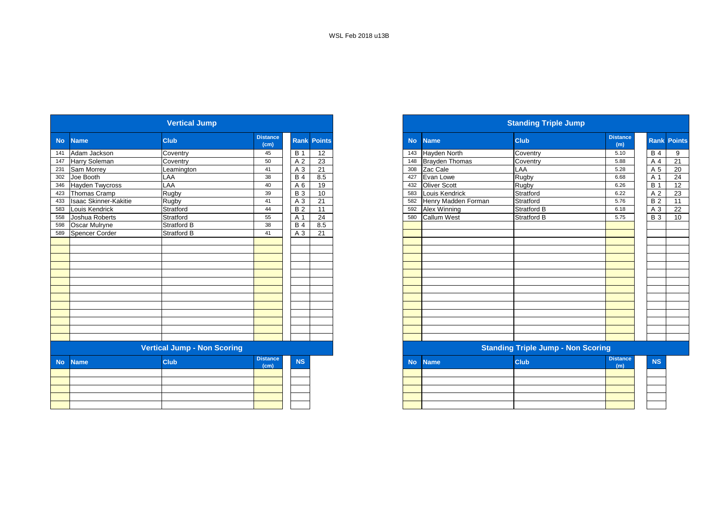|           |                        | <b>Vertical Jump</b>               |                         |                |                    |
|-----------|------------------------|------------------------------------|-------------------------|----------------|--------------------|
| <b>No</b> | <b>Name</b>            | Club                               | <b>Distance</b><br>(cm) |                | <b>Rank Points</b> |
| 141       | Adam Jackson           | Coventry                           | 45                      | <b>B</b> 1     | 12                 |
| 147       | Harry Soleman          | Coventry                           | 50                      | A <sub>2</sub> | 23                 |
| 231       | Sam Morrey             | Leamington                         | 41                      | A <sub>3</sub> | 21                 |
| 302       | Joe Booth              | LAA                                | 38                      | <b>B4</b>      | 8.5                |
| 346       | <b>Hayden Twycross</b> | LAA                                | 40                      | A 6            | 19                 |
| 423       | Thomas Cramp           | Rugby                              | 39                      | <b>B3</b>      | 10                 |
| 433       | Isaac Skinner-Kakitie  | Rugby                              | 41                      | A <sub>3</sub> | 21                 |
| 583       | Louis Kendrick         | Stratford                          | 44                      | <b>B2</b>      | 11                 |
| 558       | Joshua Roberts         | Stratford                          | 55                      | A 1            | 24                 |
| 598       | Oscar Mulryne          | Stratford B                        | 38                      | <b>B4</b>      | 8.5                |
| 589       | Spencer Corder         | Stratford B                        | 41                      | A 3            | 21                 |
|           |                        |                                    |                         |                |                    |
|           |                        |                                    |                         |                |                    |
|           |                        |                                    |                         |                |                    |
|           |                        |                                    |                         |                |                    |
|           |                        |                                    |                         |                |                    |
|           |                        |                                    |                         |                |                    |
|           |                        |                                    |                         |                |                    |
|           |                        |                                    |                         |                |                    |
|           |                        |                                    |                         |                |                    |
|           |                        |                                    |                         |                |                    |
|           |                        |                                    |                         |                |                    |
|           |                        |                                    |                         |                |                    |
|           |                        |                                    |                         |                |                    |
|           |                        | <b>Vertical Jump - Non Scoring</b> |                         |                |                    |
| <b>No</b> | <b>Name</b>            | Club                               | <b>Distance</b><br>(cm) | <b>NS</b>      |                    |
|           |                        |                                    |                         |                |                    |
|           |                        |                                    |                         |                |                    |
|           |                        |                                    |                         |                |                    |
|           |                        |                                    |                         |                |                    |
|           |                        |                                    |                         |                |                    |
|           |                        |                                    |                         |                |                    |

|           |                           | <b>Vertical Jump</b>               |                         |            |                    |
|-----------|---------------------------|------------------------------------|-------------------------|------------|--------------------|
| <b>No</b> | <b>Name</b>               | <b>Club</b>                        | <b>Distance</b><br>(cm) |            | <b>Rank Points</b> |
|           | Adam Jackson              | Coventry                           | 45                      | <b>B</b> 1 | 12                 |
| 147       | <b>Harry Soleman</b>      | Coventry                           | 50                      | A 2        | 23                 |
| 231       | Sam Morrey                | Leamington                         | 41                      | A 3        | 21                 |
| 302       | Joe Booth                 | LAA                                | 38                      | <b>B</b> 4 | 8.5                |
|           | 346 Hayden Twycross       | LAA                                | 40                      | A 6        | 19                 |
|           | 423 Thomas Cramp          | Rugby                              | 39                      | <b>B</b> 3 | 10                 |
|           | 433 Isaac Skinner-Kakitie | Rugby                              | 41                      | A 3        | 21                 |
| 583       | Louis Kendrick            | Stratford                          | 44                      | <b>B2</b>  | 11                 |
| 558       | Joshua Roberts            | Stratford                          | 55                      | A 1        | 24                 |
| 598       | <b>Oscar Mulryne</b>      | <b>Stratford B</b>                 | 38                      | <b>B</b> 4 | 8.5                |
| 589       | <b>Spencer Corder</b>     | <b>Stratford B</b>                 | 41                      | A 3        | 21                 |
|           |                           |                                    |                         |            |                    |
|           |                           |                                    |                         |            |                    |
|           |                           |                                    |                         |            |                    |
|           |                           |                                    |                         |            |                    |
|           |                           |                                    |                         |            |                    |
|           |                           |                                    |                         |            |                    |
|           |                           |                                    |                         |            |                    |
|           |                           |                                    |                         |            |                    |
|           |                           |                                    |                         |            |                    |
|           |                           |                                    |                         |            |                    |
|           |                           |                                    |                         |            |                    |
|           |                           |                                    |                         |            |                    |
|           |                           |                                    |                         |            |                    |
|           |                           | <b>Vertical Jump - Non Scoring</b> |                         |            |                    |
| <b>No</b> | <b>Name</b>               | <b>Club</b>                        | <b>Distance</b><br>(cm) | <b>NS</b>  |                    |
|           |                           |                                    |                         |            |                    |
|           |                           |                                    |                         |            |                    |
|           |                           |                                    |                         |            |                    |
|           |                           |                                    |                         |            |                    |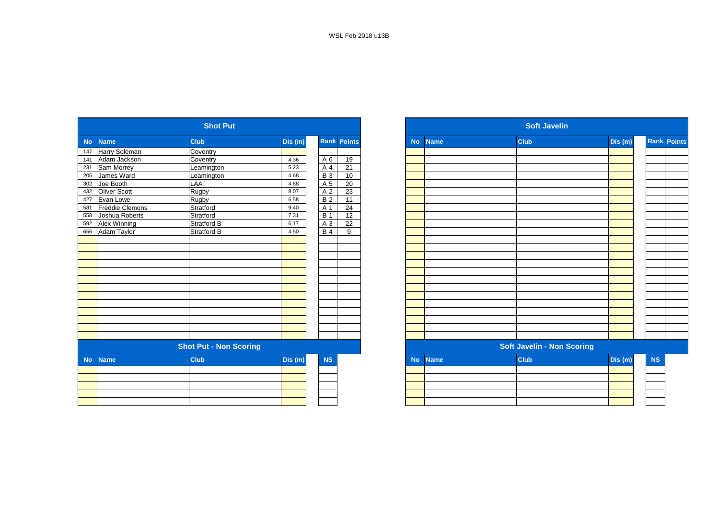|           |                        | <b>Shot Put</b>               |         |                 |                 |           |             | <b>Soft Javelin</b>               |         |
|-----------|------------------------|-------------------------------|---------|-----------------|-----------------|-----------|-------------|-----------------------------------|---------|
| <b>No</b> | <b>Name</b>            | <b>Club</b>                   | Dis (m) | Rank            | <b>Points</b>   | <b>No</b> | <b>Name</b> | <b>Club</b>                       | Dis(m)  |
| 147       | Harry Soleman          | Coventry                      |         |                 |                 |           |             |                                   |         |
| 141       | Adam Jackson           | Coventry                      | 4.36    | A 6             | 19              |           |             |                                   |         |
| 231       | Sam Morrey             | Leamington                    | 5.23    | A 4             | $\overline{21}$ |           |             |                                   |         |
| 205       | James Ward             | Leamington                    | 4.68    | $\overline{B}3$ | 10              |           |             |                                   |         |
| 302       | Joe Booth              | LAA                           | 4.88    | A 5             | $\overline{20}$ |           |             |                                   |         |
| 432       | Oliver Scott           | Rugby                         | 8.07    | A 2             | 23              |           |             |                                   |         |
| 427       | Evan Lowe              | Rugby                         | 6.58    | <b>B2</b>       | $\overline{11}$ |           |             |                                   |         |
| 581       | <b>Freddie Clemons</b> | Stratford                     | 9.40    | A 1             | 24              |           |             |                                   |         |
| 558       | Joshua Roberts         | Stratford                     | 7.31    | <b>B</b> 1      | 12              |           |             |                                   |         |
| 592       | Alex Winning           | Stratford B                   | 6.17    | A 3             | 22              |           |             |                                   |         |
| 656       | Adam Taylor            | Stratford B                   | 4.50    | <b>B4</b>       | 9               |           |             |                                   |         |
|           |                        |                               |         |                 |                 |           |             |                                   |         |
|           |                        |                               |         |                 |                 |           |             |                                   |         |
|           |                        |                               |         |                 |                 |           |             |                                   |         |
|           |                        |                               |         |                 |                 |           |             |                                   |         |
|           |                        |                               |         |                 |                 |           |             |                                   |         |
|           |                        |                               |         |                 |                 |           |             |                                   |         |
|           |                        |                               |         |                 |                 |           |             |                                   |         |
|           |                        |                               |         |                 |                 |           |             |                                   |         |
|           |                        |                               |         |                 |                 |           |             |                                   |         |
|           |                        |                               |         |                 |                 |           |             |                                   |         |
|           |                        |                               |         |                 |                 |           |             |                                   |         |
|           |                        |                               |         |                 |                 |           |             |                                   |         |
|           |                        |                               |         |                 |                 |           |             |                                   |         |
|           |                        | <b>Shot Put - Non Scoring</b> |         |                 |                 |           |             | <b>Soft Javelin - Non Scoring</b> |         |
| <b>No</b> | <b>Name</b>            | <b>Club</b>                   | Dis(m)  | NS              |                 | <b>No</b> | <b>Name</b> | <b>Club</b>                       | Dis (m) |
|           |                        |                               |         |                 |                 |           |             |                                   |         |
|           |                        |                               |         |                 |                 |           |             |                                   |         |
|           |                        |                               |         |                 |                 |           |             |                                   |         |
|           |                        |                               |         |                 |                 |           |             |                                   |         |
|           |                        |                               |         |                 |                 |           |             |                                   |         |

| <b>Rank Points</b><br><b>Club</b><br>Dis(m)<br><b>Club</b><br>Dis (m)<br><b>No</b><br><b>Name</b><br>Coventry<br>Coventry<br>A 6<br>19<br>4.36<br>21<br>5.23<br>A 4<br>Leamington<br>$\overline{B}3$<br>10<br>4.68<br>Leamington<br>LAA<br>A 5<br>20<br>4.88<br>23<br>Rugby<br>A 2<br>8.07<br>B <sub>2</sub><br>11<br>Rugby<br>6.58<br>Stratford<br>A 1<br>24<br>9.40<br>Stratford<br><b>B</b> 1<br>12<br>7.31<br><b>Stratford B</b><br>$A_3$<br>22<br>6.17<br>B <sub>4</sub><br><b>Stratford B</b><br>4.50<br>9<br><b>Soft Javelin - Non Scoring</b><br><b>Shot Put - Non Scoring</b><br>Dis(m)<br><b>Club</b><br><b>NS</b><br><b>Club</b><br>Dis(m)<br><b>Name</b><br><b>No</b> |
|-----------------------------------------------------------------------------------------------------------------------------------------------------------------------------------------------------------------------------------------------------------------------------------------------------------------------------------------------------------------------------------------------------------------------------------------------------------------------------------------------------------------------------------------------------------------------------------------------------------------------------------------------------------------------------------|
|                                                                                                                                                                                                                                                                                                                                                                                                                                                                                                                                                                                                                                                                                   |
|                                                                                                                                                                                                                                                                                                                                                                                                                                                                                                                                                                                                                                                                                   |
|                                                                                                                                                                                                                                                                                                                                                                                                                                                                                                                                                                                                                                                                                   |
|                                                                                                                                                                                                                                                                                                                                                                                                                                                                                                                                                                                                                                                                                   |
|                                                                                                                                                                                                                                                                                                                                                                                                                                                                                                                                                                                                                                                                                   |
|                                                                                                                                                                                                                                                                                                                                                                                                                                                                                                                                                                                                                                                                                   |
|                                                                                                                                                                                                                                                                                                                                                                                                                                                                                                                                                                                                                                                                                   |
|                                                                                                                                                                                                                                                                                                                                                                                                                                                                                                                                                                                                                                                                                   |
|                                                                                                                                                                                                                                                                                                                                                                                                                                                                                                                                                                                                                                                                                   |
|                                                                                                                                                                                                                                                                                                                                                                                                                                                                                                                                                                                                                                                                                   |
|                                                                                                                                                                                                                                                                                                                                                                                                                                                                                                                                                                                                                                                                                   |
|                                                                                                                                                                                                                                                                                                                                                                                                                                                                                                                                                                                                                                                                                   |
|                                                                                                                                                                                                                                                                                                                                                                                                                                                                                                                                                                                                                                                                                   |
|                                                                                                                                                                                                                                                                                                                                                                                                                                                                                                                                                                                                                                                                                   |
|                                                                                                                                                                                                                                                                                                                                                                                                                                                                                                                                                                                                                                                                                   |
|                                                                                                                                                                                                                                                                                                                                                                                                                                                                                                                                                                                                                                                                                   |
|                                                                                                                                                                                                                                                                                                                                                                                                                                                                                                                                                                                                                                                                                   |
|                                                                                                                                                                                                                                                                                                                                                                                                                                                                                                                                                                                                                                                                                   |
|                                                                                                                                                                                                                                                                                                                                                                                                                                                                                                                                                                                                                                                                                   |
|                                                                                                                                                                                                                                                                                                                                                                                                                                                                                                                                                                                                                                                                                   |
|                                                                                                                                                                                                                                                                                                                                                                                                                                                                                                                                                                                                                                                                                   |
|                                                                                                                                                                                                                                                                                                                                                                                                                                                                                                                                                                                                                                                                                   |
|                                                                                                                                                                                                                                                                                                                                                                                                                                                                                                                                                                                                                                                                                   |
|                                                                                                                                                                                                                                                                                                                                                                                                                                                                                                                                                                                                                                                                                   |
|                                                                                                                                                                                                                                                                                                                                                                                                                                                                                                                                                                                                                                                                                   |
|                                                                                                                                                                                                                                                                                                                                                                                                                                                                                                                                                                                                                                                                                   |
|                                                                                                                                                                                                                                                                                                                                                                                                                                                                                                                                                                                                                                                                                   |
|                                                                                                                                                                                                                                                                                                                                                                                                                                                                                                                                                                                                                                                                                   |
|                                                                                                                                                                                                                                                                                                                                                                                                                                                                                                                                                                                                                                                                                   |
|                                                                                                                                                                                                                                                                                                                                                                                                                                                                                                                                                                                                                                                                                   |
|                                                                                                                                                                                                                                                                                                                                                                                                                                                                                                                                                                                                                                                                                   |
|                                                                                                                                                                                                                                                                                                                                                                                                                                                                                                                                                                                                                                                                                   |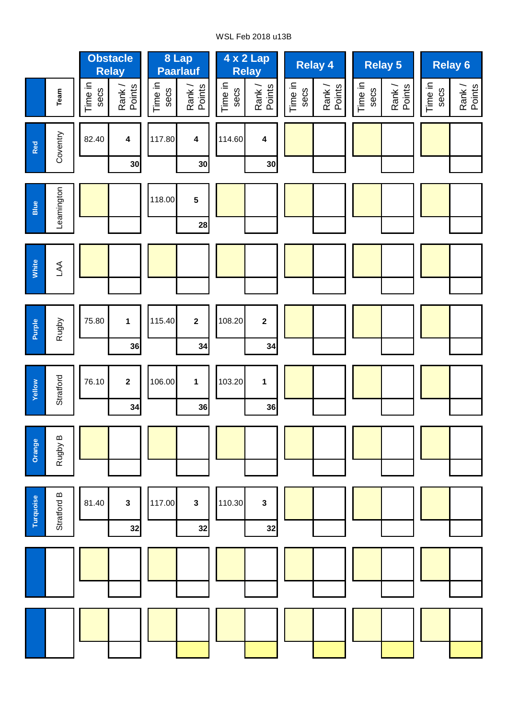## WSL Feb 2018 u13B

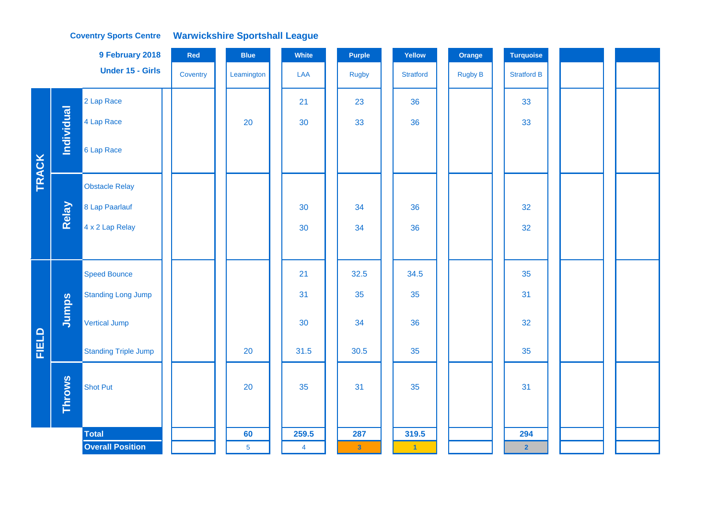|       |                   | 9 February 2018             | Red      | <b>Blue</b>    | White          | Purple         | Yellow           | Orange         | <b>Turquoise</b>   |  |
|-------|-------------------|-----------------------------|----------|----------------|----------------|----------------|------------------|----------------|--------------------|--|
|       |                   | <b>Under 15 - Girls</b>     | Coventry | Leamington     | LAA            | <b>Rugby</b>   | <b>Stratford</b> | <b>Rugby B</b> | <b>Stratford B</b> |  |
|       |                   | 2 Lap Race                  |          |                | 21             | 23             | 36               |                | 33                 |  |
|       | <b>Individual</b> | 4 Lap Race                  |          | 20             | 30             | 33             | 36               |                | 33                 |  |
| TRACK |                   | 6 Lap Race                  |          |                |                |                |                  |                |                    |  |
|       |                   | <b>Obstacle Relay</b>       |          |                |                |                |                  |                |                    |  |
|       | Relay             | 8 Lap Paarlauf              |          |                | 30             | 34             | 36               |                | 32                 |  |
|       |                   | 4 x 2 Lap Relay             |          |                | 30             | 34             | 36               |                | 32                 |  |
|       |                   |                             |          |                |                |                |                  |                |                    |  |
|       |                   | <b>Speed Bounce</b>         |          |                | 21             | 32.5           | 34.5             |                | 35                 |  |
|       |                   | <b>Standing Long Jump</b>   |          |                | 31             | 35             | 35               |                | 31                 |  |
|       | Jumps             | Vertical Jump               |          |                | 30             | 34             | 36               |                | 32                 |  |
| FIELD |                   | <b>Standing Triple Jump</b> |          | 20             | 31.5           | 30.5           | 35               |                | 35                 |  |
|       | <b>Throws</b>     | <b>Shot Put</b>             |          | 20             | 35             | 31             | 35               |                | 31                 |  |
|       |                   | <b>Total</b>                |          | 60             | 259.5          | 287            | 319.5            |                | 294                |  |
|       |                   | <b>Overall Position</b>     |          | $\overline{5}$ | $\overline{4}$ | $\overline{3}$ | $-1$             |                | $\overline{2}$     |  |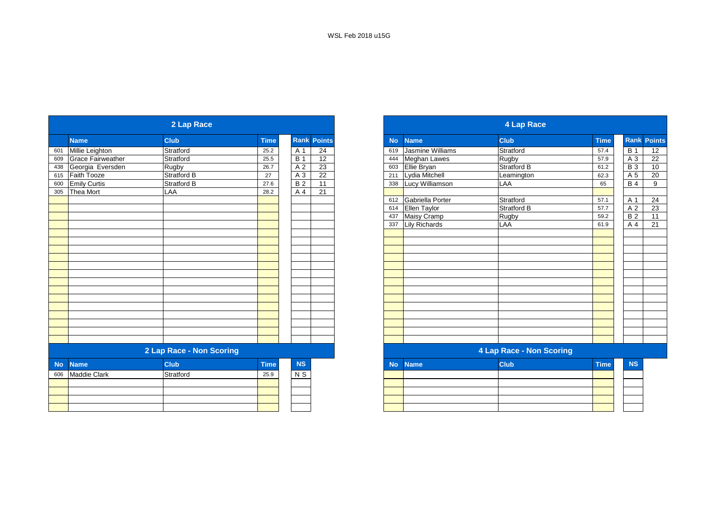|           |                          | 2 Lap Race               |             |                    |                 |
|-----------|--------------------------|--------------------------|-------------|--------------------|-----------------|
|           | <b>Name</b>              | <b>Club</b>              | <b>Time</b> | <b>Rank Points</b> |                 |
| 601       | Millie Leighton          | Stratford                | 25.2        | A 1                | $\overline{24}$ |
| 609       | <b>Grace Fairweather</b> | Stratford                | 25.5        | $\overline{B}$ 1   | $\overline{12}$ |
| 438       | Georgia Eversden         | Rugby                    | 26.7        | A <sub>2</sub>     | $\overline{23}$ |
| 615       | Faith Tooze              | Stratford B              | 27          | $A_3$              | 22              |
| 600       | <b>Emily Curtis</b>      | Stratford B              | 27.6        | B <sub>2</sub>     | 11              |
| 305       | Thea Mort                | LAA                      | 28.2        | A 4                | 21              |
|           |                          |                          |             |                    |                 |
|           |                          |                          |             |                    |                 |
|           |                          |                          |             |                    |                 |
|           |                          |                          |             |                    |                 |
|           |                          |                          |             |                    |                 |
|           |                          |                          |             |                    |                 |
|           |                          |                          |             |                    |                 |
|           |                          |                          |             |                    |                 |
|           |                          |                          |             |                    |                 |
|           |                          |                          |             |                    |                 |
|           |                          |                          |             |                    |                 |
|           |                          |                          |             |                    |                 |
|           |                          |                          |             |                    |                 |
|           |                          |                          |             |                    |                 |
|           |                          |                          |             |                    |                 |
|           |                          |                          |             |                    |                 |
|           |                          |                          |             |                    |                 |
|           |                          |                          |             |                    |                 |
|           |                          | 2 Lap Race - Non Scoring |             |                    |                 |
| <b>No</b> | <b>Name</b>              | <b>Club</b>              | <b>Time</b> | <b>NS</b>          |                 |
| 606       | <b>Maddie Clark</b>      | Stratford                | 25.9        | N <sub>S</sub>     |                 |
|           |                          |                          |             |                    |                 |
|           |                          |                          |             |                    |                 |
|           |                          |                          |             |                    |                 |
|           |                          |                          |             |                    |                 |

|                     | 2 Lap Race               |             |            |                    |
|---------------------|--------------------------|-------------|------------|--------------------|
| <b>Name</b>         | <b>Club</b>              | <b>Time</b> |            | <b>Rank Points</b> |
| Millie Leighton     | Stratford                | 25.2        | A 1        | 24                 |
| Grace Fairweather   | Stratford                | 25.5        | <b>B</b> 1 | 12                 |
| Georgia Eversden    | Rugby                    | 26.7        | A 2        | 23                 |
| Faith Tooze         | Stratford B              | 27          | $A_3$      | 22                 |
| <b>Emily Curtis</b> | Stratford B              | 27.6        | <b>B2</b>  | 11                 |
| Thea Mort           | LAA                      | 28.2        | A 4        | 21                 |
|                     |                          |             |            |                    |
|                     |                          |             |            |                    |
|                     |                          |             |            |                    |
|                     |                          |             |            |                    |
|                     |                          |             |            |                    |
|                     |                          |             |            |                    |
|                     |                          |             |            |                    |
|                     |                          |             |            |                    |
|                     |                          |             |            |                    |
|                     |                          |             |            |                    |
|                     |                          |             |            |                    |
|                     |                          |             |            |                    |
|                     |                          |             |            |                    |
|                     |                          |             |            |                    |
|                     |                          |             |            |                    |
|                     |                          |             |            |                    |
|                     |                          |             |            |                    |
|                     |                          |             |            |                    |
|                     | 2 Lap Race - Non Scoring |             |            |                    |
| <b>Name</b>         | <b>Club</b>              | <b>Time</b> | <b>NS</b>  |                    |
| Maddie Clark        | Stratford                | 25.9        | N S        |                    |
|                     |                          |             |            |                    |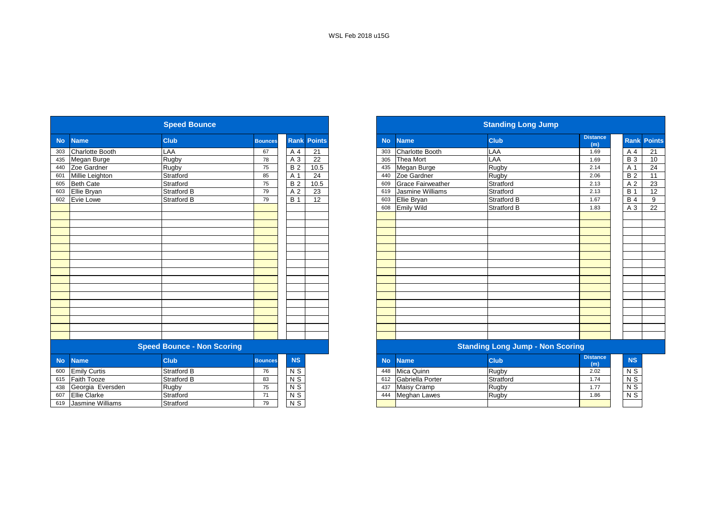|           |                        | <b>Speed Bounce</b>               |                |                 |                    |           |                          | <b>Standing Long Jump</b>               |                        |
|-----------|------------------------|-----------------------------------|----------------|-----------------|--------------------|-----------|--------------------------|-----------------------------------------|------------------------|
| <b>No</b> | <b>Name</b>            | <b>Club</b>                       | <b>Bounces</b> |                 | <b>Rank Points</b> | <b>No</b> | <b>Name</b>              | <b>Club</b>                             | <b>Distance</b><br>(m) |
| 303       | <b>Charlotte Booth</b> | LAA                               | 67             | A 4             | 21                 | 303       | <b>Charlotte Booth</b>   | LAA                                     | 1.69                   |
| 435       | Megan Burge            | Rugby                             | 78             | A 3             | 22                 | 305       | Thea Mort                | LAA                                     | 1.69                   |
| 440       | Zoe Gardner            | Rugby                             | 75             | <b>B2</b>       | 10.5               | 435       | Megan Burge              | Rugby                                   | 2.14                   |
| 601       | Millie Leighton        | Stratford                         | 85             | A 1             | 24                 | 440       | Zoe Gardner              | Rugby                                   | 2.06                   |
| 605       | <b>Beth Cate</b>       | Stratford                         | 75             | <b>B2</b>       | 10.5               | 609       | <b>Grace Fairweather</b> | Stratford                               | 2.13                   |
| 603       | Ellie Bryan            | <b>Stratford B</b>                | 79             | A <sub>2</sub>  | 23                 | 619       | Jasmine Williams         | Stratford                               | 2.13                   |
| 602       | <b>Evie Lowe</b>       | <b>Stratford B</b>                | 79             | <b>B</b> 1      | 12                 | 603       | Ellie Bryan              | <b>Stratford B</b>                      | 1.67                   |
|           |                        |                                   |                |                 |                    | 608       | <b>Emily Wild</b>        | Stratford B                             | 1.83                   |
|           |                        |                                   |                |                 |                    |           |                          |                                         |                        |
|           |                        |                                   |                |                 |                    |           |                          |                                         |                        |
|           |                        |                                   |                |                 |                    |           |                          |                                         |                        |
|           |                        |                                   |                |                 |                    |           |                          |                                         |                        |
|           |                        |                                   |                |                 |                    |           |                          |                                         |                        |
|           |                        |                                   |                |                 |                    |           |                          |                                         |                        |
|           |                        |                                   |                |                 |                    |           |                          |                                         |                        |
|           |                        |                                   |                |                 |                    |           |                          |                                         |                        |
|           |                        |                                   |                |                 |                    |           |                          |                                         |                        |
|           |                        |                                   |                |                 |                    |           |                          |                                         |                        |
|           |                        |                                   |                |                 |                    |           |                          |                                         |                        |
|           |                        |                                   |                |                 |                    |           |                          |                                         |                        |
|           |                        |                                   |                |                 |                    |           |                          |                                         |                        |
|           |                        |                                   |                |                 |                    |           |                          |                                         |                        |
|           |                        |                                   |                |                 |                    |           |                          |                                         |                        |
|           |                        |                                   |                |                 |                    |           |                          |                                         |                        |
|           |                        | <b>Speed Bounce - Non Scoring</b> |                |                 |                    |           |                          | <b>Standing Long Jump - Non Scoring</b> |                        |
| <b>No</b> | <b>Name</b>            | <b>Club</b>                       | <b>Bounces</b> | <b>NS</b>       |                    | <b>No</b> | <b>Name</b>              | <b>Club</b>                             | <b>Distance</b><br>(m) |
| 600       | <b>Emily Curtis</b>    | <b>Stratford B</b>                | 76             | N <sub>S</sub>  |                    | 448       | Mica Quinn               | Rugby                                   | 2.02                   |
| 615       | <b>Faith Tooze</b>     | <b>Stratford B</b>                | 83             | $\overline{NS}$ |                    | 612       | Gabriella Porter         | Stratford                               | 1.74                   |
| 438       | Georgia Eversden       | Rugby                             | 75             | $N$ S           |                    | 437       | <b>Maisy Cramp</b>       | Rugby                                   | 1.77                   |
| 607       | <b>Ellie Clarke</b>    | Stratford                         | 71             | N <sub>S</sub>  |                    | 444       | Meghan Lawes             | Rugby                                   | 1.86                   |
| 619       | Jasmine Williams       | Stratford                         | 79             | N S             |                    |           |                          |                                         |                        |
|           |                        |                                   |                |                 |                    |           |                          |                                         |                        |

|                            | <b>Speed Bounce</b>               |                |                |               |
|----------------------------|-----------------------------------|----------------|----------------|---------------|
| <b>No</b><br><b>Name</b>   | <b>Club</b>                       | <b>Bounces</b> | <b>Rank</b>    | <b>Points</b> |
| <b>Charlotte Booth</b>     | LAA                               | 67             | A 4            | 21            |
| 435<br>Megan Burge         | Rugby                             | 78             | A 3            | 22            |
| Zoe Gardner<br>440         | Rugby                             | 75             | <b>B2</b>      | 10.5          |
| Millie Leighton            | Stratford                         | 85             | A 1            | 24            |
| <b>Beth Cate</b>           | Stratford                         | 75             | <b>B2</b>      | 10.5          |
| 603<br>Ellie Bryan         | <b>Stratford B</b>                | 79             | A <sub>2</sub> | 23            |
| Evie Lowe                  | Stratford B                       | 79             | <b>B</b> 1     | 12            |
|                            |                                   |                |                |               |
|                            |                                   |                |                |               |
|                            |                                   |                |                |               |
|                            |                                   |                |                |               |
|                            |                                   |                |                |               |
|                            |                                   |                |                |               |
|                            |                                   |                |                |               |
|                            |                                   |                |                |               |
|                            |                                   |                |                |               |
|                            |                                   |                |                |               |
|                            |                                   |                |                |               |
|                            |                                   |                |                |               |
|                            |                                   |                |                |               |
|                            |                                   |                |                |               |
|                            |                                   |                |                |               |
|                            |                                   |                |                |               |
|                            |                                   |                |                |               |
|                            | <b>Speed Bounce - Non Scoring</b> |                |                |               |
| <b>No</b><br><b>Name</b>   | <b>Club</b>                       | <b>Bounces</b> | <b>NS</b>      |               |
| 600<br><b>Emily Curtis</b> | <b>Stratford B</b>                | 76             | $N$ S          |               |
| <b>Faith Tooze</b><br>615  | <b>Stratford B</b>                | 83             | $N$ S          |               |
| 438<br>Georgia Eversden    | Rugby                             | 75             | $N$ S          |               |
| 607<br><b>Ellie Clarke</b> | Stratford                         | 71             | N <sub>S</sub> |               |
| 619 Jasmine Williams       | Stratford                         | 79             | N <sub>S</sub> |               |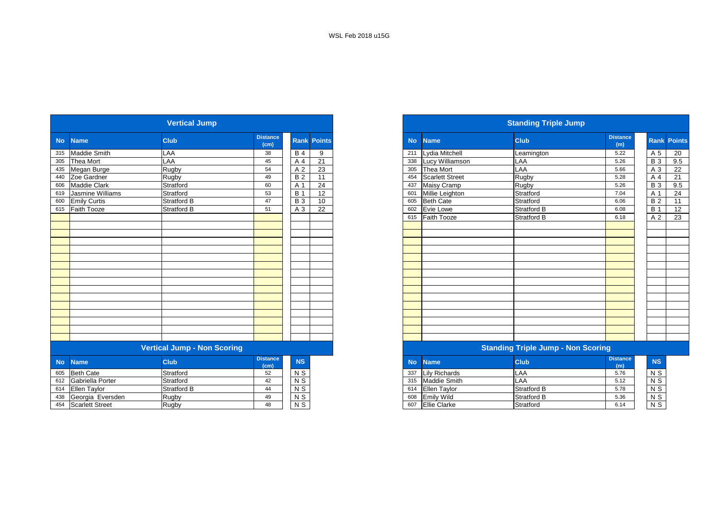|           |                        | <b>Vertical Jump</b>               |                         |                  |                 |           |                        | <b>Standing Triple Jump</b>               |                        |                 |  |
|-----------|------------------------|------------------------------------|-------------------------|------------------|-----------------|-----------|------------------------|-------------------------------------------|------------------------|-----------------|--|
| <b>No</b> | <b>Name</b>            | <b>Club</b>                        | <b>Distance</b><br>(cm) | <b>Rank</b>      | <b>Points</b>   | <b>No</b> | <b>Name</b>            | <b>Club</b>                               | <b>Distance</b><br>(m) | Rank Po         |  |
| 315       | <b>Maddie Smith</b>    | LAA                                | 38                      | <b>B</b> 4       | 9               | 211       | Lydia Mitchell         | Leamington                                | 5.22                   | A <sub>5</sub>  |  |
| 305       | <b>Thea Mort</b>       | LAA                                | 45                      | A 4              | 21              | 338       | Lucy Williamson        | LAA                                       | 5.26                   | $B_3$           |  |
| 435       | Megan Burge            | Rugby                              | 54                      | A 2              | 23              | 305       | <b>Thea Mort</b>       | LAA                                       | 5.66                   | A 3             |  |
| 440       | Zoe Gardner            | Rugby                              | 49                      | $\overline{B2}$  | $\overline{11}$ | 454       | <b>Scarlett Street</b> | Rugby                                     | 5.28                   | A 4             |  |
| 606       | <b>Maddie Clark</b>    | Stratford                          | 60                      | A 1              | 24              | 437       | Maisy Cramp            | Rugby                                     | 5.26                   | $\overline{B}3$ |  |
| 619       | Jasmine Williams       | Stratford                          | 53                      | <b>B</b> 1       | 12              | 601       | Millie Leighton        | Stratford                                 | 7.04                   | A 1             |  |
| 600       | <b>Emily Curtis</b>    | <b>Stratford B</b>                 | 47                      | $\overline{B}$ 3 | 10              | 605       | <b>Beth Cate</b>       | Stratford                                 | 6.06                   | $\overline{B}$  |  |
| 615       | <b>Faith Tooze</b>     | Stratford B                        | 51                      | A 3              | 22              | 602       | Evie Lowe              | Stratford B                               | 6.08                   | B <sub>1</sub>  |  |
|           |                        |                                    |                         |                  |                 | 615       | Faith Tooze            | Stratford B                               | 6.18                   | A 2             |  |
|           |                        |                                    |                         |                  |                 |           |                        |                                           |                        |                 |  |
|           |                        |                                    |                         |                  |                 |           |                        |                                           |                        |                 |  |
|           |                        |                                    |                         |                  |                 |           |                        |                                           |                        |                 |  |
|           |                        |                                    |                         |                  |                 |           |                        |                                           |                        |                 |  |
|           |                        |                                    |                         |                  |                 |           |                        |                                           |                        |                 |  |
|           |                        |                                    |                         |                  |                 |           |                        |                                           |                        |                 |  |
|           |                        |                                    |                         |                  |                 |           |                        |                                           |                        |                 |  |
|           |                        |                                    |                         |                  |                 |           |                        |                                           |                        |                 |  |
|           |                        |                                    |                         |                  |                 |           |                        |                                           |                        |                 |  |
|           |                        |                                    |                         |                  |                 |           |                        |                                           |                        |                 |  |
|           |                        |                                    |                         |                  |                 |           |                        |                                           |                        |                 |  |
|           |                        |                                    |                         |                  |                 |           |                        |                                           |                        |                 |  |
|           |                        |                                    |                         |                  |                 |           |                        |                                           |                        |                 |  |
|           |                        |                                    |                         |                  |                 |           |                        |                                           |                        |                 |  |
|           |                        |                                    |                         |                  |                 |           |                        |                                           |                        |                 |  |
|           |                        | <b>Vertical Jump - Non Scoring</b> |                         |                  |                 |           |                        | <b>Standing Triple Jump - Non Scoring</b> |                        |                 |  |
| <b>No</b> | <b>Name</b>            | <b>Club</b>                        | <b>Distance</b><br>(cm) | NS               |                 | <b>No</b> | <b>Name</b>            | <b>Club</b>                               | <b>Distance</b><br>(m) | <b>NS</b>       |  |
| 605       | <b>Beth Cate</b>       | Stratford                          | 52                      | $N$ S            |                 | 337       | <b>Lily Richards</b>   | LAA                                       | 5.76                   | N S             |  |
| 612       | Gabriella Porter       | Stratford                          | 42                      | $N$ S            |                 | 315       | Maddie Smith           | LAA                                       | 5.12                   | $N$ S           |  |
| 614       | Ellen Taylor           | <b>Stratford B</b>                 | 44                      | $N$ S            |                 | 614       | Ellen Taylor           | <b>Stratford B</b>                        | 5.78                   | $N$ S           |  |
| 438       | Georgia Eversden       | Rugby                              | 49                      | $N$ S            |                 | 608       | <b>Emily Wild</b>      | <b>Stratford B</b>                        | 5.36                   | $N$ S           |  |
| 454       | <b>Scarlett Street</b> | <b>Rugby</b>                       | 48                      | N <sub>S</sub>   |                 | 607       | <b>Ellie Clarke</b>    | Stratford                                 | 6.14                   | $N$ S           |  |

|                      | <b>Vertical Jump</b> |                         |              |                    |
|----------------------|----------------------|-------------------------|--------------|--------------------|
| No Name              | <b>Club</b>          | <b>Distance</b><br>(cm) |              | <b>Rank Points</b> |
| 315 Maddie Smith     | <b>LAA</b>           | 38                      | <b>B</b> 4   | 9                  |
| 305 Thea Mort        | LAA                  | 45                      | A 4          | $\overline{21}$    |
| 435 Megan Burge      | Rugby                | 54                      | A 2          | 23                 |
| 440 Zoe Gardner      | Rugby                | 49                      | <b>B2</b>    | 11                 |
| 606 Maddie Clark     | Stratford            | 60                      | $A^{\prime}$ | 24                 |
| 619 Jasmine Williams | Stratford            | 53                      | <b>B</b> 1   | 12                 |
| 600 Emily Curtis     | Stratford B          | 47                      | <b>B</b> 3   | 10                 |
| 615 Faith Tooze      | Stratford B          | 51                      | A 3          | 22                 |
|                      |                      |                         |              |                    |
|                      |                      |                         |              |                    |
|                      |                      |                         |              |                    |
|                      |                      |                         |              |                    |
|                      |                      |                         |              |                    |
|                      |                      |                         |              |                    |
|                      |                      |                         |              |                    |
|                      |                      |                         |              |                    |
|                      |                      |                         |              |                    |
|                      |                      |                         |              |                    |
|                      |                      |                         |              |                    |
|                      |                      |                         |              |                    |
|                      |                      |                         |              |                    |
|                      |                      |                         |              |                    |
|                      |                      |                         |              |                    |
|                      |                      |                         |              |                    |

| <b>stance</b><br>(cm) | <b>NS</b>      | <b>No</b> | <b>Name</b>          | <b>Club</b> | <b>Distance</b><br>(m) | <b>NS</b>      |
|-----------------------|----------------|-----------|----------------------|-------------|------------------------|----------------|
| 52                    | N S            | 337       | Lily Richards        | LAA         | 5.76                   | N S            |
| 42                    | N S            | 315       | Maddie Smith         | LAA         | 5.12                   | N S            |
| 44                    | N S            | 614       | <b>Ellen Taylor</b>  | Stratford B | 5.78                   | N <sub>S</sub> |
| 49                    | N <sub>S</sub> | 608       | Emily Wild           | Stratford B | 5.36                   | $\overline{N}$ |
| 48                    | N <sub>S</sub> | 607       | <b>IEllie Clarke</b> | Stratford   | 6.14                   | N <sub>S</sub> |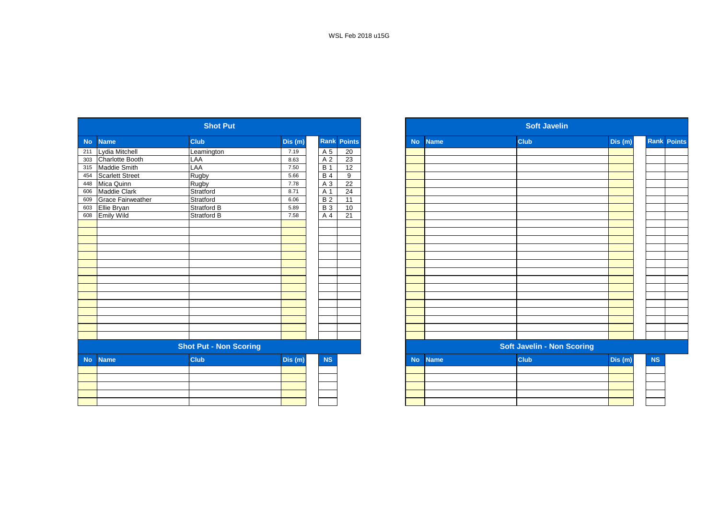|                |                          | <b>Shot Put</b>               |        |            |                    |           |             | <b>Soft Javelin</b>               |         |
|----------------|--------------------------|-------------------------------|--------|------------|--------------------|-----------|-------------|-----------------------------------|---------|
| N <sub>o</sub> | <b>Name</b>              | <b>Club</b>                   | Dis(m) |            | <b>Rank Points</b> | <b>No</b> | <b>Name</b> | <b>Club</b>                       | Dis (m) |
| 211            | Lydia Mitchell           | Leamington                    | 7.19   | A 5        | 20                 |           |             |                                   |         |
| 303            | Charlotte Booth          | LAA                           | 8.63   | A 2        | 23                 |           |             |                                   |         |
| 315            | <b>Maddie Smith</b>      | LAA                           | 7.50   | <b>B</b> 1 | 12                 |           |             |                                   |         |
| 454            | <b>Scarlett Street</b>   | Rugby                         | 5.66   | <b>B4</b>  | 9                  |           |             |                                   |         |
| 448            | Mica Quinn               | Rugby                         | 7.78   | A 3        | 22                 |           |             |                                   |         |
| 606            | Maddie Clark             | Stratford                     | 8.71   | A 1        | 24                 |           |             |                                   |         |
| 609            | <b>Grace Fairweather</b> | Stratford                     | 6.06   | <b>B2</b>  | 11                 |           |             |                                   |         |
| 603            | Ellie Bryan              | Stratford B                   | 5.89   | <b>B3</b>  | 10                 |           |             |                                   |         |
| 608            | <b>Emily Wild</b>        | <b>Stratford B</b>            | 7.58   | A 4        | 21                 |           |             |                                   |         |
|                |                          |                               |        |            |                    |           |             |                                   |         |
|                |                          |                               |        |            |                    |           |             |                                   |         |
|                |                          |                               |        |            |                    |           |             |                                   |         |
|                |                          |                               |        |            |                    |           |             |                                   |         |
|                |                          |                               |        |            |                    |           |             |                                   |         |
|                |                          |                               |        |            |                    |           |             |                                   |         |
|                |                          |                               |        |            |                    |           |             |                                   |         |
|                |                          |                               |        |            |                    |           |             |                                   |         |
|                |                          |                               |        |            |                    |           |             |                                   |         |
|                |                          |                               |        |            |                    |           |             |                                   |         |
|                |                          |                               |        |            |                    |           |             |                                   |         |
|                |                          |                               |        |            |                    |           |             |                                   |         |
|                |                          |                               |        |            |                    |           |             |                                   |         |
|                |                          |                               |        |            |                    |           |             |                                   |         |
|                |                          |                               |        |            |                    |           |             |                                   |         |
|                |                          | <b>Shot Put - Non Scoring</b> |        |            |                    |           |             | <b>Soft Javelin - Non Scoring</b> |         |
| <b>No</b>      | <b>Name</b>              | <b>Club</b>                   | Dis(m) | <b>NS</b>  |                    | <b>No</b> | <b>Name</b> | <b>Club</b>                       | Dis (m) |
|                |                          |                               |        |            |                    |           |             |                                   |         |
|                |                          |                               |        |            |                    |           |             |                                   |         |
|                |                          |                               |        |            |                    |           |             |                                   |         |
|                |                          |                               |        |            |                    |           |             |                                   |         |
|                |                          |                               |        |            |                    |           |             |                                   |         |

|           |                          | <b>Shot Put</b>               |         |                |                 |
|-----------|--------------------------|-------------------------------|---------|----------------|-----------------|
| <b>No</b> | <b>Name</b>              | <b>Club</b>                   | Dis(m)  | Rank           | <b>Points</b>   |
| 211       | Lydia Mitchell           | Leamington                    | 7.19    | A <sub>5</sub> | 20              |
| 303       | Charlotte Booth          | LAA                           | 8.63    | A 2            | 23              |
| 315       | Maddie Smith             | LAA                           | 7.50    | <b>B</b> 1     | 12              |
| 454       | <b>Scarlett Street</b>   | Rugby                         | 5.66    | <b>B</b> 4     | 9               |
| 448       | Mica Quinn               | Rugby                         | 7.78    | A 3            | 22              |
| 606       | Maddie Clark             | Stratford                     | 8.71    | A 1            | $\overline{24}$ |
| 609       | <b>Grace Fairweather</b> | Stratford                     | 6.06    | B <sub>2</sub> | 11              |
| 603       | Ellie Bryan              | <b>Stratford B</b>            | 5.89    | <b>B3</b>      | 10              |
| 608       | <b>Emily Wild</b>        | Stratford B                   | 7.58    | A 4            | $\overline{21}$ |
|           |                          |                               |         |                |                 |
|           |                          |                               |         |                |                 |
|           |                          |                               |         |                |                 |
|           |                          |                               |         |                |                 |
|           |                          |                               |         |                |                 |
|           |                          |                               |         |                |                 |
|           |                          |                               |         |                |                 |
|           |                          |                               |         |                |                 |
|           |                          |                               |         |                |                 |
|           |                          |                               |         |                |                 |
|           |                          |                               |         |                |                 |
|           |                          |                               |         |                |                 |
|           |                          |                               |         |                |                 |
|           |                          |                               |         |                |                 |
|           |                          |                               |         |                |                 |
|           |                          | <b>Shot Put - Non Scoring</b> |         |                |                 |
| <b>No</b> | <b>Name</b>              | <b>Club</b>                   | Dis (m) | NS             |                 |
|           |                          |                               |         |                |                 |
|           |                          |                               |         |                |                 |
|           |                          |                               |         |                |                 |
|           |                          |                               |         |                |                 |
|           |                          |                               |         |                |                 |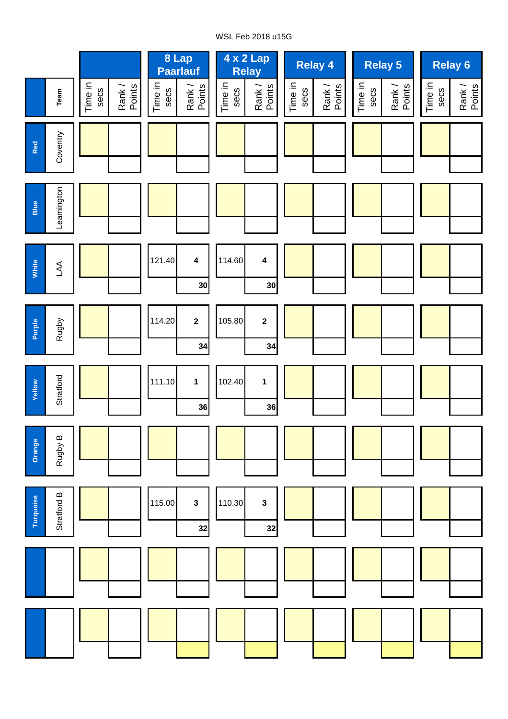# WSL Feb 2018 u15G

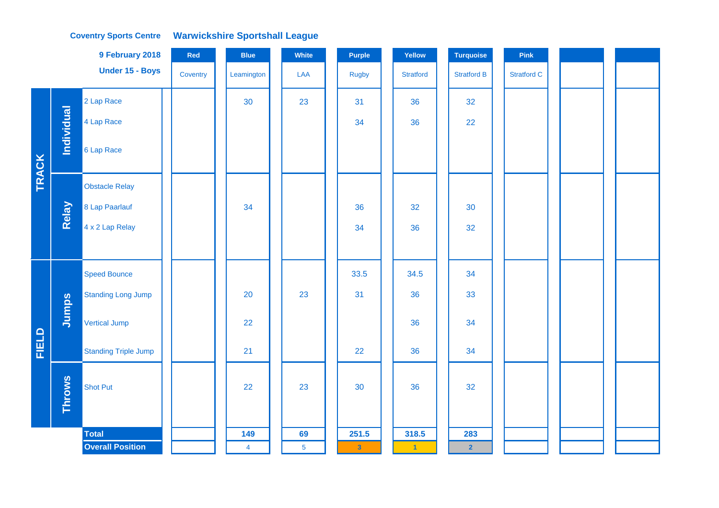|              |                   | 9 February 2018             | Red      | <b>Blue</b>    | White           | <b>Purple</b>           | Yellow               | <b>Turquoise</b>   | Pink               |  |
|--------------|-------------------|-----------------------------|----------|----------------|-----------------|-------------------------|----------------------|--------------------|--------------------|--|
|              |                   | Under 15 - Boys             | Coventry | Leamington     | LAA             | Rugby                   | <b>Stratford</b>     | <b>Stratford B</b> | <b>Stratford C</b> |  |
|              |                   | 2 Lap Race                  |          | 30             | 23              | 31                      | 36                   | 32                 |                    |  |
|              | <b>Individual</b> | 4 Lap Race                  |          |                |                 | 34                      | 36                   | 22                 |                    |  |
| <b>TRACK</b> |                   | 6 Lap Race                  |          |                |                 |                         |                      |                    |                    |  |
|              |                   | <b>Obstacle Relay</b>       |          |                |                 |                         |                      |                    |                    |  |
|              | Relay             | 8 Lap Paarlauf              |          | 34             |                 | 36                      | 32                   | 30                 |                    |  |
|              |                   | 4 x 2 Lap Relay             |          |                |                 | 34                      | 36                   | 32                 |                    |  |
|              |                   |                             |          |                |                 |                         |                      |                    |                    |  |
|              |                   | <b>Speed Bounce</b>         |          |                |                 | 33.5                    | 34.5                 | 34                 |                    |  |
|              |                   | <b>Standing Long Jump</b>   |          | 20             | 23              | 31                      | 36                   | 33                 |                    |  |
|              | Jumps             | Vertical Jump               |          | 22             |                 |                         | 36                   | 34                 |                    |  |
| FIELD        |                   | <b>Standing Triple Jump</b> |          | 21             |                 | 22                      | 36                   | 34                 |                    |  |
|              | <b>Throws</b>     | <b>Shot Put</b>             |          | 22             | 23              | 30                      | 36                   | 32                 |                    |  |
|              |                   | <b>Total</b>                |          | 149            | 69              | 251.5                   | 318.5                | 283                |                    |  |
|              |                   | <b>Overall Position</b>     |          | $\overline{4}$ | $5\phantom{.0}$ | $\overline{\mathbf{3}}$ | $\blacktriangleleft$ | $\overline{2}$     |                    |  |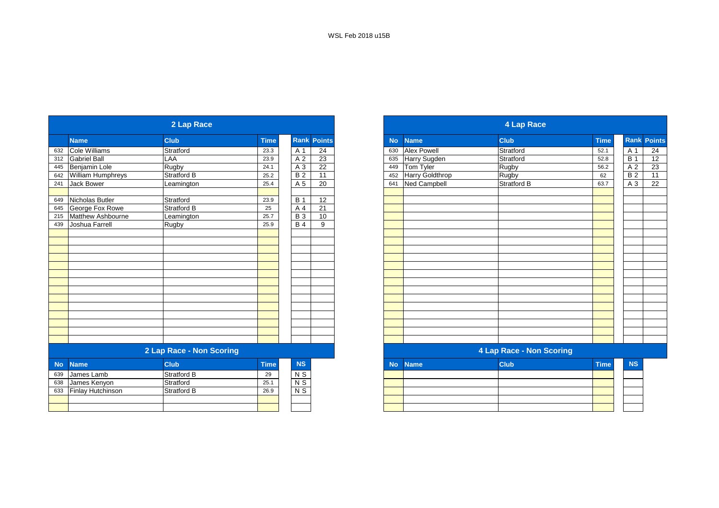| <b>Club</b><br><b>Club</b><br><b>Rank Points</b><br><b>Name</b><br><b>No</b><br><b>Name</b><br><b>Time</b><br>$\overline{24}$<br><b>Cole Williams</b><br><b>Alex Powell</b><br>Stratford<br>Stratford<br>23.3<br>A 1<br>632<br>630<br>Stratford<br><b>Gabriel Ball</b><br>$\overline{23}$<br>Harry Sugden<br>LAA<br>A 2<br>23.9<br>312<br>635<br>22<br>Rugby<br>Benjamin Lole<br>Rugby<br>A 3<br>Tom Tyler<br>24.1<br>445<br>449<br>11<br>Harry Goldthrop<br>William Humphreys<br>$\overline{B2}$<br>Rugby<br>Stratford B<br>25.2<br>642<br>452<br>$\overline{20}$<br><b>Jack Bower</b><br>A 5<br><b>Ned Campbell</b><br><b>Stratford B</b><br>25.4<br>241<br>641<br>Leamington<br>$\overline{12}$<br><b>B</b> 1<br>Nicholas Butler<br>Stratford<br>649<br>23.9<br>George Fox Rowe<br>21<br><b>Stratford B</b><br>25<br>A 4<br>645<br>Matthew Ashbourne<br><b>B</b> 3<br>$10$<br>Leamington<br>25.7<br>215<br>Joshua Farrell<br>$\overline{B4}$<br>9<br>439<br>Rugby<br>25.9 |             |  | 4 Lap Race |  |  |  | 2 Lap Race |  |
|------------------------------------------------------------------------------------------------------------------------------------------------------------------------------------------------------------------------------------------------------------------------------------------------------------------------------------------------------------------------------------------------------------------------------------------------------------------------------------------------------------------------------------------------------------------------------------------------------------------------------------------------------------------------------------------------------------------------------------------------------------------------------------------------------------------------------------------------------------------------------------------------------------------------------------------------------------------------------|-------------|--|------------|--|--|--|------------|--|
|                                                                                                                                                                                                                                                                                                                                                                                                                                                                                                                                                                                                                                                                                                                                                                                                                                                                                                                                                                              | <b>Time</b> |  |            |  |  |  |            |  |
|                                                                                                                                                                                                                                                                                                                                                                                                                                                                                                                                                                                                                                                                                                                                                                                                                                                                                                                                                                              | 52.1        |  |            |  |  |  |            |  |
|                                                                                                                                                                                                                                                                                                                                                                                                                                                                                                                                                                                                                                                                                                                                                                                                                                                                                                                                                                              | 52.8        |  |            |  |  |  |            |  |
|                                                                                                                                                                                                                                                                                                                                                                                                                                                                                                                                                                                                                                                                                                                                                                                                                                                                                                                                                                              | 56.2        |  |            |  |  |  |            |  |
|                                                                                                                                                                                                                                                                                                                                                                                                                                                                                                                                                                                                                                                                                                                                                                                                                                                                                                                                                                              | 62          |  |            |  |  |  |            |  |
|                                                                                                                                                                                                                                                                                                                                                                                                                                                                                                                                                                                                                                                                                                                                                                                                                                                                                                                                                                              | 63.7        |  |            |  |  |  |            |  |
|                                                                                                                                                                                                                                                                                                                                                                                                                                                                                                                                                                                                                                                                                                                                                                                                                                                                                                                                                                              |             |  |            |  |  |  |            |  |
|                                                                                                                                                                                                                                                                                                                                                                                                                                                                                                                                                                                                                                                                                                                                                                                                                                                                                                                                                                              |             |  |            |  |  |  |            |  |
|                                                                                                                                                                                                                                                                                                                                                                                                                                                                                                                                                                                                                                                                                                                                                                                                                                                                                                                                                                              |             |  |            |  |  |  |            |  |
|                                                                                                                                                                                                                                                                                                                                                                                                                                                                                                                                                                                                                                                                                                                                                                                                                                                                                                                                                                              |             |  |            |  |  |  |            |  |
|                                                                                                                                                                                                                                                                                                                                                                                                                                                                                                                                                                                                                                                                                                                                                                                                                                                                                                                                                                              |             |  |            |  |  |  |            |  |
|                                                                                                                                                                                                                                                                                                                                                                                                                                                                                                                                                                                                                                                                                                                                                                                                                                                                                                                                                                              |             |  |            |  |  |  |            |  |
|                                                                                                                                                                                                                                                                                                                                                                                                                                                                                                                                                                                                                                                                                                                                                                                                                                                                                                                                                                              |             |  |            |  |  |  |            |  |
|                                                                                                                                                                                                                                                                                                                                                                                                                                                                                                                                                                                                                                                                                                                                                                                                                                                                                                                                                                              |             |  |            |  |  |  |            |  |
|                                                                                                                                                                                                                                                                                                                                                                                                                                                                                                                                                                                                                                                                                                                                                                                                                                                                                                                                                                              |             |  |            |  |  |  |            |  |
|                                                                                                                                                                                                                                                                                                                                                                                                                                                                                                                                                                                                                                                                                                                                                                                                                                                                                                                                                                              |             |  |            |  |  |  |            |  |
|                                                                                                                                                                                                                                                                                                                                                                                                                                                                                                                                                                                                                                                                                                                                                                                                                                                                                                                                                                              |             |  |            |  |  |  |            |  |
|                                                                                                                                                                                                                                                                                                                                                                                                                                                                                                                                                                                                                                                                                                                                                                                                                                                                                                                                                                              |             |  |            |  |  |  |            |  |
|                                                                                                                                                                                                                                                                                                                                                                                                                                                                                                                                                                                                                                                                                                                                                                                                                                                                                                                                                                              |             |  |            |  |  |  |            |  |
|                                                                                                                                                                                                                                                                                                                                                                                                                                                                                                                                                                                                                                                                                                                                                                                                                                                                                                                                                                              |             |  |            |  |  |  |            |  |
|                                                                                                                                                                                                                                                                                                                                                                                                                                                                                                                                                                                                                                                                                                                                                                                                                                                                                                                                                                              |             |  |            |  |  |  |            |  |
|                                                                                                                                                                                                                                                                                                                                                                                                                                                                                                                                                                                                                                                                                                                                                                                                                                                                                                                                                                              |             |  |            |  |  |  |            |  |
|                                                                                                                                                                                                                                                                                                                                                                                                                                                                                                                                                                                                                                                                                                                                                                                                                                                                                                                                                                              |             |  |            |  |  |  |            |  |
|                                                                                                                                                                                                                                                                                                                                                                                                                                                                                                                                                                                                                                                                                                                                                                                                                                                                                                                                                                              |             |  |            |  |  |  |            |  |
| 2 Lap Race - Non Scoring<br>4 Lap Race - Non Scoring                                                                                                                                                                                                                                                                                                                                                                                                                                                                                                                                                                                                                                                                                                                                                                                                                                                                                                                         |             |  |            |  |  |  |            |  |
| <b>Club</b><br><b>Club</b><br><b>NS</b><br><b>No</b><br><b>Time</b><br><b>Name</b><br><b>No</b><br><b>Name</b>                                                                                                                                                                                                                                                                                                                                                                                                                                                                                                                                                                                                                                                                                                                                                                                                                                                               | <b>Time</b> |  |            |  |  |  |            |  |
| <b>Stratford B</b><br>N S<br>James Lamb<br>29<br>639                                                                                                                                                                                                                                                                                                                                                                                                                                                                                                                                                                                                                                                                                                                                                                                                                                                                                                                         |             |  |            |  |  |  |            |  |
| $N$ S<br>James Kenyon<br>Stratford<br>638<br>25.1                                                                                                                                                                                                                                                                                                                                                                                                                                                                                                                                                                                                                                                                                                                                                                                                                                                                                                                            |             |  |            |  |  |  |            |  |
| N <sub>S</sub><br>Finlay Hutchinson<br>Stratford B<br>26.9<br>633                                                                                                                                                                                                                                                                                                                                                                                                                                                                                                                                                                                                                                                                                                                                                                                                                                                                                                            |             |  |            |  |  |  |            |  |
|                                                                                                                                                                                                                                                                                                                                                                                                                                                                                                                                                                                                                                                                                                                                                                                                                                                                                                                                                                              |             |  |            |  |  |  |            |  |
|                                                                                                                                                                                                                                                                                                                                                                                                                                                                                                                                                                                                                                                                                                                                                                                                                                                                                                                                                                              |             |  |            |  |  |  |            |  |

|                          | 2 Lap Race               |             |               |                 |
|--------------------------|--------------------------|-------------|---------------|-----------------|
| <b>Name</b>              | <b>Club</b>              | <b>Time</b> | <b>Rank</b>   | <b>Points</b>   |
| Cole Williams            | Stratford                | 23.3        | A 1           | 24              |
| Gabriel Ball             | LAA                      | 23.9        | A 2           | 23              |
| Benjamin Lole            | Rugby                    | 24.1        | A 3           | 22              |
| <b>William Humphreys</b> | Stratford B              | 25.2        | <b>B2</b>     | $\overline{11}$ |
| <b>Jack Bower</b>        | Leamington               | 25.4        | A 5           | 20              |
| Nicholas Butler          | Stratford                | 23.9        | <b>B</b> 1    | 12              |
| George Fox Rowe          | Stratford B              | 25          | A 4           | 21              |
| Matthew Ashbourne        | Leamington               | 25.7        | <b>B</b> 3    | 10              |
| Joshua Farrell           | Rugby                    | 25.9        | <b>B</b> 4    | 9               |
|                          |                          |             |               |                 |
|                          |                          |             |               |                 |
|                          |                          |             |               |                 |
|                          |                          |             |               |                 |
|                          |                          |             |               |                 |
|                          |                          |             |               |                 |
|                          |                          |             |               |                 |
|                          |                          |             |               |                 |
|                          |                          |             |               |                 |
|                          |                          |             |               |                 |
|                          |                          |             |               |                 |
|                          | 2 Lap Race - Non Scoring |             |               |                 |
| <b>Name</b>              | <b>Club</b>              | <b>Time</b> | <b>NS</b>     |                 |
| James Lamb               | <b>Stratford B</b>       | 29          | N S           |                 |
| James Kenyon             | Stratford                | 25.1        | $N$ S         |                 |
| Einlow Hutchingon        | Ctrotford D              | 260         | $\frac{1}{2}$ |                 |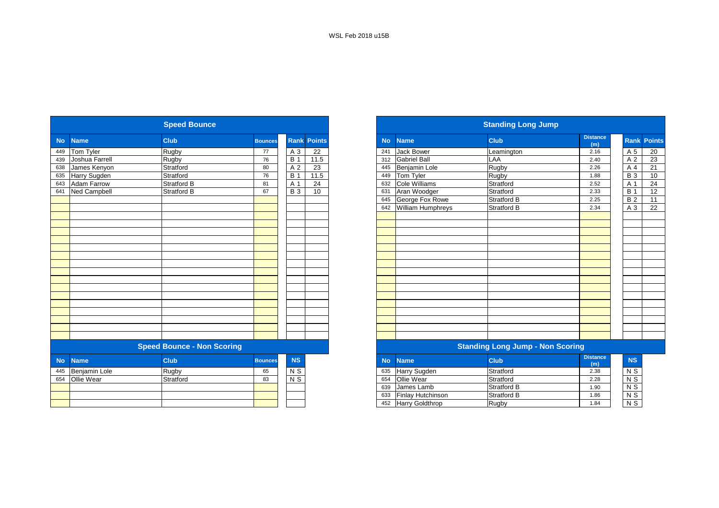|           |                    | <b>Speed Bounce</b>               |                |                |                    |
|-----------|--------------------|-----------------------------------|----------------|----------------|--------------------|
| <b>No</b> | <b>Name</b>        | <b>Club</b>                       | <b>Bounces</b> |                | <b>Rank Points</b> |
| 449       | Tom Tyler          | Rugby                             | 77             | A 3            | 22                 |
| 439       | Joshua Farrell     | Rugby                             | 76             | <b>B</b> 1     | 11.5               |
| 638       | James Kenyon       | Stratford                         | 80             | A 2            | 23                 |
| 635       | Harry Sugden       | Stratford                         | 76             | <b>B</b> 1     | 11.5               |
| 643       | <b>Adam Farrow</b> | <b>Stratford B</b>                | 81             | A 1            | 24                 |
| 641       | Ned Campbell       | <b>Stratford B</b>                | 67             | <b>B</b> 3     | 10                 |
|           |                    |                                   |                |                |                    |
|           |                    |                                   |                |                |                    |
|           |                    |                                   |                |                |                    |
|           |                    |                                   |                |                |                    |
|           |                    |                                   |                |                |                    |
|           |                    |                                   |                |                |                    |
|           |                    |                                   |                |                |                    |
|           |                    |                                   |                |                |                    |
|           |                    |                                   |                |                |                    |
|           |                    |                                   |                |                |                    |
|           |                    |                                   |                |                |                    |
|           |                    |                                   |                |                |                    |
|           |                    |                                   |                |                |                    |
|           |                    |                                   |                |                |                    |
|           |                    |                                   |                |                |                    |
|           |                    |                                   |                |                |                    |
|           |                    |                                   |                |                |                    |
|           |                    |                                   |                |                |                    |
|           |                    | <b>Speed Bounce - Non Scoring</b> |                |                |                    |
| <b>No</b> | <b>Name</b>        | <b>Club</b>                       | <b>Bounces</b> | <b>NS</b>      |                    |
| 445       | Benjamin Lole      | Rugby                             | 65             | N S            |                    |
|           | 654 Ollie Wear     | Stratford                         | 83             | $\overline{S}$ |                    |

| <b>Distance</b><br><b>Club</b><br>Rank<br><b>Club</b><br><b>Points</b><br><b>No</b><br><b>Name</b><br><b>Bounces</b><br>(m)<br>Rugby<br>22<br><b>Jack Bower</b><br>A 3<br>77<br>241<br>2.16<br>Leamington<br>Rugby<br>11.5<br><b>Gabriel Ball</b><br>LAA<br>76<br><b>B</b> 1<br>312<br>2.40<br>Rugby<br>Stratford<br>23<br>Benjamin Lole<br>A 2<br>80<br>2.26<br>445<br>Stratford<br>11.5<br>Rugby<br><b>B</b> 1<br>Tom Tyler<br>76<br>449<br>1.88<br>Cole Williams<br>$\overline{24}$<br>Stratford B<br>Stratford<br>A 1<br>2.52<br>81<br>632<br>10<br>Aran Woodger<br>Stratford B<br><b>B</b> 3<br>Stratford<br>67<br>631<br>2.33<br>George Fox Rowe<br>Stratford B<br>645<br>2.25<br>William Humphreys<br><b>Stratford B</b><br>642<br>2.34<br><b>Speed Bounce - Non Scoring</b><br><b>Standing Long Jump - Non Scoring</b><br><b>Distance</b><br><b>NS</b><br>Club<br><b>Club</b><br><b>Bounces</b><br><b>No</b><br><b>Name</b><br>(m)<br>Harry Sugden<br>N S<br>Stratford<br>Rugby<br>2.38<br>65<br>635<br>$\overline{N}$<br>Stratford<br>Ollie Wear<br>Stratford<br>2.28<br>83<br>654<br>James Lamb<br>Stratford B<br>639<br>1.90<br>Finlay Hutchinson<br><b>Stratford B</b><br>633<br>1.86<br><b>Harry Goldthrop</b><br>Rugby<br>452<br>1.84 |                     | <b>Speed Bounce</b> |  |  |
|-----------------------------------------------------------------------------------------------------------------------------------------------------------------------------------------------------------------------------------------------------------------------------------------------------------------------------------------------------------------------------------------------------------------------------------------------------------------------------------------------------------------------------------------------------------------------------------------------------------------------------------------------------------------------------------------------------------------------------------------------------------------------------------------------------------------------------------------------------------------------------------------------------------------------------------------------------------------------------------------------------------------------------------------------------------------------------------------------------------------------------------------------------------------------------------------------------------------------------------------------------|---------------------|---------------------|--|--|
|                                                                                                                                                                                                                                                                                                                                                                                                                                                                                                                                                                                                                                                                                                                                                                                                                                                                                                                                                                                                                                                                                                                                                                                                                                                     | <b>Name</b>         |                     |  |  |
|                                                                                                                                                                                                                                                                                                                                                                                                                                                                                                                                                                                                                                                                                                                                                                                                                                                                                                                                                                                                                                                                                                                                                                                                                                                     | <b>Tom Tyler</b>    |                     |  |  |
|                                                                                                                                                                                                                                                                                                                                                                                                                                                                                                                                                                                                                                                                                                                                                                                                                                                                                                                                                                                                                                                                                                                                                                                                                                                     | Joshua Farrell      |                     |  |  |
|                                                                                                                                                                                                                                                                                                                                                                                                                                                                                                                                                                                                                                                                                                                                                                                                                                                                                                                                                                                                                                                                                                                                                                                                                                                     | James Kenyon        |                     |  |  |
|                                                                                                                                                                                                                                                                                                                                                                                                                                                                                                                                                                                                                                                                                                                                                                                                                                                                                                                                                                                                                                                                                                                                                                                                                                                     | Harry Sugden        |                     |  |  |
|                                                                                                                                                                                                                                                                                                                                                                                                                                                                                                                                                                                                                                                                                                                                                                                                                                                                                                                                                                                                                                                                                                                                                                                                                                                     | Adam Farrow         |                     |  |  |
|                                                                                                                                                                                                                                                                                                                                                                                                                                                                                                                                                                                                                                                                                                                                                                                                                                                                                                                                                                                                                                                                                                                                                                                                                                                     | <b>Ned Campbell</b> |                     |  |  |
|                                                                                                                                                                                                                                                                                                                                                                                                                                                                                                                                                                                                                                                                                                                                                                                                                                                                                                                                                                                                                                                                                                                                                                                                                                                     |                     |                     |  |  |
|                                                                                                                                                                                                                                                                                                                                                                                                                                                                                                                                                                                                                                                                                                                                                                                                                                                                                                                                                                                                                                                                                                                                                                                                                                                     |                     |                     |  |  |
|                                                                                                                                                                                                                                                                                                                                                                                                                                                                                                                                                                                                                                                                                                                                                                                                                                                                                                                                                                                                                                                                                                                                                                                                                                                     |                     |                     |  |  |
|                                                                                                                                                                                                                                                                                                                                                                                                                                                                                                                                                                                                                                                                                                                                                                                                                                                                                                                                                                                                                                                                                                                                                                                                                                                     |                     |                     |  |  |
|                                                                                                                                                                                                                                                                                                                                                                                                                                                                                                                                                                                                                                                                                                                                                                                                                                                                                                                                                                                                                                                                                                                                                                                                                                                     |                     |                     |  |  |
|                                                                                                                                                                                                                                                                                                                                                                                                                                                                                                                                                                                                                                                                                                                                                                                                                                                                                                                                                                                                                                                                                                                                                                                                                                                     |                     |                     |  |  |
|                                                                                                                                                                                                                                                                                                                                                                                                                                                                                                                                                                                                                                                                                                                                                                                                                                                                                                                                                                                                                                                                                                                                                                                                                                                     |                     |                     |  |  |
|                                                                                                                                                                                                                                                                                                                                                                                                                                                                                                                                                                                                                                                                                                                                                                                                                                                                                                                                                                                                                                                                                                                                                                                                                                                     |                     |                     |  |  |
|                                                                                                                                                                                                                                                                                                                                                                                                                                                                                                                                                                                                                                                                                                                                                                                                                                                                                                                                                                                                                                                                                                                                                                                                                                                     |                     |                     |  |  |
|                                                                                                                                                                                                                                                                                                                                                                                                                                                                                                                                                                                                                                                                                                                                                                                                                                                                                                                                                                                                                                                                                                                                                                                                                                                     |                     |                     |  |  |
|                                                                                                                                                                                                                                                                                                                                                                                                                                                                                                                                                                                                                                                                                                                                                                                                                                                                                                                                                                                                                                                                                                                                                                                                                                                     |                     |                     |  |  |
|                                                                                                                                                                                                                                                                                                                                                                                                                                                                                                                                                                                                                                                                                                                                                                                                                                                                                                                                                                                                                                                                                                                                                                                                                                                     |                     |                     |  |  |
|                                                                                                                                                                                                                                                                                                                                                                                                                                                                                                                                                                                                                                                                                                                                                                                                                                                                                                                                                                                                                                                                                                                                                                                                                                                     |                     |                     |  |  |
|                                                                                                                                                                                                                                                                                                                                                                                                                                                                                                                                                                                                                                                                                                                                                                                                                                                                                                                                                                                                                                                                                                                                                                                                                                                     |                     |                     |  |  |
|                                                                                                                                                                                                                                                                                                                                                                                                                                                                                                                                                                                                                                                                                                                                                                                                                                                                                                                                                                                                                                                                                                                                                                                                                                                     |                     |                     |  |  |
|                                                                                                                                                                                                                                                                                                                                                                                                                                                                                                                                                                                                                                                                                                                                                                                                                                                                                                                                                                                                                                                                                                                                                                                                                                                     |                     |                     |  |  |
|                                                                                                                                                                                                                                                                                                                                                                                                                                                                                                                                                                                                                                                                                                                                                                                                                                                                                                                                                                                                                                                                                                                                                                                                                                                     |                     |                     |  |  |
|                                                                                                                                                                                                                                                                                                                                                                                                                                                                                                                                                                                                                                                                                                                                                                                                                                                                                                                                                                                                                                                                                                                                                                                                                                                     |                     |                     |  |  |
|                                                                                                                                                                                                                                                                                                                                                                                                                                                                                                                                                                                                                                                                                                                                                                                                                                                                                                                                                                                                                                                                                                                                                                                                                                                     |                     |                     |  |  |
|                                                                                                                                                                                                                                                                                                                                                                                                                                                                                                                                                                                                                                                                                                                                                                                                                                                                                                                                                                                                                                                                                                                                                                                                                                                     | <b>Name</b>         |                     |  |  |
|                                                                                                                                                                                                                                                                                                                                                                                                                                                                                                                                                                                                                                                                                                                                                                                                                                                                                                                                                                                                                                                                                                                                                                                                                                                     | Benjamin Lole       |                     |  |  |
|                                                                                                                                                                                                                                                                                                                                                                                                                                                                                                                                                                                                                                                                                                                                                                                                                                                                                                                                                                                                                                                                                                                                                                                                                                                     | <b>Ollie Wear</b>   |                     |  |  |
|                                                                                                                                                                                                                                                                                                                                                                                                                                                                                                                                                                                                                                                                                                                                                                                                                                                                                                                                                                                                                                                                                                                                                                                                                                                     |                     |                     |  |  |
|                                                                                                                                                                                                                                                                                                                                                                                                                                                                                                                                                                                                                                                                                                                                                                                                                                                                                                                                                                                                                                                                                                                                                                                                                                                     |                     |                     |  |  |
|                                                                                                                                                                                                                                                                                                                                                                                                                                                                                                                                                                                                                                                                                                                                                                                                                                                                                                                                                                                                                                                                                                                                                                                                                                                     |                     |                     |  |  |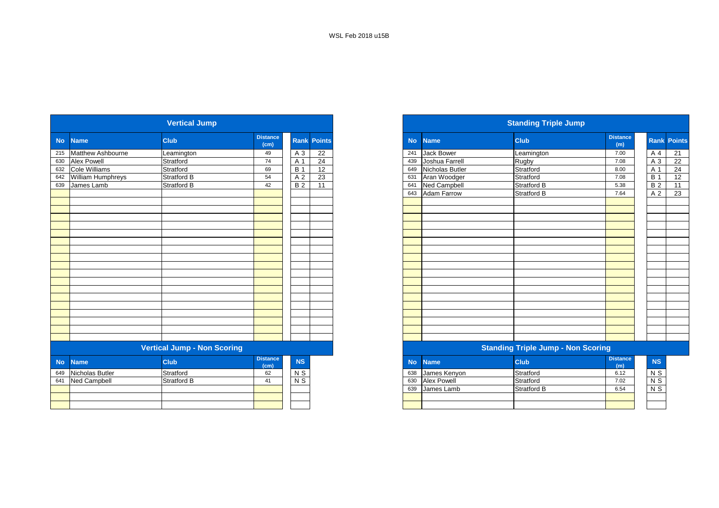|                     | <b>Vertical Jump</b>                                            |                                                   |             |                 |                 |           |                    |                                                                              |                                                                                               |                                                  |                                                                                                     |
|---------------------|-----------------------------------------------------------------|---------------------------------------------------|-------------|-----------------|-----------------|-----------|--------------------|------------------------------------------------------------------------------|-----------------------------------------------------------------------------------------------|--------------------------------------------------|-----------------------------------------------------------------------------------------------------|
| <b>Name</b>         | <b>Club</b>                                                     | <b>Distance</b><br>(cm)                           | <b>Rank</b> | <b>Points</b>   |                 | <b>No</b> | <b>Name</b>        | <b>Club</b>                                                                  | <b>Distance</b><br>(m)                                                                        |                                                  |                                                                                                     |
| Matthew Ashbourne   | Leamington                                                      | 49                                                | $A_3$       | 22              |                 | 241       | <b>Jack Bower</b>  | Leamington                                                                   | 7.00                                                                                          |                                                  |                                                                                                     |
|                     | Stratford                                                       | 74                                                | A 1         | $\overline{24}$ |                 | 439       | Joshua Farrell     |                                                                              | 7.08                                                                                          |                                                  |                                                                                                     |
|                     | Stratford                                                       | 69                                                | <b>B</b> 1  | 12              |                 | 649       |                    |                                                                              | 8.00                                                                                          |                                                  |                                                                                                     |
|                     | Stratford B                                                     | 54                                                | A 2         | 23              |                 | 631       |                    | Stratford                                                                    | 7.08                                                                                          | <b>B</b> 1                                       |                                                                                                     |
|                     |                                                                 | 42                                                |             |                 |                 | 641       |                    |                                                                              | 5.38                                                                                          |                                                  |                                                                                                     |
|                     |                                                                 |                                                   |             |                 |                 | 643       |                    |                                                                              | 7.64                                                                                          |                                                  |                                                                                                     |
|                     |                                                                 |                                                   |             |                 |                 |           |                    |                                                                              |                                                                                               |                                                  |                                                                                                     |
|                     |                                                                 |                                                   |             |                 |                 |           |                    |                                                                              |                                                                                               |                                                  |                                                                                                     |
|                     |                                                                 |                                                   |             |                 |                 |           |                    |                                                                              |                                                                                               |                                                  |                                                                                                     |
|                     |                                                                 |                                                   |             |                 |                 |           |                    |                                                                              |                                                                                               |                                                  |                                                                                                     |
|                     |                                                                 |                                                   |             |                 |                 |           |                    |                                                                              |                                                                                               |                                                  |                                                                                                     |
|                     |                                                                 |                                                   |             |                 |                 |           |                    |                                                                              |                                                                                               |                                                  |                                                                                                     |
|                     |                                                                 |                                                   |             |                 |                 |           |                    |                                                                              |                                                                                               |                                                  |                                                                                                     |
|                     |                                                                 |                                                   |             |                 |                 |           |                    |                                                                              |                                                                                               |                                                  |                                                                                                     |
|                     |                                                                 |                                                   |             |                 |                 |           |                    |                                                                              |                                                                                               |                                                  |                                                                                                     |
|                     |                                                                 |                                                   |             |                 |                 |           |                    |                                                                              |                                                                                               |                                                  |                                                                                                     |
|                     |                                                                 |                                                   |             |                 |                 |           |                    |                                                                              |                                                                                               |                                                  |                                                                                                     |
|                     |                                                                 |                                                   |             |                 |                 |           |                    |                                                                              |                                                                                               |                                                  |                                                                                                     |
|                     |                                                                 |                                                   |             |                 |                 |           |                    |                                                                              |                                                                                               |                                                  |                                                                                                     |
|                     |                                                                 |                                                   |             |                 |                 |           |                    |                                                                              |                                                                                               |                                                  |                                                                                                     |
|                     |                                                                 |                                                   |             |                 |                 |           |                    |                                                                              |                                                                                               |                                                  |                                                                                                     |
|                     |                                                                 |                                                   |             |                 |                 |           |                    |                                                                              |                                                                                               |                                                  |                                                                                                     |
|                     |                                                                 |                                                   |             |                 |                 |           |                    |                                                                              |                                                                                               |                                                  |                                                                                                     |
|                     |                                                                 |                                                   |             |                 |                 |           |                    |                                                                              |                                                                                               |                                                  |                                                                                                     |
|                     |                                                                 |                                                   |             |                 |                 |           |                    |                                                                              |                                                                                               |                                                  |                                                                                                     |
| <b>Name</b>         | Club                                                            | <b>Distance</b>                                   | NS          |                 |                 | <b>No</b> | <b>Name</b>        | <b>Club</b>                                                                  | <b>Distance</b>                                                                               |                                                  |                                                                                                     |
| Nicholas Butler     | Stratford                                                       | 62                                                | $N$ S       |                 |                 | 638       | James Kenyon       | Stratford                                                                    | 6.12                                                                                          |                                                  |                                                                                                     |
| <b>Ned Campbell</b> | <b>Stratford B</b>                                              | 41                                                | $N$ S       |                 |                 | 630       | <b>Alex Powell</b> | Stratford                                                                    | 7.02                                                                                          |                                                  |                                                                                                     |
|                     |                                                                 |                                                   |             |                 |                 | 639       | James Lamb         | <b>Stratford B</b>                                                           | 6.54                                                                                          |                                                  |                                                                                                     |
|                     |                                                                 |                                                   |             |                 |                 |           |                    |                                                                              |                                                                                               |                                                  |                                                                                                     |
|                     |                                                                 |                                                   |             |                 |                 |           |                    |                                                                              |                                                                                               |                                                  |                                                                                                     |
|                     | Alex Powell<br>Cole Williams<br>William Humphreys<br>James Lamb | Stratford B<br><b>Vertical Jump - Non Scoring</b> | (cm)        | <b>B2</b>       | $\overline{11}$ |           |                    | Nicholas Butler<br>Aran Woodger<br><b>Ned Campbell</b><br><b>Adam Farrow</b> | <b>Standing Triple Jump</b><br>Rugby<br>Stratford<br><b>Stratford B</b><br><b>Stratford B</b> | <b>Standing Triple Jump - Non Scoring</b><br>(m) | Rank Po<br>A <sub>4</sub><br>$A_3$<br>A 1<br>B <sub>2</sub><br>A 2<br>NS<br>$N$ S<br>$N$ S<br>$N$ S |

|     |                       | <b>Vertical Jump</b> |                         |            |                    |           |                     | <b>Standing Triple Jump</b> |                        |                    |  |
|-----|-----------------------|----------------------|-------------------------|------------|--------------------|-----------|---------------------|-----------------------------|------------------------|--------------------|--|
|     | No Name               | <b>Club</b>          | <b>Distance</b><br>(cm) |            | <b>Rank Points</b> | <b>No</b> | <b>Name</b>         | <b>Club</b>                 | <b>Distance</b><br>(m) | <b>Rank Points</b> |  |
|     | 215 Matthew Ashbourne | Leamington           | 49                      | A 3        | 22                 | 241       | <b>Jack Bower</b>   | Leamington                  | 7.00                   | A 4                |  |
|     | 630 Alex Powell       | Stratford            | 74                      | A 1        | 24                 | 439       | Joshua Farrell      | <b>Rugby</b>                | 7.08                   | A 3                |  |
|     | 632 Cole Williams     | Stratford            | 69                      | <b>B</b> 1 | 12                 |           | 649 Nicholas Butler | Stratford                   | 8.00                   | A 1                |  |
|     | 642 William Humphreys | <b>Stratford B</b>   | 54                      | A 2        | $\overline{23}$    | 631       | Aran Woodger        | Stratford                   | 7.08                   | <b>B</b> 1         |  |
| 639 | James Lamb            | <b>Stratford B</b>   | 42                      | <b>B2</b>  | 11                 |           | 641 Ned Campbell    | Stratford B                 | 5.38                   | $\overline{B}$     |  |
|     |                       |                      |                         |            |                    |           | 643 Adam Farrow     | Stratford B                 | 7.64                   | A 2                |  |
|     |                       |                      |                         |            |                    |           |                     |                             |                        |                    |  |
|     |                       |                      |                         |            |                    |           |                     |                             |                        |                    |  |
|     |                       |                      |                         |            |                    |           |                     |                             |                        |                    |  |
|     |                       |                      |                         |            |                    |           |                     |                             |                        |                    |  |
|     |                       |                      |                         |            |                    |           |                     |                             |                        |                    |  |
|     |                       |                      |                         |            |                    |           |                     |                             |                        |                    |  |
|     |                       |                      |                         |            |                    |           |                     |                             |                        |                    |  |
|     |                       |                      |                         |            |                    |           |                     |                             |                        |                    |  |
|     |                       |                      |                         |            |                    |           |                     |                             |                        |                    |  |
|     |                       |                      |                         |            |                    |           |                     |                             |                        |                    |  |
|     |                       |                      |                         |            |                    |           |                     |                             |                        |                    |  |
|     |                       |                      |                         |            |                    |           |                     |                             |                        |                    |  |
|     |                       |                      |                         |            |                    |           |                     |                             |                        |                    |  |
|     |                       |                      |                         |            |                    |           |                     |                             |                        |                    |  |
|     |                       |                      |                         |            |                    |           |                     |                             |                        |                    |  |
|     |                       |                      |                         |            |                    |           |                     |                             |                        |                    |  |
|     |                       |                      |                         |            |                    |           |                     |                             |                        |                    |  |
|     |                       |                      |                         |            |                    |           |                     |                             |                        |                    |  |

#### **Vertical Jump - Non Scoring Standing Triple Jump - Non Scoring**

| stance<br>(cm) | <b>NS</b> | No  | <b>Name</b>        | <b>Club</b> | <b>Distance</b><br>(m) |                |
|----------------|-----------|-----|--------------------|-------------|------------------------|----------------|
| 62             | N S       | 638 | James Kenyon       | Stratford   | 6.12                   | N S            |
| 41             | N S       | 630 | <b>Alex Powell</b> | Stratford   | 7.02                   | N <sub>S</sub> |
|                |           | 639 | IJames Lamb        | Stratford B | 6.54                   | N S            |
|                |           |     |                    |             |                        |                |
|                |           |     |                    |             |                        |                |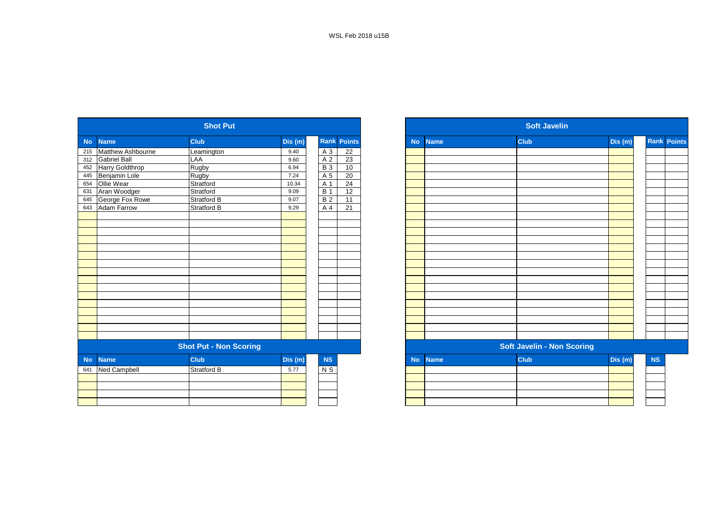|           |                          | <b>Shot Put</b>               |         |                |                    |           |             | <b>Soft Javelin</b>               |         |
|-----------|--------------------------|-------------------------------|---------|----------------|--------------------|-----------|-------------|-----------------------------------|---------|
| <b>No</b> | <b>Name</b>              | <b>Club</b>                   | Dis (m) |                | <b>Rank Points</b> | <b>No</b> | <b>Name</b> | <b>Club</b>                       | Dis (m) |
| 215       | <b>Matthew Ashbourne</b> | Leamington                    | 9.40    | $A_3$          | $\overline{22}$    |           |             |                                   |         |
| 312       | Gabriel Ball             | LAA                           | 9.60    | A 2            | 23                 |           |             |                                   |         |
| 452       | Harry Goldthrop          | Rugby                         | 6.94    | <b>B3</b>      | 10                 |           |             |                                   |         |
| 445       | Benjamin Lole            | Rugby                         | 7.24    | A 5            | 20                 |           |             |                                   |         |
| 654       | Ollie Wear               | Stratford                     | 10.34   | A 1            | $\overline{24}$    |           |             |                                   |         |
| 631       | Aran Woodger             | Stratford                     | 9.09    | <b>B</b> 1     | $\overline{12}$    |           |             |                                   |         |
| 645       | George Fox Rowe          | Stratford B                   | 9.07    | B <sub>2</sub> | $\overline{11}$    |           |             |                                   |         |
| 643       | <b>Adam Farrow</b>       | Stratford B                   | 9.29    | A 4            | $\overline{21}$    |           |             |                                   |         |
|           |                          |                               |         |                |                    |           |             |                                   |         |
|           |                          |                               |         |                |                    |           |             |                                   |         |
|           |                          |                               |         |                |                    |           |             |                                   |         |
|           |                          |                               |         |                |                    |           |             |                                   |         |
|           |                          |                               |         |                |                    |           |             |                                   |         |
|           |                          |                               |         |                |                    |           |             |                                   |         |
|           |                          |                               |         |                |                    |           |             |                                   |         |
|           |                          |                               |         |                |                    |           |             |                                   |         |
|           |                          |                               |         |                |                    |           |             |                                   |         |
|           |                          |                               |         |                |                    |           |             |                                   |         |
|           |                          |                               |         |                |                    |           |             |                                   |         |
|           |                          |                               |         |                |                    |           |             |                                   |         |
|           |                          |                               |         |                |                    |           |             |                                   |         |
|           |                          |                               |         |                |                    |           |             |                                   |         |
|           |                          |                               |         |                |                    |           |             |                                   |         |
|           |                          |                               |         |                |                    |           |             |                                   |         |
|           |                          | <b>Shot Put - Non Scoring</b> |         |                |                    |           |             | <b>Soft Javelin - Non Scoring</b> |         |
| <b>No</b> | <b>Name</b>              | <b>Club</b>                   | Dis (m) | <b>NS</b>      |                    | <b>No</b> | <b>Name</b> | <b>Club</b>                       | Dis (m) |
| 641       | <b>Ned Campbell</b>      | <b>Stratford B</b>            | 5.77    | $N$ S          |                    |           |             |                                   |         |
|           |                          |                               |         |                |                    |           |             |                                   |         |
|           |                          |                               |         |                |                    |           |             |                                   |         |
|           |                          |                               |         |                |                    |           |             |                                   |         |
|           |                          |                               |         |                |                    |           |             |                                   |         |

| <b>Shot Put</b>                                                         | <b>Soft Javelin</b>               |
|-------------------------------------------------------------------------|-----------------------------------|
| <b>Rank Points</b><br><b>Club</b><br>Dis(m)<br><b>Name</b><br><b>No</b> | <b>Club</b><br>Dis (m)            |
| Matthew Ashbourne<br>22<br>A 3<br>Leamington<br>9.40                    |                                   |
| LAA<br>A <sub>2</sub><br>23<br>9.60                                     |                                   |
| Rugby<br>Harry Goldthrop<br><b>B</b> 3<br>10<br>6.94                    |                                   |
| Rugby<br>A 5<br>20<br>7.24                                              |                                   |
| Stratford<br>A 1<br>24<br>10.34                                         |                                   |
| Stratford<br><b>B</b> 1<br>12<br>9.09                                   |                                   |
| George Fox Rowe<br>B <sub>2</sub><br>11<br>Stratford B<br>9.07          |                                   |
| Stratford B<br>A 4<br>21<br>9.29                                        |                                   |
|                                                                         |                                   |
|                                                                         |                                   |
|                                                                         |                                   |
|                                                                         |                                   |
|                                                                         |                                   |
|                                                                         |                                   |
|                                                                         |                                   |
|                                                                         |                                   |
|                                                                         |                                   |
|                                                                         |                                   |
|                                                                         |                                   |
|                                                                         |                                   |
|                                                                         |                                   |
|                                                                         |                                   |
|                                                                         |                                   |
|                                                                         |                                   |
| <b>Shot Put - Non Scoring</b>                                           | <b>Soft Javelin - Non Scoring</b> |
| <b>Club</b><br>Dis (m)<br><b>NS</b><br><b>No</b><br><b>Name</b>         | <b>Club</b><br>Dis(m)             |
| <b>Stratford B</b><br>$N$ S<br>5.77                                     |                                   |
|                                                                         |                                   |
|                                                                         |                                   |
|                                                                         |                                   |
|                                                                         |                                   |